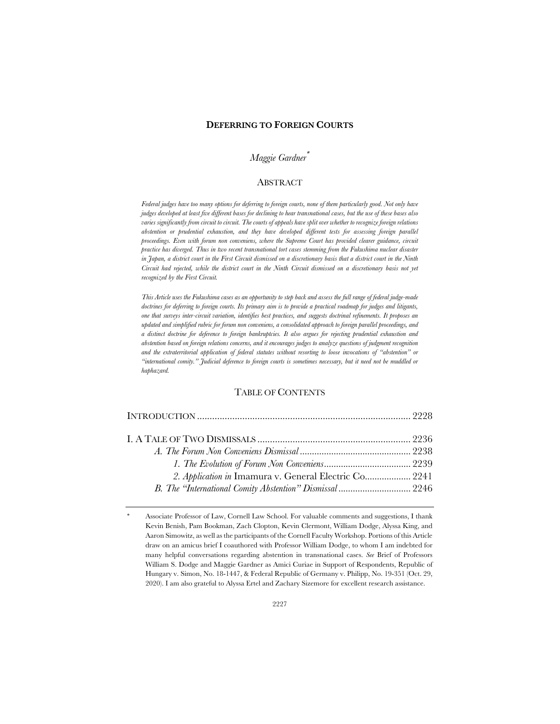#### **DEFERRING TO FOREIGN COURTS**

# *Maggie Gardner*\*

## **ABSTRACT**

*Federal judges have too many options for deferring to foreign courts, none of them particularly good. Not only have judges developed at least five different bases for declining to hear transnational cases, but the use of these bases also varies significantly from circuit to circuit. The courts of appeals have split over whether to recognize foreign relations abstention or prudential exhaustion, and they have developed different tests for assessing foreign parallel proceedings. Even with forum non conveniens, where the Supreme Court has provided clearer guidance, circuit practice has diverged. Thus in two recent transnational tort cases stemming from the Fukushima nuclear disaster in Japan, a district court in the First Circuit dismissed on a discretionary basis that a district court in the Ninth Circuit had rejected, while the district court in the Ninth Circuit dismissed on a discretionary basis not yet recognized by the First Circuit.*

*This Article uses the Fukushima cases as an opportunity to step back and assess the full range of federal judge-made doctrines for deferring to foreign courts. Its primary aim is to provide a practical roadmap for judges and litigants, one that surveys inter-circuit variation, identifies best practices, and suggests doctrinal refinements. It proposes an updated and simplified rubric for forum non conveniens, a consolidated approach to foreign parallel proceedings, and a distinct doctrine for deference to foreign bankruptcies. It also argues for rejecting prudential exhaustion and abstention based on foreign relations concerns, and it encourages judges to analyze questions of judgment recognition and the extraterritorial application of federal statutes without resorting to loose invocations of "abstention" or "international comity." Judicial deference to foreign courts is sometimes necessary, but it need not be muddled or haphazard.*

### TABLE OF CONTENTS

| 2. Application in Imamura v. General Electric Co 2241 |  |
|-------------------------------------------------------|--|
|                                                       |  |

Associate Professor of Law, Cornell Law School. For valuable comments and suggestions, I thank Kevin Benish, Pam Bookman, Zach Clopton, Kevin Clermont, William Dodge, Alyssa King, and Aaron Simowitz, as well as the participants of the Cornell Faculty Workshop. Portions of this Article draw on an amicus brief I coauthored with Professor William Dodge, to whom I am indebted for many helpful conversations regarding abstention in transnational cases. *See* Brief of Professors William S. Dodge and Maggie Gardner as Amici Curiae in Support of Respondents, Republic of Hungary v. Simon, No. 18-1447, & Federal Republic of Germany v. Philipp, No. 19-351 (Oct. 29, 2020). I am also grateful to Alyssa Ertel and Zachary Sizemore for excellent research assistance.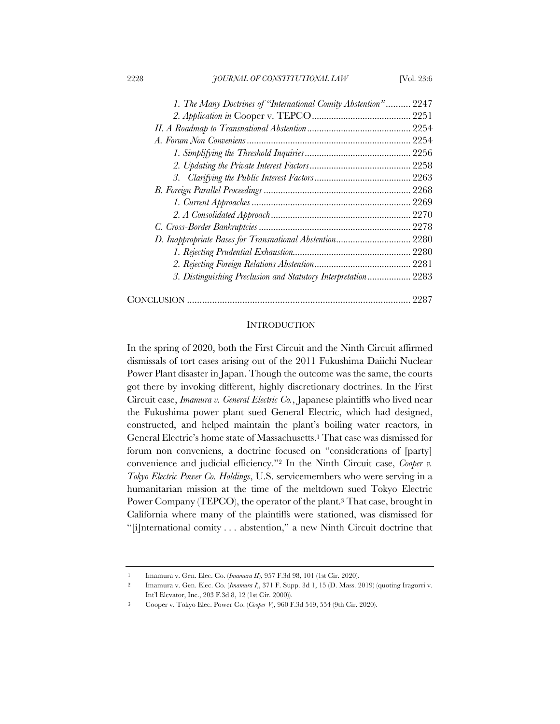| 1. The Many Doctrines of "International Comity Abstention" 2247 |      |
|-----------------------------------------------------------------|------|
|                                                                 |      |
|                                                                 |      |
|                                                                 |      |
|                                                                 |      |
|                                                                 |      |
|                                                                 |      |
|                                                                 |      |
|                                                                 |      |
|                                                                 |      |
|                                                                 |      |
| D. Inappropriate Bases for Transnational Abstention 2280        |      |
|                                                                 |      |
|                                                                 |      |
| 3. Distinguishing Preclusion and Statutory Interpretation 2283  |      |
|                                                                 | 2287 |

#### **INTRODUCTION**

In the spring of 2020, both the First Circuit and the Ninth Circuit affirmed dismissals of tort cases arising out of the 2011 Fukushima Daiichi Nuclear Power Plant disaster in Japan. Though the outcome was the same, the courts got there by invoking different, highly discretionary doctrines. In the First Circuit case, *Imamura v. General Electric Co.*, Japanese plaintiffs who lived near the Fukushima power plant sued General Electric, which had designed, constructed, and helped maintain the plant's boiling water reactors, in General Electric's home state of Massachusetts.1 That case was dismissed for forum non conveniens, a doctrine focused on "considerations of [party] convenience and judicial efficiency."2 In the Ninth Circuit case, *Cooper v. Tokyo Electric Power Co. Holdings*, U.S. servicemembers who were serving in a humanitarian mission at the time of the meltdown sued Tokyo Electric Power Company (TEPCO), the operator of the plant.<sup>3</sup> That case, brought in California where many of the plaintiffs were stationed, was dismissed for "[i]nternational comity . . . abstention," a new Ninth Circuit doctrine that

<sup>1</sup> Imamura v. Gen. Elec. Co. (*Imamura II*), 957 F.3d 98, 101 (1st Cir. 2020).

<sup>2</sup> Imamura v. Gen. Elec. Co. (*Imamura I*), 371 F. Supp. 3d 1, 15 (D. Mass. 2019) (quoting Iragorri v. Int'l Elevator, Inc., 203 F.3d 8, 12 (1st Cir. 2000)).

<sup>3</sup> Cooper v. Tokyo Elec. Power Co. (*Cooper V*), 960 F.3d 549, 554 (9th Cir. 2020).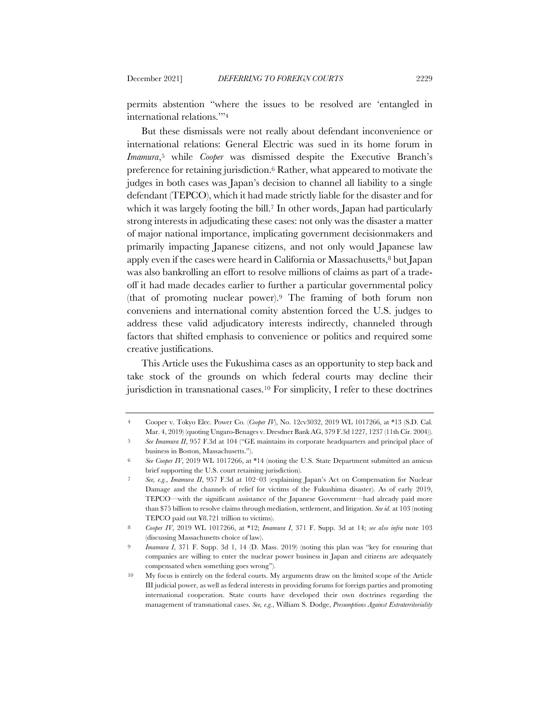permits abstention "where the issues to be resolved are 'entangled in international relations.'"4

But these dismissals were not really about defendant inconvenience or international relations: General Electric was sued in its home forum in *Imamura*,5 while *Cooper* was dismissed despite the Executive Branch's preference for retaining jurisdiction.6 Rather, what appeared to motivate the judges in both cases was Japan's decision to channel all liability to a single defendant (TEPCO), which it had made strictly liable for the disaster and for which it was largely footing the bill.<sup>7</sup> In other words, Japan had particularly strong interests in adjudicating these cases: not only was the disaster a matter of major national importance, implicating government decisionmakers and primarily impacting Japanese citizens, and not only would Japanese law apply even if the cases were heard in California or Massachusetts,<sup>8</sup> but Japan was also bankrolling an effort to resolve millions of claims as part of a tradeoff it had made decades earlier to further a particular governmental policy (that of promoting nuclear power).9 The framing of both forum non conveniens and international comity abstention forced the U.S. judges to address these valid adjudicatory interests indirectly, channeled through factors that shifted emphasis to convenience or politics and required some creative justifications.

This Article uses the Fukushima cases as an opportunity to step back and take stock of the grounds on which federal courts may decline their jurisdiction in transnational cases.10 For simplicity, I refer to these doctrines

<sup>4</sup> Cooper v. Tokyo Elec. Power Co. (*Cooper IV*), No. 12cv3032, 2019 WL 1017266, at \*13 (S.D. Cal. Mar. 4, 2019) (quoting Ungaro-Benages v. Dresdner Bank AG, 379 F.3d 1227, 1237 (11th Cir. 2004)).

<sup>5</sup> *See Imamura II*, 957 F.3d at 104 ("GE maintains its corporate headquarters and principal place of business in Boston, Massachusetts.").

<sup>6</sup> *See Cooper IV*, 2019 WL 1017266, at \*14 (noting the U.S. State Department submitted an amicus brief supporting the U.S. court retaining jurisdiction).

<sup>7</sup> *See, e.g.*, *Imamura II*, 957 F.3d at 102–03 (explaining Japan's Act on Compensation for Nuclear Damage and the channels of relief for victims of the Fukushima disaster). As of early 2019, TEPCO—with the significant assistance of the Japanese Government—had already paid more than \$75 billion to resolve claims through mediation, settlement, and litigation. *See id.* at 103 (noting TEPCO paid out ¥8.721 trillion to victims).

<sup>8</sup> *Cooper IV*, 2019 WL 1017266, at \*12; *Imamura I*, 371 F. Supp. 3d at 14; *see also infra* note 103 (discussing Massachusetts choice of law).

<sup>9</sup> *Imamura I*, 371 F. Supp. 3d 1, 14 (D. Mass. 2019) (noting this plan was "key for ensuring that companies are willing to enter the nuclear power business in Japan and citizens are adequately compensated when something goes wrong").

<sup>10</sup> My focus is entirely on the federal courts. My arguments draw on the limited scope of the Article III judicial power, as well as federal interests in providing forums for foreign parties and promoting international cooperation. State courts have developed their own doctrines regarding the management of transnational cases. *See, e.g.*, William S. Dodge, *Presumptions Against Extraterritoriality*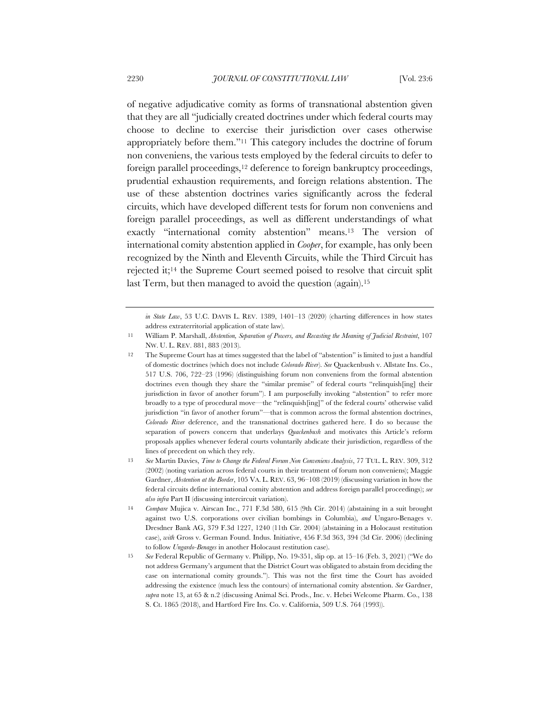of negative adjudicative comity as forms of transnational abstention given that they are all "judicially created doctrines under which federal courts may choose to decline to exercise their jurisdiction over cases otherwise appropriately before them."11 This category includes the doctrine of forum non conveniens, the various tests employed by the federal circuits to defer to foreign parallel proceedings,<sup>12</sup> deference to foreign bankruptcy proceedings, prudential exhaustion requirements, and foreign relations abstention. The use of these abstention doctrines varies significantly across the federal circuits, which have developed different tests for forum non conveniens and foreign parallel proceedings, as well as different understandings of what exactly "international comity abstention" means.13 The version of international comity abstention applied in *Cooper*, for example, has only been recognized by the Ninth and Eleventh Circuits, while the Third Circuit has rejected it;14 the Supreme Court seemed poised to resolve that circuit split last Term, but then managed to avoid the question (again).<sup>15</sup>

*in State Law*, 53 U.C. DAVIS L. REV. 1389, 1401–13 (2020) (charting differences in how states address extraterritorial application of state law).

<sup>11</sup> William P. Marshall, *Abstention, Separation of Powers, and Recasting the Meaning of Judicial Restraint*, 107 NW. U. L. REV. 881, 883 (2013).

<sup>12</sup> The Supreme Court has at times suggested that the label of "abstention" is limited to just a handful of domestic doctrines (which does not include *Colorado River*). *See* Quackenbush v. Allstate Ins. Co., 517 U.S. 706, 722–23 (1996) (distinguishing forum non conveniens from the formal abstention doctrines even though they share the "similar premise" of federal courts "relinquish[ing] their jurisdiction in favor of another forum"). I am purposefully invoking "abstention" to refer more broadly to a type of procedural move—the "relinquish[ing]" of the federal courts' otherwise valid jurisdiction "in favor of another forum"—that is common across the formal abstention doctrines, *Colorado River* deference, and the transnational doctrines gathered here. I do so because the separation of powers concern that underlays *Quackenbush* and motivates this Article's reform proposals applies whenever federal courts voluntarily abdicate their jurisdiction, regardless of the lines of precedent on which they rely.

<sup>13</sup> *See* Martin Davies, *Time to Change the Federal Forum Non Conveniens Analysis*, 77 TUL. L. REV. 309, 312 (2002) (noting variation across federal courts in their treatment of forum non conveniens); Maggie Gardner, *Abstention at the Border*, 105 VA. L. REV. 63, 96–108 (2019) (discussing variation in how the federal circuits define international comity abstention and address foreign parallel proceedings); *see also infra* Part II (discussing intercircuit variation).

<sup>14</sup> *Compare* Mujica v. Airscan Inc., 771 F.3d 580, 615 (9th Cir. 2014) (abstaining in a suit brought against two U.S. corporations over civilian bombings in Columbia), *and* Ungaro-Benages v. Dresdner Bank AG, 379 F.3d 1227, 1240 (11th Cir. 2004) (abstaining in a Holocaust restitution case), *with* Gross v. German Found. Indus. Initiative, 456 F.3d 363, 394 (3d Cir. 2006) (declining to follow *Ungardo-Benages* in another Holocaust restitution case).

<sup>15</sup> *See* Federal Republic of Germany v. Philipp, No. 19-351, slip op. at 15–16 (Feb. 3, 2021) ("We do not address Germany's argument that the District Court was obligated to abstain from deciding the case on international comity grounds."). This was not the first time the Court has avoided addressing the existence (much less the contours) of international comity abstention. *See* Gardner, *supra* note 13, at 65 & n.2 (discussing Animal Sci. Prods., Inc. v. Hebei Welcome Pharm. Co., 138 S. Ct. 1865 (2018), and Hartford Fire Ins. Co. v. California, 509 U.S. 764 (1993)).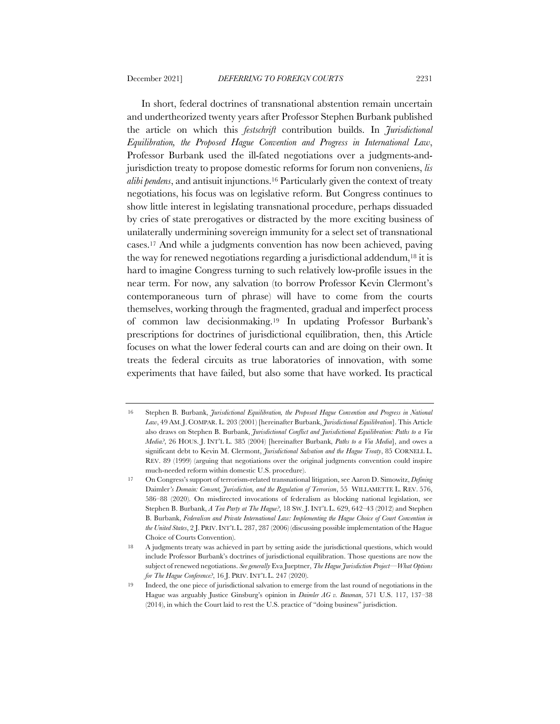In short, federal doctrines of transnational abstention remain uncertain and undertheorized twenty years after Professor Stephen Burbank published the article on which this *festschrift* contribution builds. In *Jurisdictional Equilibration, the Proposed Hague Convention and Progress in International Law*, Professor Burbank used the ill-fated negotiations over a judgments-andjurisdiction treaty to propose domestic reforms for forum non conveniens, *lis alibi pendens*, and antisuit injunctions.16 Particularly given the context of treaty negotiations, his focus was on legislative reform. But Congress continues to show little interest in legislating transnational procedure, perhaps dissuaded by cries of state prerogatives or distracted by the more exciting business of unilaterally undermining sovereign immunity for a select set of transnational cases.17 And while a judgments convention has now been achieved, paving the way for renewed negotiations regarding a jurisdictional addendum,18 it is hard to imagine Congress turning to such relatively low-profile issues in the near term. For now, any salvation (to borrow Professor Kevin Clermont's contemporaneous turn of phrase) will have to come from the courts themselves, working through the fragmented, gradual and imperfect process of common law decisionmaking.19 In updating Professor Burbank's prescriptions for doctrines of jurisdictional equilibration, then, this Article focuses on what the lower federal courts can and are doing on their own. It treats the federal circuits as true laboratories of innovation, with some experiments that have failed, but also some that have worked. Its practical

<sup>16</sup> Stephen B. Burbank, *Jurisdictional Equilibration, the Proposed Hague Convention and Progress in National Law*, 49 AM.J. COMPAR. L. 203 (2001) [hereinafter Burbank, *Jurisdictional Equilibration*]. This Article also draws on Stephen B. Burbank, *Jurisdictional Conflict and Jurisdictional Equilibration: Paths to a Via Media?*, 26 HOUS. J. INT'L L. 385 (2004) [hereinafter Burbank, *Paths to a Via Media*], and owes a significant debt to Kevin M. Clermont, *Jurisdictional Salvation and the Hague Treaty*, 85 CORNELL L. REV. 89 (1999) (arguing that negotiations over the original judgments convention could inspire much-needed reform within domestic U.S. procedure).

<sup>17</sup> On Congress's support of terrorism-related transnational litigation, see Aaron D. Simowitz, *Defining*  Daimler*'s Domain: Consent, Jurisdiction, and the Regulation of Terrorism*, 55 WILLAMETTE L. REV. 576, 586–88 (2020). On misdirected invocations of federalism as blocking national legislation, see Stephen B. Burbank, *A Tea Party at The Hague?*, 18 SW. J. INT'L L. 629, 642–43 (2012) and Stephen B. Burbank, *Federalism and Private International Law: Implementing the Hague Choice of Court Convention in the United States*, 2 J. PRIV.INT'L L. 287, 287 (2006) (discussing possible implementation of the Hague Choice of Courts Convention).

<sup>18</sup> A judgments treaty was achieved in part by setting aside the jurisdictional questions, which would include Professor Burbank's doctrines of jurisdictional equilibration. Those questions are now the subject of renewed negotiations. *See generally* Eva Jueptner, *The Hague Jurisdiction Project—What Options for The Hague Conference?*, 16 J. PRIV. INT'L L. 247 (2020).

<sup>19</sup> Indeed, the one piece of jurisdictional salvation to emerge from the last round of negotiations in the Hague was arguably Justice Ginsburg's opinion in *Daimler AG v. Bauman*, 571 U.S. 117, 137–38 (2014), in which the Court laid to rest the U.S. practice of "doing business" jurisdiction.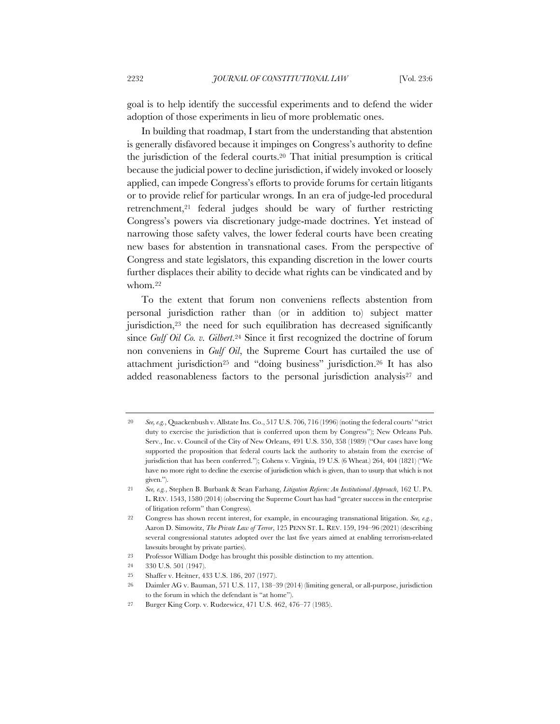goal is to help identify the successful experiments and to defend the wider adoption of those experiments in lieu of more problematic ones.

In building that roadmap, I start from the understanding that abstention is generally disfavored because it impinges on Congress's authority to define the jurisdiction of the federal courts.20 That initial presumption is critical because the judicial power to decline jurisdiction, if widely invoked or loosely applied, can impede Congress's efforts to provide forums for certain litigants or to provide relief for particular wrongs. In an era of judge-led procedural retrenchment,21 federal judges should be wary of further restricting Congress's powers via discretionary judge-made doctrines. Yet instead of narrowing those safety valves, the lower federal courts have been creating new bases for abstention in transnational cases. From the perspective of Congress and state legislators, this expanding discretion in the lower courts further displaces their ability to decide what rights can be vindicated and by whom.22

To the extent that forum non conveniens reflects abstention from personal jurisdiction rather than (or in addition to) subject matter jurisdiction,23 the need for such equilibration has decreased significantly since *Gulf Oil Co. v. Gilbert*.24 Since it first recognized the doctrine of forum non conveniens in *Gulf Oil*, the Supreme Court has curtailed the use of attachment jurisdiction25 and "doing business" jurisdiction.26 It has also added reasonableness factors to the personal jurisdiction analysis<sup>27</sup> and

<sup>20</sup> *See, e.g.*, Quackenbush v. Allstate Ins. Co., 517 U.S. 706, 716 (1996) (noting the federal courts' "strict duty to exercise the jurisdiction that is conferred upon them by Congress"); New Orleans Pub. Serv., Inc. v. Council of the City of New Orleans, 491 U.S. 350, 358 (1989) ("Our cases have long supported the proposition that federal courts lack the authority to abstain from the exercise of jurisdiction that has been conferred."); Cohens v. Virginia, 19 U.S. (6 Wheat.) 264, 404 (1821) ("We have no more right to decline the exercise of jurisdiction which is given, than to usurp that which is not given.").

<sup>21</sup> *See, e.g.*, Stephen B. Burbank & Sean Farhang, *Litigation Reform: An Institutional Approach*, 162 U. PA. L. REV. 1543, 1580 (2014) (observing the Supreme Court has had "greater success in the enterprise of litigation reform" than Congress).

<sup>22</sup> Congress has shown recent interest, for example, in encouraging transnational litigation. *See, e.g.*, Aaron D. Simowitz, *The Private Law of Terror*, 125 PENN ST. L. REV. 159, 194–96 (2021) (describing several congressional statutes adopted over the last five years aimed at enabling terrorism-related lawsuits brought by private parties).

<sup>23</sup> Professor William Dodge has brought this possible distinction to my attention.

<sup>24</sup> 330 U.S. 501 (1947).

<sup>25</sup> Shaffer v. Heitner, 433 U.S. 186, 207 (1977).

<sup>26</sup> Daimler AG v. Bauman, 571 U.S. 117, 138–39 (2014) (limiting general, or all-purpose, jurisdiction to the forum in which the defendant is "at home").

<sup>27</sup> Burger King Corp. v. Rudzewicz, 471 U.S. 462, 476–77 (1985).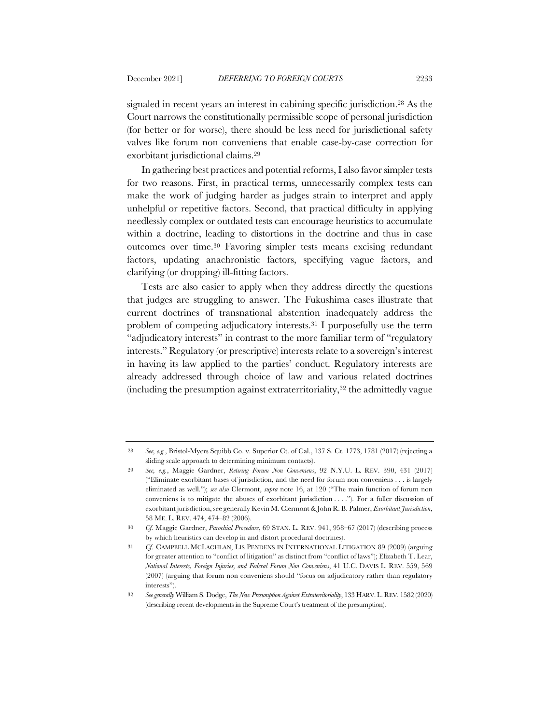signaled in recent years an interest in cabining specific jurisdiction.28 As the Court narrows the constitutionally permissible scope of personal jurisdiction (for better or for worse), there should be less need for jurisdictional safety valves like forum non conveniens that enable case-by-case correction for exorbitant jurisdictional claims.29

In gathering best practices and potential reforms, I also favor simpler tests for two reasons. First, in practical terms, unnecessarily complex tests can make the work of judging harder as judges strain to interpret and apply unhelpful or repetitive factors. Second, that practical difficulty in applying needlessly complex or outdated tests can encourage heuristics to accumulate within a doctrine, leading to distortions in the doctrine and thus in case outcomes over time.30 Favoring simpler tests means excising redundant factors, updating anachronistic factors, specifying vague factors, and clarifying (or dropping) ill-fitting factors.

Tests are also easier to apply when they address directly the questions that judges are struggling to answer. The Fukushima cases illustrate that current doctrines of transnational abstention inadequately address the problem of competing adjudicatory interests.31 I purposefully use the term "adjudicatory interests" in contrast to the more familiar term of "regulatory interests." Regulatory (or prescriptive) interests relate to a sovereign's interest in having its law applied to the parties' conduct. Regulatory interests are already addressed through choice of law and various related doctrines (including the presumption against extraterritoriality, $32$  the admittedly vague

<sup>28</sup> *See, e.g.*, Bristol-Myers Squibb Co. v. Superior Ct. of Cal., 137 S. Ct. 1773, 1781 (2017) (rejecting a sliding scale approach to determining minimum contacts).

<sup>29</sup> *See, e.g.*, Maggie Gardner, *Retiring Forum Non Conveniens*, 92 N.Y.U. L. REV. 390, 431 (2017) ("Eliminate exorbitant bases of jurisdiction, and the need for forum non conveniens . . . is largely eliminated as well."); *see also* Clermont, *supra* note 16, at 120 ("The main function of forum non conveniens is to mitigate the abuses of exorbitant jurisdiction . . . ."). For a fuller discussion of exorbitant jurisdiction, see generally Kevin M. Clermont & John R. B. Palmer, *Exorbitant Jurisdiction*, 58 ME. L. REV. 474, 474–82 (2006).

<sup>30</sup> *Cf.* Maggie Gardner, *Parochial Procedure*, 69 STAN. L. REV. 941, 958–67 (2017) (describing process by which heuristics can develop in and distort procedural doctrines).

<sup>31</sup> *Cf.* CAMPBELL MCLACHLAN, LIS PENDENS IN INTERNATIONAL LITIGATION 89 (2009) (arguing for greater attention to "conflict of litigation" as distinct from "conflict of laws"); Elizabeth T. Lear, *National Interests, Foreign Injuries, and Federal Forum Non Conveniens*, 41 U.C. DAVIS L. REV. 559, 569 (2007) (arguing that forum non conveniens should "focus on adjudicatory rather than regulatory interests").

<sup>32</sup> *See generally* William S. Dodge, *The New Presumption Against Extraterritoriality*, 133 HARV.L.REV. 1582 (2020) (describing recent developments in the Supreme Court's treatment of the presumption).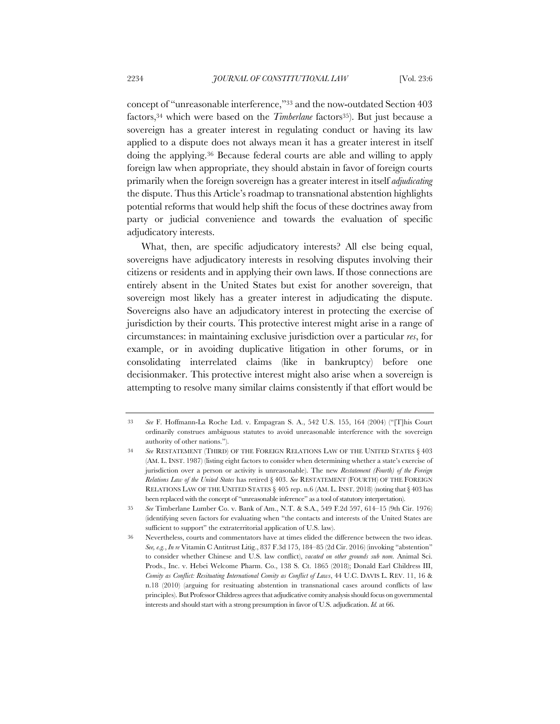concept of "unreasonable interference,"33 and the now-outdated Section 403 factors,<sup>34</sup> which were based on the *Timberlane* factors<sup>35</sup>). But just because a sovereign has a greater interest in regulating conduct or having its law applied to a dispute does not always mean it has a greater interest in itself doing the applying.36 Because federal courts are able and willing to apply foreign law when appropriate, they should abstain in favor of foreign courts primarily when the foreign sovereign has a greater interest in itself *adjudicating* the dispute. Thus this Article's roadmap to transnational abstention highlights potential reforms that would help shift the focus of these doctrines away from party or judicial convenience and towards the evaluation of specific adjudicatory interests.

What, then, are specific adjudicatory interests? All else being equal, sovereigns have adjudicatory interests in resolving disputes involving their citizens or residents and in applying their own laws. If those connections are entirely absent in the United States but exist for another sovereign, that sovereign most likely has a greater interest in adjudicating the dispute. Sovereigns also have an adjudicatory interest in protecting the exercise of jurisdiction by their courts. This protective interest might arise in a range of circumstances: in maintaining exclusive jurisdiction over a particular *res*, for example, or in avoiding duplicative litigation in other forums, or in consolidating interrelated claims (like in bankruptcy) before one decisionmaker. This protective interest might also arise when a sovereign is attempting to resolve many similar claims consistently if that effort would be

<sup>33</sup> *See* F. Hoffmann-La Roche Ltd. v. Empagran S. A., 542 U.S. 155, 164 (2004) ("[T]his Court ordinarily construes ambiguous statutes to avoid unreasonable interference with the sovereign authority of other nations.").

<sup>34</sup> *See* RESTATEMENT (THIRD) OF THE FOREIGN RELATIONS LAW OF THE UNITED STATES § 403 (AM. L. INST. 1987) (listing eight factors to consider when determining whether a state's exercise of jurisdiction over a person or activity is unreasonable). The new *Restatement (Fourth) of the Foreign Relations Law of the United States* has retired § 403. *See* RESTATEMENT (FOURTH) OF THE FOREIGN RELATIONS LAW OF THE UNITED STATES § 405 rep. n.6 (AM. L. INST. 2018) (noting that § 403 has been replaced with the concept of "unreasonable inference" as a tool of statutory interpretation).

<sup>35</sup> *See* Timberlane Lumber Co. v. Bank of Am., N.T. & S.A., 549 F.2d 597, 614–15 (9th Cir. 1976) (identifying seven factors for evaluating when "the contacts and interests of the United States are sufficient to support" the extraterritorial application of U.S. law).

<sup>36</sup> Nevertheless, courts and commentators have at times elided the difference between the two ideas. *See, e.g.*, *In re* Vitamin C Antitrust Litig., 837 F.3d 175, 184–85 (2d Cir. 2016) (invoking "abstention" to consider whether Chinese and U.S. law conflict), *vacated on other grounds sub nom.* Animal Sci. Prods., Inc. v. Hebei Welcome Pharm. Co., 138 S. Ct. 1865 (2018); Donald Earl Childress III, *Comity as Conflict: Resituating International Comity as Conflict of Laws*, 44 U.C. DAVIS L. REV. 11, 16 & n.18 (2010) (arguing for resituating abstention in transnational cases around conflicts of law principles). But Professor Childress agrees that adjudicative comity analysis should focus on governmental interests and should start with a strong presumption in favor of U.S. adjudication. *Id.* at 66.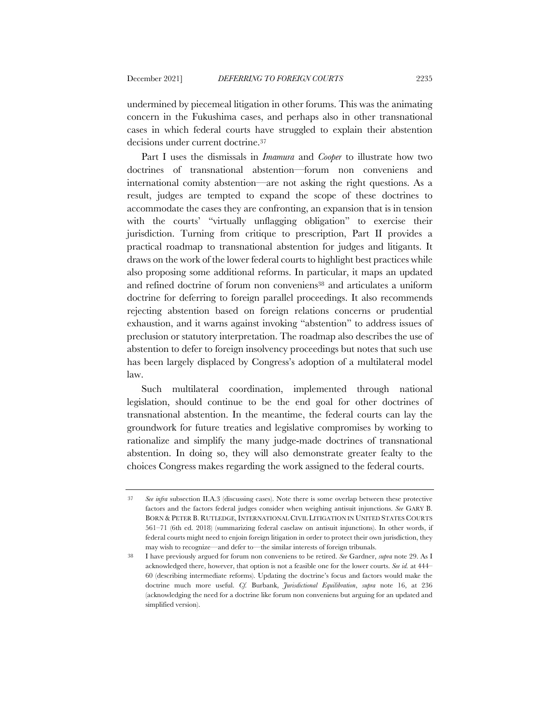undermined by piecemeal litigation in other forums. This was the animating concern in the Fukushima cases, and perhaps also in other transnational cases in which federal courts have struggled to explain their abstention decisions under current doctrine.37

Part I uses the dismissals in *Imamura* and *Cooper* to illustrate how two doctrines of transnational abstention—forum non conveniens and international comity abstention—are not asking the right questions. As a result, judges are tempted to expand the scope of these doctrines to accommodate the cases they are confronting, an expansion that is in tension with the courts' "virtually unflagging obligation" to exercise their jurisdiction. Turning from critique to prescription, Part II provides a practical roadmap to transnational abstention for judges and litigants. It draws on the work of the lower federal courts to highlight best practices while also proposing some additional reforms. In particular, it maps an updated and refined doctrine of forum non conveniens38 and articulates a uniform doctrine for deferring to foreign parallel proceedings. It also recommends rejecting abstention based on foreign relations concerns or prudential exhaustion, and it warns against invoking "abstention" to address issues of preclusion or statutory interpretation. The roadmap also describes the use of abstention to defer to foreign insolvency proceedings but notes that such use has been largely displaced by Congress's adoption of a multilateral model law.

Such multilateral coordination, implemented through national legislation, should continue to be the end goal for other doctrines of transnational abstention. In the meantime, the federal courts can lay the groundwork for future treaties and legislative compromises by working to rationalize and simplify the many judge-made doctrines of transnational abstention. In doing so, they will also demonstrate greater fealty to the choices Congress makes regarding the work assigned to the federal courts.

<sup>37</sup> *See infra* subsection II.A.3 (discussing cases). Note there is some overlap between these protective factors and the factors federal judges consider when weighing antisuit injunctions. *See* GARY B. BORN & PETER B. RUTLEDGE, INTERNATIONAL CIVIL LITIGATION IN UNITED STATES COURTS 561–71 (6th ed. 2018) (summarizing federal caselaw on antisuit injunctions). In other words, if federal courts might need to enjoin foreign litigation in order to protect their own jurisdiction, they may wish to recognize—and defer to—the similar interests of foreign tribunals.

<sup>38</sup> I have previously argued for forum non conveniens to be retired. *See* Gardner, *supra* note 29. As I acknowledged there, however, that option is not a feasible one for the lower courts. *See id.* at 444– 60 (describing intermediate reforms). Updating the doctrine's focus and factors would make the doctrine much more useful. *Cf.* Burbank, *Jurisdictional Equilibration*, *supra* note 16, at 236 (acknowledging the need for a doctrine like forum non conveniens but arguing for an updated and simplified version).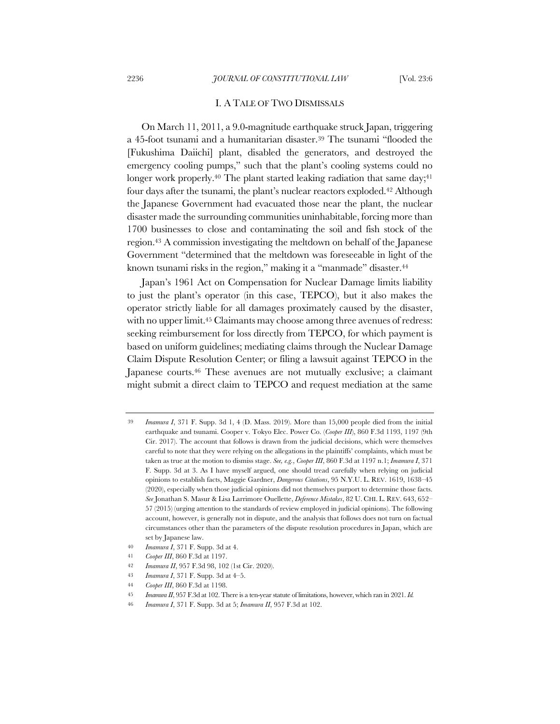#### I. A TALE OF TWO DISMISSALS

On March 11, 2011, a 9.0-magnitude earthquake struck Japan, triggering a 45-foot tsunami and a humanitarian disaster.39 The tsunami "flooded the [Fukushima Daiichi] plant, disabled the generators, and destroyed the emergency cooling pumps," such that the plant's cooling systems could no longer work properly.<sup>40</sup> The plant started leaking radiation that same day;<sup>41</sup> four days after the tsunami, the plant's nuclear reactors exploded.<sup>42</sup> Although the Japanese Government had evacuated those near the plant, the nuclear disaster made the surrounding communities uninhabitable, forcing more than 1700 businesses to close and contaminating the soil and fish stock of the region.43 A commission investigating the meltdown on behalf of the Japanese Government "determined that the meltdown was foreseeable in light of the known tsunami risks in the region," making it a "manmade" disaster.<sup>44</sup>

Japan's 1961 Act on Compensation for Nuclear Damage limits liability to just the plant's operator (in this case, TEPCO), but it also makes the operator strictly liable for all damages proximately caused by the disaster, with no upper limit.<sup>45</sup> Claimants may choose among three avenues of redress: seeking reimbursement for loss directly from TEPCO, for which payment is based on uniform guidelines; mediating claims through the Nuclear Damage Claim Dispute Resolution Center; or filing a lawsuit against TEPCO in the Japanese courts.<sup>46</sup> These avenues are not mutually exclusive; a claimant might submit a direct claim to TEPCO and request mediation at the same

<sup>39</sup> *Imamura I*, 371 F. Supp. 3d 1, 4 (D. Mass. 2019). More than 15,000 people died from the initial earthquake and tsunami. Cooper v. Tokyo Elec. Power Co. (*Cooper III*), 860 F.3d 1193, 1197 (9th Cir. 2017). The account that follows is drawn from the judicial decisions, which were themselves careful to note that they were relying on the allegations in the plaintiffs' complaints, which must be taken as true at the motion to dismiss stage. *See, e.g.*, *Cooper III*, 860 F.3d at 1197 n.1; *Imamura I*, 371 F. Supp. 3d at 3. As I have myself argued, one should tread carefully when relying on judicial opinions to establish facts, Maggie Gardner, *Dangerous Citations*, 95 N.Y.U. L. REV. 1619, 1638–45 (2020), especially when those judicial opinions did not themselves purport to determine those facts. *See* Jonathan S. Masur & Lisa Larrimore Ouellette, *Deference Mistakes*, 82 U. CHI. L. REV. 643, 652– 57 (2015) (urging attention to the standards of review employed in judicial opinions). The following account, however, is generally not in dispute, and the analysis that follows does not turn on factual circumstances other than the parameters of the dispute resolution procedures in Japan, which are set by Japanese law.

<sup>40</sup> *Imamura I*, 371 F. Supp. 3d at 4.

<sup>41</sup> *Cooper III*, 860 F.3d at 1197.

<sup>42</sup> *Imamura II*, 957 F.3d 98, 102 (1st Cir. 2020).

<sup>43</sup> *Imamura I*, 371 F. Supp. 3d at 4–5.

<sup>44</sup> *Cooper III*, 860 F.3d at 1198.

<sup>45</sup> *Imamura II*, 957 F.3d at 102. There is a ten-year statute of limitations, however, which ran in 2021. *Id.*

<sup>46</sup> *Imamura I*, 371 F. Supp. 3d at 5; *Imamura II*, 957 F.3d at 102.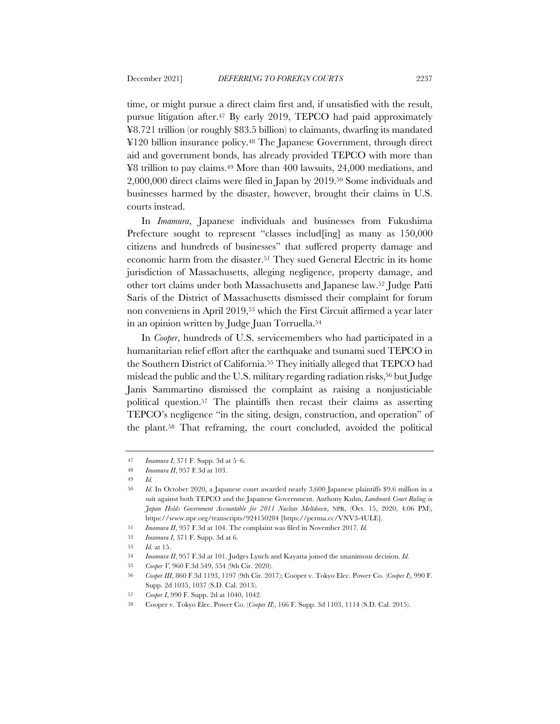time, or might pursue a direct claim first and, if unsatisfied with the result, pursue litigation after.47 By early 2019, TEPCO had paid approximately ¥8.721 trillion (or roughly \$83.5 billion) to claimants, dwarfing its mandated ¥120 billion insurance policy.48 The Japanese Government, through direct aid and government bonds, has already provided TEPCO with more than ¥8 trillion to pay claims.49 More than 400 lawsuits, 24,000 mediations, and 2,000,000 direct claims were filed in Japan by 2019.50 Some individuals and businesses harmed by the disaster, however, brought their claims in U.S. courts instead.

In *Imamura*, Japanese individuals and businesses from Fukushima Prefecture sought to represent "classes include inglesion as  $150,000$ citizens and hundreds of businesses" that suffered property damage and economic harm from the disaster.51 They sued General Electric in its home jurisdiction of Massachusetts, alleging negligence, property damage, and other tort claims under both Massachusetts and Japanese law.52 Judge Patti Saris of the District of Massachusetts dismissed their complaint for forum non conveniens in April 2019,53 which the First Circuit affirmed a year later in an opinion written by Judge Juan Torruella.54

In *Cooper*, hundreds of U.S. servicemembers who had participated in a humanitarian relief effort after the earthquake and tsunami sued TEPCO in the Southern District of California.55 They initially alleged that TEPCO had mislead the public and the U.S. military regarding radiation risks,<sup>56</sup> but Judge Janis Sammartino dismissed the complaint as raising a nonjusticiable political question.57 The plaintiffs then recast their claims as asserting TEPCO's negligence "in the siting, design, construction, and operation" of the plant.58 That reframing, the court concluded, avoided the political

<sup>47</sup> *Imamura I*, 371 F. Supp. 3d at 5–6.

<sup>48</sup> *Imamura II*, 957 F.3d at 103.

<sup>49</sup> *Id.*

<sup>50</sup> *Id.* In October 2020, a Japanese court awarded nearly 3,600 Japanese plaintiffs \$9.6 million in a suit against both TEPCO and the Japanese Government. Anthony Kuhn, *Landmark Court Ruling in Japan Holds Government Accountable for 2011 Nuclear Meltdown*, NPR, (Oct. 15, 2020, 4:06 PM), https://www.npr.org/transcripts/924150284 [https://perma.cc/VNV3-4ULE].

<sup>51</sup> *Imamura II*, 957 F.3d at 104. The complaint was filed in November 2017. *Id.*

<sup>52</sup> *Imamura I*, 371 F. Supp. 3d at 6.

<sup>53</sup> *Id.* at 15.

<sup>54</sup> *Imamura II*, 957 F.3d at 101. Judges Lynch and Kayatta joined the unanimous decision. *Id.*

<sup>55</sup> *Cooper V*, 960 F.3d 549, 554 (9th Cir. 2020).

<sup>56</sup> *Cooper III*, 860 F.3d 1193, 1197 (9th Cir. 2017); Cooper v. Tokyo Elec. Power Co. (*Cooper I*), 990 F. Supp. 2d 1035, 1037 (S.D. Cal. 2013)*.*

<sup>57</sup> *Cooper I*, 990 F. Supp. 2d at 1040, 1042.

<sup>58</sup> Cooper v. Tokyo Elec. Power Co. (*Cooper II*), 166 F. Supp. 3d 1103, 1114 (S.D. Cal. 2015).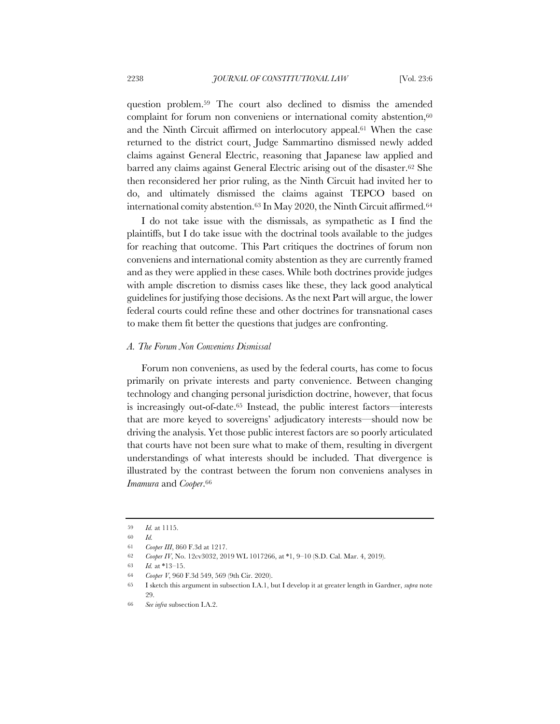question problem.59 The court also declined to dismiss the amended complaint for forum non conveniens or international comity abstention,<sup>60</sup> and the Ninth Circuit affirmed on interlocutory appeal.61 When the case returned to the district court, Judge Sammartino dismissed newly added claims against General Electric, reasoning that Japanese law applied and barred any claims against General Electric arising out of the disaster.62 She then reconsidered her prior ruling, as the Ninth Circuit had invited her to do, and ultimately dismissed the claims against TEPCO based on international comity abstention.<sup>63</sup> In May 2020, the Ninth Circuit affirmed.<sup>64</sup>

I do not take issue with the dismissals, as sympathetic as I find the plaintiffs, but I do take issue with the doctrinal tools available to the judges for reaching that outcome. This Part critiques the doctrines of forum non conveniens and international comity abstention as they are currently framed and as they were applied in these cases. While both doctrines provide judges with ample discretion to dismiss cases like these, they lack good analytical guidelines for justifying those decisions. As the next Part will argue, the lower federal courts could refine these and other doctrines for transnational cases to make them fit better the questions that judges are confronting.

#### *A. The Forum Non Conveniens Dismissal*

Forum non conveniens, as used by the federal courts, has come to focus primarily on private interests and party convenience. Between changing technology and changing personal jurisdiction doctrine, however, that focus is increasingly out-of-date.65 Instead, the public interest factors—interests that are more keyed to sovereigns' adjudicatory interests—should now be driving the analysis. Yet those public interest factors are so poorly articulated that courts have not been sure what to make of them, resulting in divergent understandings of what interests should be included. That divergence is illustrated by the contrast between the forum non conveniens analyses in *Imamura* and *Cooper*.66

<sup>59</sup> *Id.* at 1115.

<sup>60</sup> *Id.*

<sup>61</sup> *Cooper III*, 860 F.3d at 1217.

<sup>62</sup> *Cooper IV*, No. 12cv3032, 2019 WL 1017266, at \*1, 9–10 (S.D. Cal. Mar. 4, 2019).

<sup>63</sup> *Id.* at \*13–15.

<sup>64</sup> *Cooper V*, 960 F.3d 549, 569 (9th Cir. 2020).

<sup>65</sup> I sketch this argument in subsection I.A.1, but I develop it at greater length in Gardner, *supra* note 29.

<sup>66</sup> *See infra* subsection I.A.2.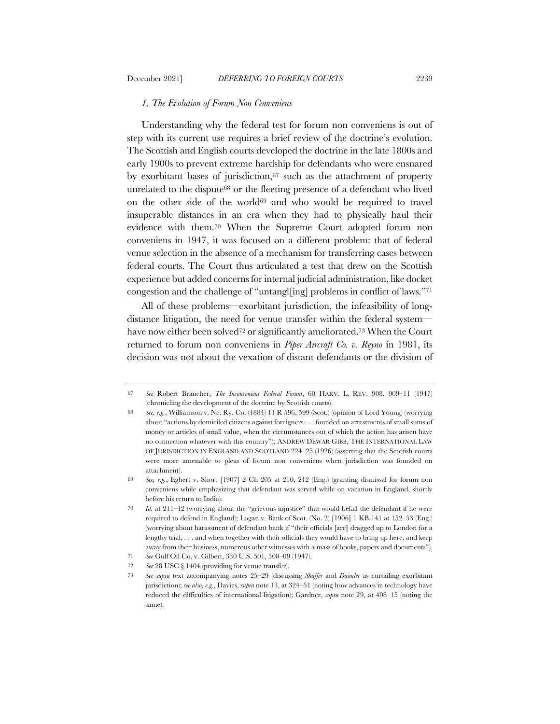### *1. The Evolution of Forum Non Conveniens*

Understanding why the federal test for forum non conveniens is out of step with its current use requires a brief review of the doctrine's evolution. The Scottish and English courts developed the doctrine in the late 1800s and early 1900s to prevent extreme hardship for defendants who were ensnared by exorbitant bases of jurisdiction, $67$  such as the attachment of property unrelated to the dispute<sup>68</sup> or the fleeting presence of a defendant who lived on the other side of the world $69$  and who would be required to travel insuperable distances in an era when they had to physically haul their evidence with them.70 When the Supreme Court adopted forum non conveniens in 1947, it was focused on a different problem: that of federal venue selection in the absence of a mechanism for transferring cases between federal courts. The Court thus articulated a test that drew on the Scottish experience but added concerns for internal judicial administration, like docket congestion and the challenge of "untangl[ing] problems in conflict of laws."71

All of these problems—exorbitant jurisdiction, the infeasibility of longdistance litigation, the need for venue transfer within the federal system have now either been solved<sup>72</sup> or significantly ameliorated.<sup>73</sup> When the Court returned to forum non conveniens in *Piper Aircraft Co. v. Reyno* in 1981, its decision was not about the vexation of distant defendants or the division of

<sup>67</sup> *See* Robert Braucher, *The Inconvenient Federal Forum*, 60 HARV. L. REV. 908, 909–11 (1947) (chronicling the development of the doctrine by Scottish courts).

<sup>68</sup> *See, e.g.*, Williamson v. Ne. Ry. Co. (1884) 11 R 596, 599 (Scot.) (opinion of Lord Young) (worrying about "actions by domiciled citizens against foreigners . . . founded on arrestments of small sums of money or articles of small value, when the circumstances out of which the action has arisen have no connection whatever with this country"); ANDREW DEWAR GIBB, THE INTERNATIONAL LAW OF JURISDICTION IN ENGLAND AND SCOTLAND 224–25 (1926) (asserting that the Scottish courts were more amenable to pleas of forum non conveniens when jurisdiction was founded on attachment).

<sup>69</sup> *See, e.g.*, Egbert v. Short [1907] 2 Ch 205 at 210, 212 (Eng.) (granting dismissal for forum non conveniens while emphasizing that defendant was served while on vacation in England, shortly before his return to India).

<sup>70</sup> *Id.* at 211–12 (worrying about the "grievous injustice" that would befall the defendant if he were required to defend in England); Logan v. Bank of Scot. (No. 2) [1906] 1 KB 141 at 152–53 (Eng.) (worrying about harassment of defendant bank if "their officials [are] dragged up to London for a lengthy trial, . . . and when together with their officials they would have to bring up here, and keep away from their business, numerous other witnesses with a mass of books, papers and documents"). 71 *See* Gulf Oil Co. v. Gilbert, 330 U.S. 501, 508–09 (1947).

<sup>72</sup> *See* 28 USC § 1404 (providing for venue transfer).

<sup>73</sup> *See supra* text accompanying notes 25–29 (discussing *Shaffer* and *Daimler* as curtailing exorbitant jurisdiction); *see also, e.g.*, Davies, *supra* note 13, at 324–51 (noting how advances in technology have reduced the difficulties of international litigation); Gardner, *supra* note 29, at 408–15 (noting the same).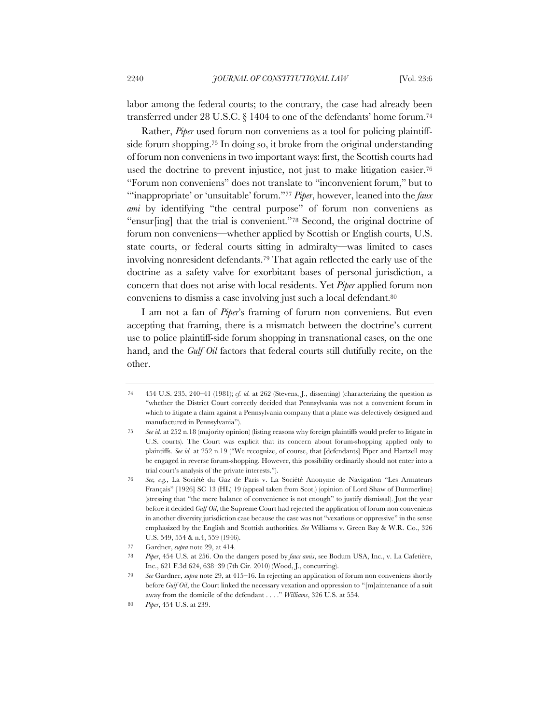labor among the federal courts; to the contrary, the case had already been transferred under 28 U.S.C. § 1404 to one of the defendants' home forum.74

Rather, *Piper* used forum non conveniens as a tool for policing plaintiffside forum shopping.75 In doing so, it broke from the original understanding of forum non conveniens in two important ways: first, the Scottish courts had used the doctrine to prevent injustice, not just to make litigation easier.76 "Forum non conveniens" does not translate to "inconvenient forum," but to "'inappropriate' or 'unsuitable' forum."77 *Piper*, however, leaned into the *faux ami* by identifying "the central purpose" of forum non conveniens as "ensur[ing] that the trial is convenient."78 Second, the original doctrine of forum non conveniens—whether applied by Scottish or English courts, U.S. state courts, or federal courts sitting in admiralty—was limited to cases involving nonresident defendants.79 That again reflected the early use of the doctrine as a safety valve for exorbitant bases of personal jurisdiction, a concern that does not arise with local residents. Yet *Piper* applied forum non conveniens to dismiss a case involving just such a local defendant.80

I am not a fan of *Piper*'s framing of forum non conveniens. But even accepting that framing, there is a mismatch between the doctrine's current use to police plaintiff-side forum shopping in transnational cases, on the one hand, and the *Gulf Oil* factors that federal courts still dutifully recite, on the other.

<sup>74</sup> 454 U.S. 235, 240–41 (1981); *cf. id.* at 262 (Stevens, J., dissenting) (characterizing the question as "whether the District Court correctly decided that Pennsylvania was not a convenient forum in which to litigate a claim against a Pennsylvania company that a plane was defectively designed and manufactured in Pennsylvania").

<sup>75</sup> *See id.* at 252 n.18 (majority opinion) (listing reasons why foreign plaintiffs would prefer to litigate in U.S. courts). The Court was explicit that its concern about forum-shopping applied only to plaintiffs. *See id.* at 252 n.19 ("We recognize, of course, that [defendants] Piper and Hartzell may be engaged in reverse forum-shopping. However, this possibility ordinarily should not enter into a trial court's analysis of the private interests.").

<sup>76</sup> *See, e.g.*, La Société du Gaz de Paris v. La Société Anonyme de Navigation "Les Armateurs Français" [1926] SC 13 (HL) 19 (appeal taken from Scot.) (opinion of Lord Shaw of Dunmerline) (stressing that "the mere balance of convenience is not enough" to justify dismissal). Just the year before it decided *Gulf Oil*, the Supreme Court had rejected the application of forum non conveniens in another diversity jurisdiction case because the case was not "vexatious or oppressive" in the sense emphasized by the English and Scottish authorities. *See* Williams v. Green Bay & W.R. Co., 326 U.S. 549, 554 & n.4, 559 (1946).

<sup>77</sup> Gardner, *supra* note 29, at 414.

<sup>78</sup> *Piper*, 454 U.S. at 256. On the dangers posed by *faux amis*, see Bodum USA, Inc., v. La Cafetière, Inc., 621 F.3d 624, 638–39 (7th Cir. 2010) (Wood, J., concurring).

<sup>79</sup> *See* Gardner, *supra* note 29, at 415–16. In rejecting an application of forum non conveniens shortly before *Gulf Oil*, the Court linked the necessary vexation and oppression to "[m]aintenance of a suit away from the domicile of the defendant . . . ." *Williams*, 326 U.S. at 554.

<sup>80</sup> *Piper*, 454 U.S. at 239.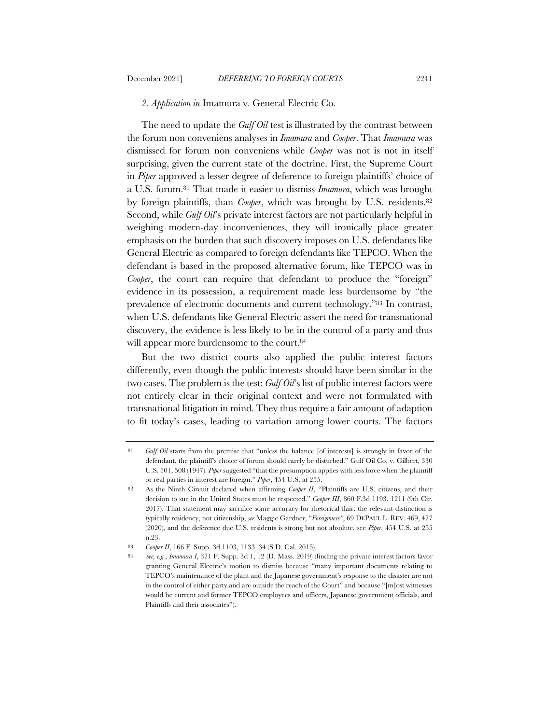#### *2. Application in* Imamura v. General Electric Co.

The need to update the *Gulf Oil* test is illustrated by the contrast between the forum non conveniens analyses in *Imamura* and *Cooper*. That *Imamura* was dismissed for forum non conveniens while *Cooper* was not is not in itself surprising, given the current state of the doctrine. First, the Supreme Court in *Piper* approved a lesser degree of deference to foreign plaintiffs' choice of a U.S. forum.81 That made it easier to dismiss *Imamura*, which was brought by foreign plaintiffs, than *Cooper*, which was brought by U.S. residents.<sup>82</sup> Second, while *Gulf Oil*'s private interest factors are not particularly helpful in weighing modern-day inconveniences, they will ironically place greater emphasis on the burden that such discovery imposes on U.S. defendants like General Electric as compared to foreign defendants like TEPCO. When the defendant is based in the proposed alternative forum, like TEPCO was in *Cooper*, the court can require that defendant to produce the "foreign" evidence in its possession, a requirement made less burdensome by "the prevalence of electronic documents and current technology."83 In contrast, when U.S. defendants like General Electric assert the need for transnational discovery, the evidence is less likely to be in the control of a party and thus will appear more burdensome to the court.<sup>84</sup>

But the two district courts also applied the public interest factors differently, even though the public interests should have been similar in the two cases. The problem is the test: *Gulf Oil*'s list of public interest factors were not entirely clear in their original context and were not formulated with transnational litigation in mind. They thus require a fair amount of adaption to fit today's cases, leading to variation among lower courts. The factors

<sup>81</sup> *Gulf Oil* starts from the premise that "unless the balance [of interests] is strongly in favor of the defendant, the plaintiff's choice of forum should rarely be disturbed." Gulf Oil Co. v. Gilbert, 330 U.S. 501, 508 (1947). *Piper* suggested "that the presumption applies with less force when the plaintiff or real parties in interest are foreign." *Piper*, 454 U.S. at 255.

<sup>82</sup> As the Ninth Circuit declared when affirming *Cooper II*, "Plaintiffs are U.S. citizens, and their decision to sue in the United States must be respected." *Cooper III*, 860 F.3d 1193, 1211 (9th Cir. 2017). That statement may sacrifice some accuracy for rhetorical flair: the relevant distinction is typically residency, not citizenship, *see* Maggie Gardner, "*Foreignness"*, 69 DEPAUL L. REV. 469, 477 (2020), and the deference due U.S. residents is strong but not absolute, see *Piper*, 454 U.S. at 255 n.23.

<sup>83</sup> *Cooper II*, 166 F. Supp. 3d 1103, 1133–34 (S.D. Cal. 2015).

<sup>84</sup> *See, e.g.*, *Imamura I*, 371 F. Supp. 3d 1, 12 (D. Mass. 2019) (finding the private interest factors favor granting General Electric's motion to dismiss because "many important documents relating to TEPCO's maintenance of the plant and the Japanese government's response to the disaster are not in the control of either party and are outside the reach of the Court" and because "[m]ost witnesses would be current and former TEPCO employees and officers, Japanese government officials, and Plaintiffs and their associates").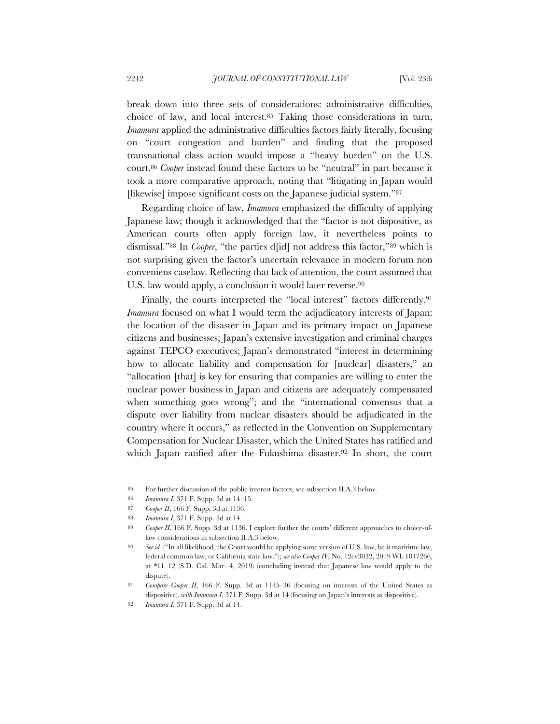break down into three sets of considerations: administrative difficulties, choice of law, and local interest.85 Taking those considerations in turn, *Imamura* applied the administrative difficulties factors fairly literally, focusing on "court congestion and burden" and finding that the proposed transnational class action would impose a "heavy burden" on the U.S. court.86 *Cooper* instead found these factors to be "neutral" in part because it took a more comparative approach, noting that "litigating in Japan would [likewise] impose significant costs on the Japanese judicial system."87

Regarding choice of law, *Imamura* emphasized the difficulty of applying Japanese law; though it acknowledged that the "factor is not dispositive, as American courts often apply foreign law, it nevertheless points to dismissal."88 In *Cooper*, "the parties d[id] not address this factor,"89 which is not surprising given the factor's uncertain relevance in modern forum non conveniens caselaw. Reflecting that lack of attention, the court assumed that U.S. law would apply, a conclusion it would later reverse.<sup>90</sup>

Finally, the courts interpreted the "local interest" factors differently.<sup>91</sup> *Imamura* focused on what I would term the adjudicatory interests of Japan: the location of the disaster in Japan and its primary impact on Japanese citizens and businesses; Japan's extensive investigation and criminal charges against TEPCO executives; Japan's demonstrated "interest in determining how to allocate liability and compensation for [nuclear] disasters," an "allocation [that] is key for ensuring that companies are willing to enter the nuclear power business in Japan and citizens are adequately compensated when something goes wrong"; and the "international consensus that a dispute over liability from nuclear disasters should be adjudicated in the country where it occurs," as reflected in the Convention on Supplementary Compensation for Nuclear Disaster, which the United States has ratified and which Japan ratified after the Fukushima disaster.<sup>92</sup> In short, the court

<sup>85</sup> For further discussion of the public interest factors, see subsection II.A.3 below.

<sup>86</sup> *Imamura I*, 371 F. Supp. 3d at 14–15.

<sup>87</sup> *Cooper II*, 166 F. Supp. 3d at 1136.

<sup>88</sup> *Imamura I*, 371 F. Supp. 3d at 14.

<sup>89</sup> *Cooper II*, 166 F. Supp. 3d at 1136. I explore further the courts' different approaches to choice-oflaw considerations in subsection II.A.3 below.

<sup>90</sup> *See id.* ("In all likelihood, the Court would be applying some version of U.S. law, be it maritime law, federal common law, or California state law."); *see also Cooper IV*, No. 12cv3032, 2019 WL 1017266, at \*11–12 (S.D. Cal. Mar. 4, 2019) (concluding instead that Japanese law would apply to the dispute).

<sup>91</sup> *Compare Cooper II*, 166 F. Supp. 3d at 1135–36 (focusing on interests of the United States as dispositive), *with Imamura I*, 371 F. Supp. 3d at 14 (focusing on Japan's interests as dispositive).

<sup>92</sup> *Imamura I*, 371 F. Supp. 3d at 14.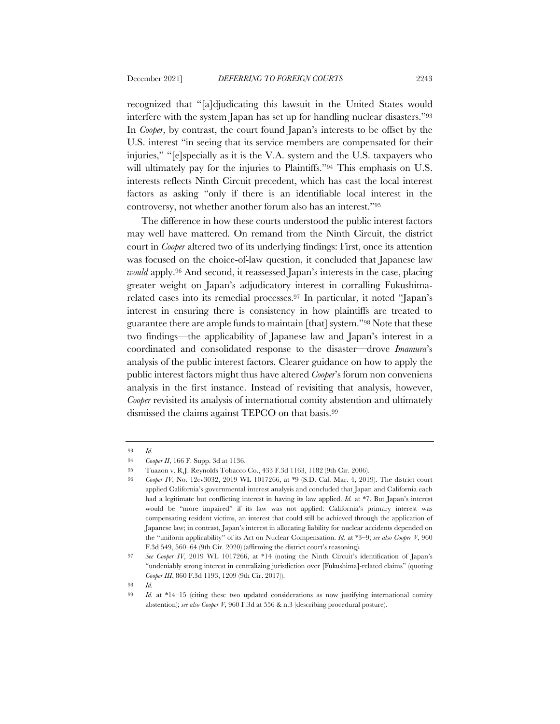recognized that "[a]djudicating this lawsuit in the United States would interfere with the system Japan has set up for handling nuclear disasters."93 In *Cooper*, by contrast, the court found Japan's interests to be offset by the U.S. interest "in seeing that its service members are compensated for their injuries," "[e]specially as it is the V.A. system and the U.S. taxpayers who will ultimately pay for the injuries to Plaintiffs."<sup>94</sup> This emphasis on U.S. interests reflects Ninth Circuit precedent, which has cast the local interest factors as asking "only if there is an identifiable local interest in the controversy, not whether another forum also has an interest."95

The difference in how these courts understood the public interest factors may well have mattered. On remand from the Ninth Circuit, the district court in *Cooper* altered two of its underlying findings: First, once its attention was focused on the choice-of-law question, it concluded that Japanese law *would* apply.96 And second, it reassessed Japan's interests in the case, placing greater weight on Japan's adjudicatory interest in corralling Fukushimarelated cases into its remedial processes.97 In particular, it noted "Japan's interest in ensuring there is consistency in how plaintiffs are treated to guarantee there are ample funds to maintain [that] system."98 Note that these two findings—the applicability of Japanese law and Japan's interest in a coordinated and consolidated response to the disaster—drove *Imamura*'s analysis of the public interest factors. Clearer guidance on how to apply the public interest factors might thus have altered *Cooper*'s forum non conveniens analysis in the first instance. Instead of revisiting that analysis, however, *Cooper* revisited its analysis of international comity abstention and ultimately dismissed the claims against TEPCO on that basis.99

<sup>93</sup> *Id.*

<sup>94</sup> *Cooper II*, 166 F. Supp. 3d at 1136.

<sup>95</sup> Tuazon v. R.J. Reynolds Tobacco Co., 433 F.3d 1163, 1182 (9th Cir. 2006).

<sup>96</sup> *Cooper IV*, No. 12cv3032, 2019 WL 1017266, at \*9 (S.D. Cal. Mar. 4, 2019). The district court applied California's governmental interest analysis and concluded that Japan and California each had a legitimate but conflicting interest in having its law applied. *Id.* at \*7. But Japan's interest would be "more impaired" if its law was not applied: California's primary interest was compensating resident victims, an interest that could still be achieved through the application of Japanese law; in contrast, Japan's interest in allocating liability for nuclear accidents depended on the "uniform applicability" of its Act on Nuclear Compensation. *Id.* at \*3–9; *see also Cooper V*, 960 F.3d 549, 560–64 (9th Cir. 2020) (affirming the district court's reasoning).

<sup>97</sup> *See Cooper IV*, 2019 WL 1017266, at \*14 (noting the Ninth Circuit's identification of Japan's "undeniably strong interest in centralizing jurisdiction over [Fukushima]-related claims" (quoting *Cooper III*, 860 F.3d 1193, 1209 (9th Cir. 2017)).

<sup>98</sup> *Id.*

<sup>99</sup> *Id.* at \*14–15 (citing these two updated considerations as now justifying international comity abstention); *see also Cooper V*, 960 F.3d at 556 & n.3 (describing procedural posture).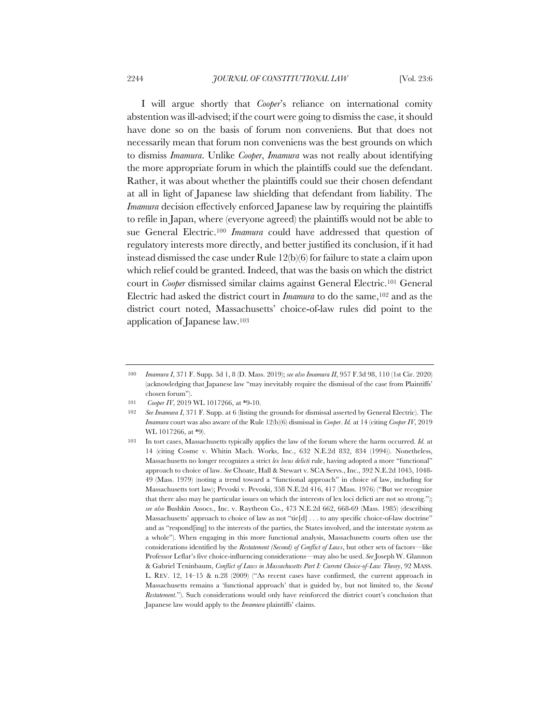I will argue shortly that *Cooper*'s reliance on international comity abstention was ill-advised; if the court were going to dismiss the case, it should have done so on the basis of forum non conveniens. But that does not necessarily mean that forum non conveniens was the best grounds on which to dismiss *Imamura*. Unlike *Cooper*, *Imamura* was not really about identifying the more appropriate forum in which the plaintiffs could sue the defendant. Rather, it was about whether the plaintiffs could sue their chosen defendant at all in light of Japanese law shielding that defendant from liability. The *Imamura* decision effectively enforced Japanese law by requiring the plaintiffs to refile in Japan, where (everyone agreed) the plaintiffs would not be able to sue General Electric.100 *Imamura* could have addressed that question of regulatory interests more directly, and better justified its conclusion, if it had instead dismissed the case under Rule 12(b)(6) for failure to state a claim upon which relief could be granted. Indeed, that was the basis on which the district court in *Cooper* dismissed similar claims against General Electric.101 General Electric had asked the district court in *Imamura* to do the same,102 and as the district court noted, Massachusetts' choice-of-law rules did point to the application of Japanese law.103

<sup>100</sup> *Imamura I*, 371 F. Supp. 3d 1, 8 (D. Mass. 2019); *see also Imamura II*, 957 F.3d 98, 110 (1st Cir. 2020) (acknowledging that Japanese law "may inevitably require the dismissal of the case from Plaintiffs' chosen forum").

<sup>101</sup> *Cooper IV*, 2019 WL 1017266, at \*9-10.

<sup>102</sup> *See Imamura I*, 371 F. Supp. at 6 (listing the grounds for dismissal asserted by General Electric). The *Imamura* court was also aware of the Rule 12(b)(6) dismissal in *Cooper*. *Id.* at 14 (citing *Cooper IV*, 2019 WL 1017266, at \*9).

<sup>103</sup> In tort cases, Massachusetts typically applies the law of the forum where the harm occurred. *Id.* at 14 (citing Cosme v. Whitin Mach. Works, Inc., 632 N.E.2d 832, 834 (1994)). Nonetheless, Massachusetts no longer recognizes a strict *lex locus delicti* rule, having adopted a more "functional" approach to choice of law. *See* Choate, Hall & Stewart v. SCA Servs., Inc., 392 N.E.2d 1045, 1048- 49 (Mass. 1979) (noting a trend toward a "functional approach" in choice of law, including for Massachusetts tort law); Pevoski v. Pevoski, 358 N.E.2d 416, 417 (Mass. 1976) ("But we recognize that there also may be particular issues on which the interests of lex loci delicti are not so strong."); *see also* Bushkin Assocs., Inc. v. Raytheon Co., 473 N.E.2d 662, 668-69 (Mass. 1985) (describing Massachusetts' approach to choice of law as not "tie[d] . . . to any specific choice-of-law doctrine" and as "respond[ing] to the interests of the parties, the States involved, and the interstate system as a whole"). When engaging in this more functional analysis, Massachusetts courts often use the considerations identified by the *Restatement (Second) of Conflict of Laws*, but other sets of factors—like Professor Leflar's five choice-influencing considerations—may also be used. *See* Joseph W. Glannon & Gabriel Teninbaum, *Conflict of Laws in Massachusetts Part I: Current Choice-of-Law Theory*, 92 MASS. L. REV. 12, 14–15 & n.28 (2009) ("As recent cases have confirmed, the current approach in Massachusetts remains a 'functional approach' that is guided by, but not limited to, the *Second Restatement*."). Such considerations would only have reinforced the district court's conclusion that Japanese law would apply to the *Imamura* plaintiffs' claims.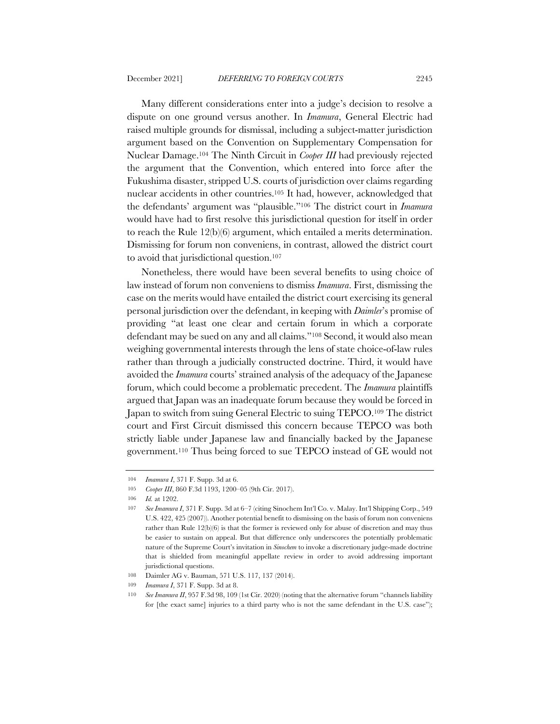Many different considerations enter into a judge's decision to resolve a dispute on one ground versus another. In *Imamura*, General Electric had raised multiple grounds for dismissal, including a subject-matter jurisdiction argument based on the Convention on Supplementary Compensation for Nuclear Damage.104 The Ninth Circuit in *Cooper III* had previously rejected the argument that the Convention, which entered into force after the Fukushima disaster, stripped U.S. courts of jurisdiction over claims regarding nuclear accidents in other countries.105 It had, however, acknowledged that the defendants' argument was "plausible."106 The district court in *Imamura* would have had to first resolve this jurisdictional question for itself in order to reach the Rule 12(b)(6) argument, which entailed a merits determination. Dismissing for forum non conveniens, in contrast, allowed the district court to avoid that jurisdictional question.107

Nonetheless, there would have been several benefits to using choice of law instead of forum non conveniens to dismiss *Imamura*. First, dismissing the case on the merits would have entailed the district court exercising its general personal jurisdiction over the defendant, in keeping with *Daimler*'s promise of providing "at least one clear and certain forum in which a corporate defendant may be sued on any and all claims."108 Second, it would also mean weighing governmental interests through the lens of state choice-of-law rules rather than through a judicially constructed doctrine. Third, it would have avoided the *Imamura* courts' strained analysis of the adequacy of the Japanese forum, which could become a problematic precedent. The *Imamura* plaintiffs argued that Japan was an inadequate forum because they would be forced in Japan to switch from suing General Electric to suing TEPCO.109 The district court and First Circuit dismissed this concern because TEPCO was both strictly liable under Japanese law and financially backed by the Japanese government.110 Thus being forced to sue TEPCO instead of GE would not

<sup>104</sup> *Imamura I*, 371 F. Supp. 3d at 6.

<sup>105</sup> *Cooper III*, 860 F.3d 1193, 1200–05 (9th Cir. 2017).

<sup>106</sup> *Id.* at 1202.

<sup>107</sup> *See Imamura I*, 371 F. Supp. 3d at 6–7 (citing Sinochem Int'l Co. v. Malay. Int'l Shipping Corp., 549 U.S. 422, 425 (2007)). Another potential benefit to dismissing on the basis of forum non conveniens rather than Rule 12(b)(6) is that the former is reviewed only for abuse of discretion and may thus be easier to sustain on appeal. But that difference only underscores the potentially problematic nature of the Supreme Court's invitation in *Sinochem* to invoke a discretionary judge-made doctrine that is shielded from meaningful appellate review in order to avoid addressing important jurisdictional questions.

<sup>108</sup> Daimler AG v. Bauman, 571 U.S. 117, 137 (2014).

<sup>109</sup> *Imamura I*, 371 F. Supp. 3d at 8.

<sup>110</sup> *See Imamura II*, 957 F.3d 98, 109 (1st Cir. 2020) (noting that the alternative forum "channels liability for [the exact same] injuries to a third party who is not the same defendant in the U.S. case");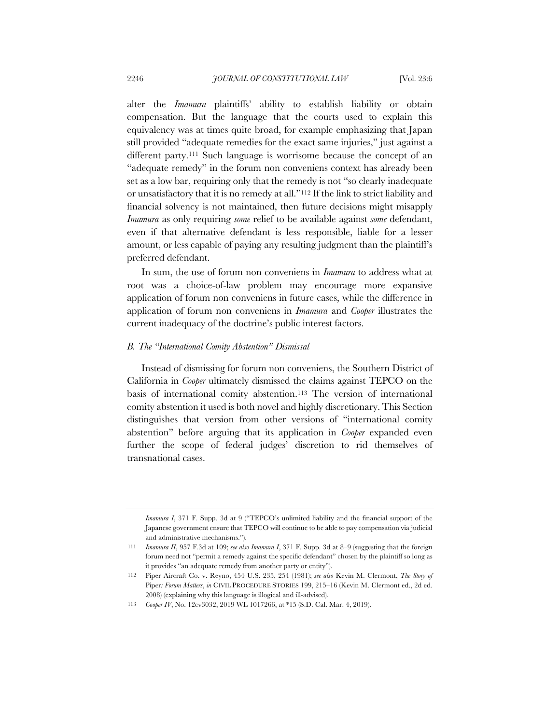alter the *Imamura* plaintiffs' ability to establish liability or obtain compensation. But the language that the courts used to explain this equivalency was at times quite broad, for example emphasizing that Japan still provided "adequate remedies for the exact same injuries," just against a different party.111 Such language is worrisome because the concept of an "adequate remedy" in the forum non conveniens context has already been set as a low bar, requiring only that the remedy is not "so clearly inadequate or unsatisfactory that it is no remedy at all."112 If the link to strict liability and financial solvency is not maintained, then future decisions might misapply *Imamura* as only requiring *some* relief to be available against *some* defendant, even if that alternative defendant is less responsible, liable for a lesser amount, or less capable of paying any resulting judgment than the plaintiff's preferred defendant.

In sum, the use of forum non conveniens in *Imamura* to address what at root was a choice-of-law problem may encourage more expansive application of forum non conveniens in future cases, while the difference in application of forum non conveniens in *Imamura* and *Cooper* illustrates the current inadequacy of the doctrine's public interest factors.

## *B. The "International Comity Abstention" Dismissal*

Instead of dismissing for forum non conveniens, the Southern District of California in *Cooper* ultimately dismissed the claims against TEPCO on the basis of international comity abstention.113 The version of international comity abstention it used is both novel and highly discretionary. This Section distinguishes that version from other versions of "international comity abstention" before arguing that its application in *Cooper* expanded even further the scope of federal judges' discretion to rid themselves of transnational cases.

*Imamura I*, 371 F. Supp. 3d at 9 ("TEPCO's unlimited liability and the financial support of the Japanese government ensure that TEPCO will continue to be able to pay compensation via judicial and administrative mechanisms.").

<sup>111</sup> *Imamura II*, 957 F.3d at 109; *see also Imamura I*, 371 F. Supp. 3d at 8–9 (suggesting that the foreign forum need not "permit a remedy against the specific defendant" chosen by the plaintiff so long as it provides "an adequate remedy from another party or entity").

<sup>112</sup> Piper Aircraft Co. v. Reyno, 454 U.S. 235, 254 (1981); *see also* Kevin M. Clermont, *The Story of*  Piper*: Forum Matters*, *in* CIVIL PROCEDURE STORIES 199, 215–16 (Kevin M. Clermont ed., 2d ed. 2008) (explaining why this language is illogical and ill-advised).

<sup>113</sup> *Cooper IV*, No. 12cv3032, 2019 WL 1017266, at \*15 (S.D. Cal. Mar. 4, 2019).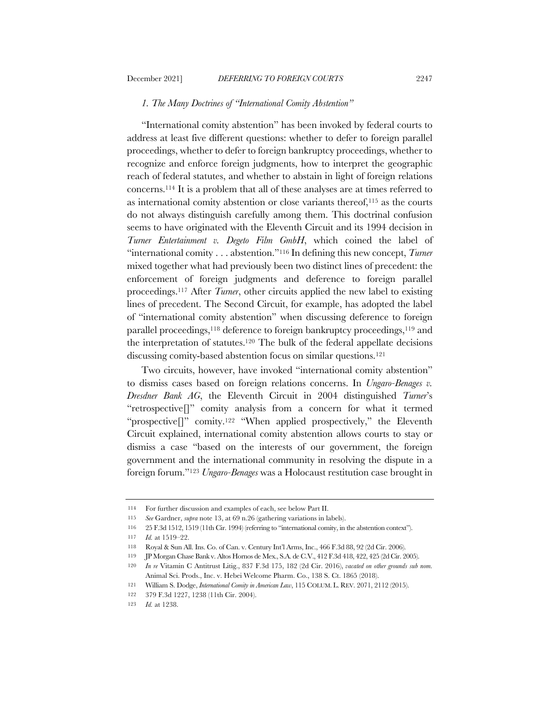## *1. The Many Doctrines of "International Comity Abstention"*

"International comity abstention" has been invoked by federal courts to address at least five different questions: whether to defer to foreign parallel proceedings, whether to defer to foreign bankruptcy proceedings, whether to recognize and enforce foreign judgments, how to interpret the geographic reach of federal statutes, and whether to abstain in light of foreign relations concerns.114 It is a problem that all of these analyses are at times referred to as international comity abstention or close variants thereof,115 as the courts do not always distinguish carefully among them. This doctrinal confusion seems to have originated with the Eleventh Circuit and its 1994 decision in *Turner Entertainment v. Degeto Film GmbH*, which coined the label of "international comity . . . abstention."116 In defining this new concept, *Turner* mixed together what had previously been two distinct lines of precedent: the enforcement of foreign judgments and deference to foreign parallel proceedings.117 After *Turner*, other circuits applied the new label to existing lines of precedent. The Second Circuit, for example, has adopted the label of "international comity abstention" when discussing deference to foreign parallel proceedings,<sup>118</sup> deference to foreign bankruptcy proceedings,<sup>119</sup> and the interpretation of statutes.120 The bulk of the federal appellate decisions discussing comity-based abstention focus on similar questions.121

Two circuits, however, have invoked "international comity abstention" to dismiss cases based on foreign relations concerns. In *Ungaro-Benages v. Dresdner Bank AG*, the Eleventh Circuit in 2004 distinguished *Turner*'s "retrospective[]" comity analysis from a concern for what it termed "prospective[]" comity.122 "When applied prospectively," the Eleventh Circuit explained, international comity abstention allows courts to stay or dismiss a case "based on the interests of our government, the foreign government and the international community in resolving the dispute in a foreign forum."123 *Ungaro-Benages* was a Holocaust restitution case brought in

<sup>114</sup> For further discussion and examples of each, see below Part II.

<sup>115</sup> *See* Gardner, *supra* note 13, at 69 n.26 (gathering variations in labels).

<sup>116</sup> 25 F.3d 1512, 1519 (11th Cir. 1994) (referring to "international comity, in the abstention context").

<sup>117</sup> *Id.* at 1519–22.

<sup>118</sup> Royal & Sun All. Ins. Co. of Can. v. Century Int'l Arms, Inc., 466 F.3d 88, 92 (2d Cir. 2006).

<sup>119</sup> JP Morgan Chase Bank v. Altos Hornos de Mex., S.A. de C.V., 412 F.3d 418, 422, 425 (2d Cir. 2005).

<sup>120</sup> *In re* Vitamin C Antitrust Litig., 837 F.3d 175, 182 (2d Cir. 2016), *vacated on other grounds sub nom.* Animal Sci. Prods., Inc. v. Hebei Welcome Pharm. Co., 138 S. Ct. 1865 (2018).

<sup>121</sup> William S. Dodge, *International Comity in American Law*, 115 COLUM. L. REV. 2071, 2112 (2015).

<sup>122</sup> 379 F.3d 1227, 1238 (11th Cir. 2004).

<sup>123</sup> *Id.* at 1238.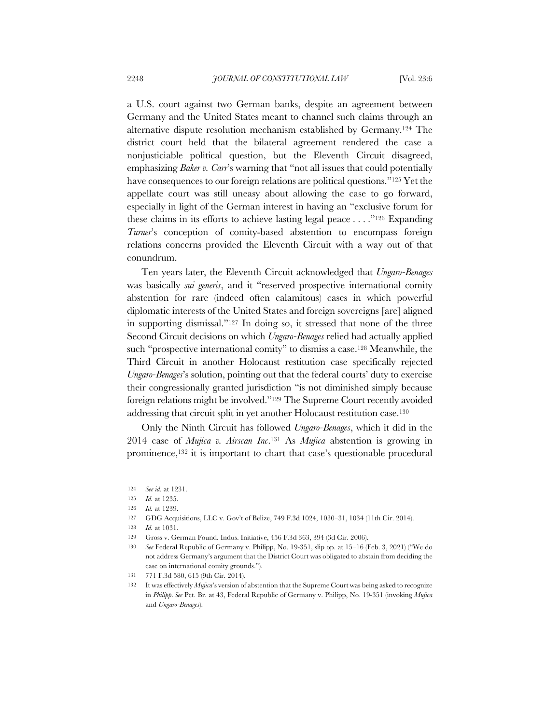a U.S. court against two German banks, despite an agreement between Germany and the United States meant to channel such claims through an alternative dispute resolution mechanism established by Germany.124 The district court held that the bilateral agreement rendered the case a nonjusticiable political question, but the Eleventh Circuit disagreed, emphasizing *Baker v. Carr*'s warning that "not all issues that could potentially have consequences to our foreign relations are political questions."125 Yet the appellate court was still uneasy about allowing the case to go forward, especially in light of the German interest in having an "exclusive forum for these claims in its efforts to achieve lasting legal peace . . . ."126 Expanding *Turner*'s conception of comity-based abstention to encompass foreign relations concerns provided the Eleventh Circuit with a way out of that conundrum.

Ten years later, the Eleventh Circuit acknowledged that *Ungaro-Benages*  was basically *sui generis*, and it "reserved prospective international comity abstention for rare (indeed often calamitous) cases in which powerful diplomatic interests of the United States and foreign sovereigns [are] aligned in supporting dismissal."127 In doing so, it stressed that none of the three Second Circuit decisions on which *Ungaro-Benages* relied had actually applied such "prospective international comity" to dismiss a case.<sup>128</sup> Meanwhile, the Third Circuit in another Holocaust restitution case specifically rejected *Ungaro-Benages*'s solution, pointing out that the federal courts' duty to exercise their congressionally granted jurisdiction "is not diminished simply because foreign relations might be involved."129 The Supreme Court recently avoided addressing that circuit split in yet another Holocaust restitution case.130

Only the Ninth Circuit has followed *Ungaro-Benages*, which it did in the 2014 case of *Mujica v. Airscan Inc*.131 As *Mujica* abstention is growing in prominence,132 it is important to chart that case's questionable procedural

<sup>124</sup> *See id.* at 1231.

<sup>125</sup> *Id.* at 1235.

<sup>126</sup> *Id.* at 1239.

<sup>127</sup> GDG Acquisitions, LLC v. Gov't of Belize, 749 F.3d 1024, 1030–31, 1034 (11th Cir. 2014).

<sup>128</sup> *Id.* at 1031.

<sup>129</sup> Gross v. German Found. Indus. Initiative, 456 F.3d 363, 394 (3d Cir. 2006).

<sup>130</sup> *See* Federal Republic of Germany v. Philipp, No. 19-351, slip op. at 15–16 (Feb. 3, 2021) ("We do not address Germany's argument that the District Court was obligated to abstain from deciding the case on international comity grounds.").

<sup>131</sup> 771 F.3d 580, 615 (9th Cir. 2014).

<sup>132</sup> It was effectively *Mujica*'s version of abstention that the Supreme Court was being asked to recognize in *Philipp*. *See* Pet. Br. at 43, Federal Republic of Germany v. Philipp, No. 19-351 (invoking *Mujica* and *Ungaro-Benages*).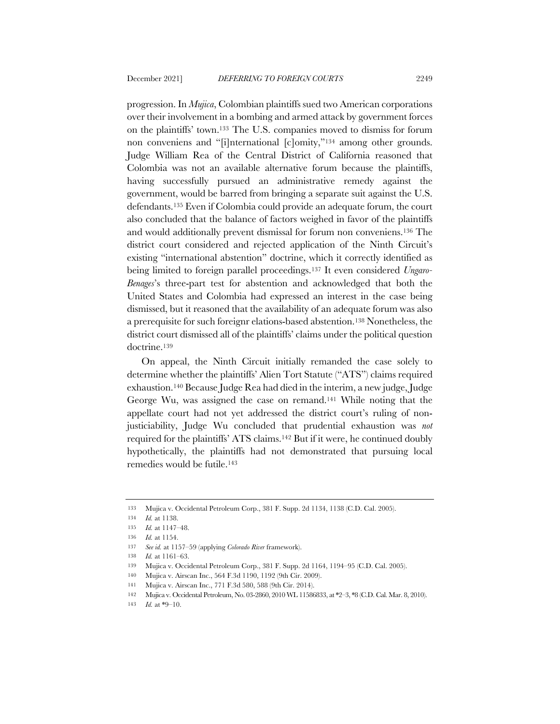progression. In *Mujica*, Colombian plaintiffs sued two American corporations over their involvement in a bombing and armed attack by government forces on the plaintiffs' town.133 The U.S. companies moved to dismiss for forum non conveniens and "[i]nternational [c]omity,"134 among other grounds. Judge William Rea of the Central District of California reasoned that Colombia was not an available alternative forum because the plaintiffs, having successfully pursued an administrative remedy against the government, would be barred from bringing a separate suit against the U.S. defendants.135 Even if Colombia could provide an adequate forum, the court also concluded that the balance of factors weighed in favor of the plaintiffs and would additionally prevent dismissal for forum non conveniens.136 The district court considered and rejected application of the Ninth Circuit's existing "international abstention" doctrine, which it correctly identified as being limited to foreign parallel proceedings.137 It even considered *Ungaro-Benages*'s three-part test for abstention and acknowledged that both the United States and Colombia had expressed an interest in the case being dismissed, but it reasoned that the availability of an adequate forum was also a prerequisite for such foreignr elations-based abstention.138 Nonetheless, the district court dismissed all of the plaintiffs' claims under the political question doctrine.139

On appeal, the Ninth Circuit initially remanded the case solely to determine whether the plaintiffs' Alien Tort Statute ("ATS") claims required exhaustion.140 Because Judge Rea had died in the interim, a new judge, Judge George Wu, was assigned the case on remand.141 While noting that the appellate court had not yet addressed the district court's ruling of nonjusticiability, Judge Wu concluded that prudential exhaustion was *not* required for the plaintiffs' ATS claims.142 But if it were, he continued doubly hypothetically, the plaintiffs had not demonstrated that pursuing local remedies would be futile.143

<sup>133</sup> Mujica v. Occidental Petroleum Corp., 381 F. Supp. 2d 1134, 1138 (C.D. Cal. 2005).

<sup>134</sup> *Id.* at 1138.

<sup>135</sup> *Id.* at 1147–48.

<sup>136</sup> *Id.* at 1154.

<sup>137</sup> *See id.* at 1157–59 (applying *Colorado River* framework).

<sup>138</sup> *Id.* at 1161–63.

<sup>139</sup> Mujica v. Occidental Petroleum Corp., 381 F. Supp. 2d 1164, 1194–95 (C.D. Cal. 2005).

<sup>140</sup> Mujica v. Airscan Inc., 564 F.3d 1190, 1192 (9th Cir. 2009).

<sup>141</sup> Mujica v. Airscan Inc., 771 F.3d 580, 588 (9th Cir. 2014).

<sup>142</sup> Mujica v. Occidental Petroleum, No. 03-2860, 2010 WL 11586833, at \*2–3, \*8 (C.D. Cal. Mar. 8, 2010).

<sup>143</sup> *Id.* at \*9–10.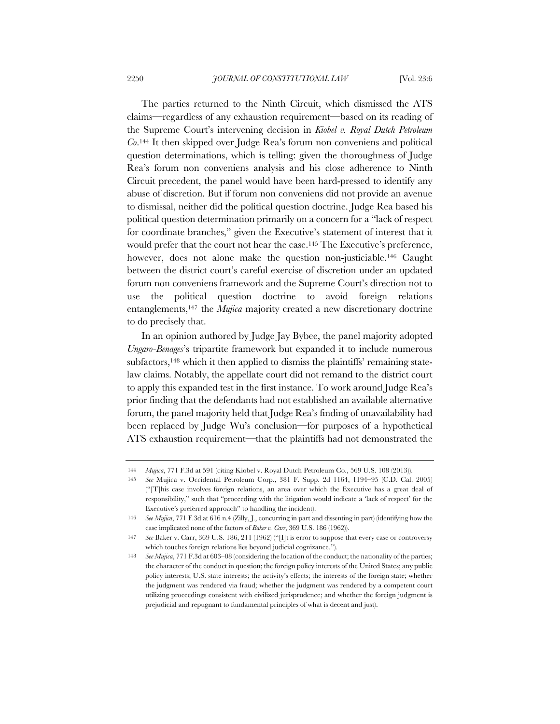The parties returned to the Ninth Circuit, which dismissed the ATS claims—regardless of any exhaustion requirement—based on its reading of the Supreme Court's intervening decision in *Kiobel v. Royal Dutch Petroleum Co*.144 It then skipped over Judge Rea's forum non conveniens and political question determinations, which is telling: given the thoroughness of Judge Rea's forum non conveniens analysis and his close adherence to Ninth Circuit precedent, the panel would have been hard-pressed to identify any abuse of discretion. But if forum non conveniens did not provide an avenue to dismissal, neither did the political question doctrine. Judge Rea based his political question determination primarily on a concern for a "lack of respect for coordinate branches," given the Executive's statement of interest that it would prefer that the court not hear the case.145 The Executive's preference, however, does not alone make the question non-justiciable.<sup>146</sup> Caught between the district court's careful exercise of discretion under an updated forum non conveniens framework and the Supreme Court's direction not to use the political question doctrine to avoid foreign relations entanglements,147 the *Mujica* majority created a new discretionary doctrine to do precisely that.

In an opinion authored by Judge Jay Bybee, the panel majority adopted *Ungaro-Benages*'s tripartite framework but expanded it to include numerous subfactors,<sup>148</sup> which it then applied to dismiss the plaintiffs' remaining statelaw claims. Notably, the appellate court did not remand to the district court to apply this expanded test in the first instance. To work around Judge Rea's prior finding that the defendants had not established an available alternative forum, the panel majority held that Judge Rea's finding of unavailability had been replaced by Judge Wu's conclusion—for purposes of a hypothetical ATS exhaustion requirement—that the plaintiffs had not demonstrated the

<sup>144</sup> *Mujica*, 771 F.3d at 591 (citing Kiobel v. Royal Dutch Petroleum Co., 569 U.S. 108 (2013)).

<sup>145</sup> *See* Mujica v. Occidental Petroleum Corp., 381 F. Supp. 2d 1164, 1194–95 (C.D. Cal. 2005) ("[T]his case involves foreign relations, an area over which the Executive has a great deal of responsibility," such that "proceeding with the litigation would indicate a 'lack of respect' for the Executive's preferred approach" to handling the incident).

<sup>146</sup> *See Mujica*, 771 F.3d at 616 n.4 (Zilly, J., concurring in part and dissenting in part) (identifying how the case implicated none of the factors of *Baker v. Carr*, 369 U.S. 186 (1962)).

<sup>147</sup> *See* Baker v. Carr, 369 U.S. 186, 211 (1962) ("[I]t is error to suppose that every case or controversy which touches foreign relations lies beyond judicial cognizance.").

<sup>148</sup> *See Mujica*, 771 F.3d at 603–08 (considering the location of the conduct; the nationality of the parties; the character of the conduct in question; the foreign policy interests of the United States; any public policy interests; U.S. state interests; the activity's effects; the interests of the foreign state; whether the judgment was rendered via fraud; whether the judgment was rendered by a competent court utilizing proceedings consistent with civilized jurisprudence; and whether the foreign judgment is prejudicial and repugnant to fundamental principles of what is decent and just).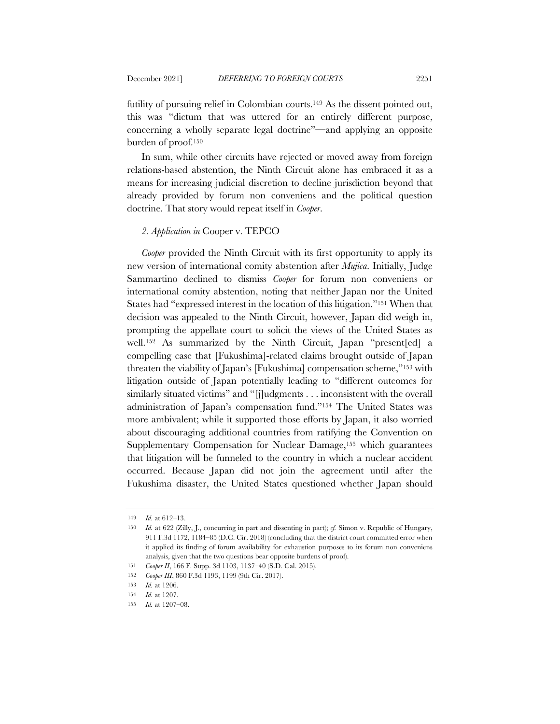futility of pursuing relief in Colombian courts.149 As the dissent pointed out, this was "dictum that was uttered for an entirely different purpose, concerning a wholly separate legal doctrine"—and applying an opposite burden of proof.150

In sum, while other circuits have rejected or moved away from foreign relations-based abstention, the Ninth Circuit alone has embraced it as a means for increasing judicial discretion to decline jurisdiction beyond that already provided by forum non conveniens and the political question doctrine. That story would repeat itself in *Cooper*.

### *2. Application in* Cooper v. TEPCO

*Cooper* provided the Ninth Circuit with its first opportunity to apply its new version of international comity abstention after *Mujica*. Initially, Judge Sammartino declined to dismiss *Cooper* for forum non conveniens or international comity abstention, noting that neither Japan nor the United States had "expressed interest in the location of this litigation."151 When that decision was appealed to the Ninth Circuit, however, Japan did weigh in, prompting the appellate court to solicit the views of the United States as well.152 As summarized by the Ninth Circuit, Japan "present[ed] a compelling case that [Fukushima]-related claims brought outside of Japan threaten the viability of Japan's [Fukushima] compensation scheme,"153 with litigation outside of Japan potentially leading to "different outcomes for similarly situated victims" and "[j]udgments . . . inconsistent with the overall administration of Japan's compensation fund."154 The United States was more ambivalent; while it supported those efforts by Japan, it also worried about discouraging additional countries from ratifying the Convention on Supplementary Compensation for Nuclear Damage,155 which guarantees that litigation will be funneled to the country in which a nuclear accident occurred. Because Japan did not join the agreement until after the Fukushima disaster, the United States questioned whether Japan should

<sup>149</sup> *Id.* at 612–13.

<sup>150</sup> *Id.* at 622 (Zilly, J., concurring in part and dissenting in part); *cf.* Simon v. Republic of Hungary, 911 F.3d 1172, 1184–85 (D.C. Cir. 2018) (concluding that the district court committed error when it applied its finding of forum availability for exhaustion purposes to its forum non conveniens analysis, given that the two questions bear opposite burdens of proof).

<sup>151</sup> *Cooper II*, 166 F. Supp. 3d 1103, 1137–40 (S.D. Cal. 2015).

<sup>152</sup> *Cooper III*, 860 F.3d 1193, 1199 (9th Cir. 2017).

<sup>153</sup> *Id.* at 1206.

<sup>154</sup> *Id.* at 1207.

<sup>155</sup> *Id.* at 1207–08.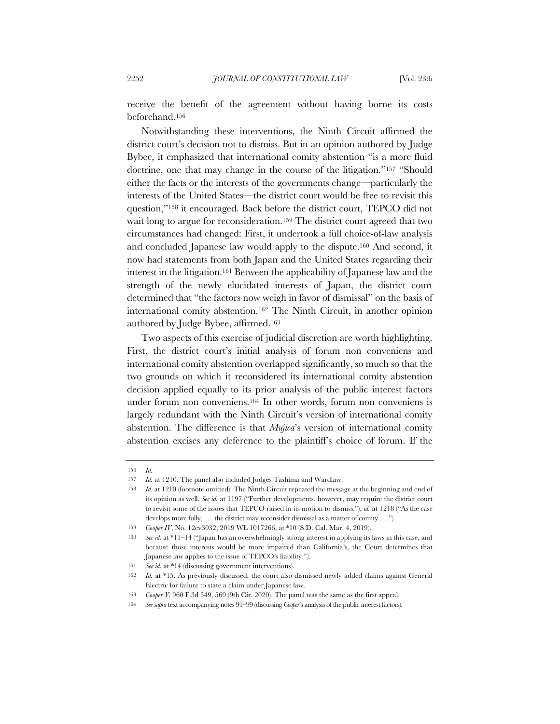receive the benefit of the agreement without having borne its costs beforehand.156

Notwithstanding these interventions, the Ninth Circuit affirmed the district court's decision not to dismiss. But in an opinion authored by Judge Bybee, it emphasized that international comity abstention "is a more fluid doctrine, one that may change in the course of the litigation."157 "Should either the facts or the interests of the governments change—particularly the interests of the United States—the district court would be free to revisit this question,"158 it encouraged. Back before the district court, TEPCO did not wait long to argue for reconsideration.159 The district court agreed that two circumstances had changed: First, it undertook a full choice-of-law analysis and concluded Japanese law would apply to the dispute.160 And second, it now had statements from both Japan and the United States regarding their interest in the litigation.161 Between the applicability of Japanese law and the strength of the newly elucidated interests of Japan, the district court determined that "the factors now weigh in favor of dismissal" on the basis of international comity abstention.162 The Ninth Circuit, in another opinion authored by Judge Bybee, affirmed.163

Two aspects of this exercise of judicial discretion are worth highlighting. First, the district court's initial analysis of forum non conveniens and international comity abstention overlapped significantly, so much so that the two grounds on which it reconsidered its international comity abstention decision applied equally to its prior analysis of the public interest factors under forum non conveniens.164 In other words, forum non conveniens is largely redundant with the Ninth Circuit's version of international comity abstention. The difference is that *Mujica*'s version of international comity abstention excises any deference to the plaintiff's choice of forum. If the

<sup>156</sup> *Id.*

<sup>157</sup> *Id.* at 1210. The panel also included Judges Tashima and Wardlaw.

<sup>158</sup> *Id.* at 1210 (footnote omitted). The Ninth Circuit repeated the message at the beginning and end of its opinion as well. *See id.* at 1197 ("Further developments, however, may require the district court to revisit some of the issues that TEPCO raised in its motion to dismiss."); *id.* at 1218 ("As the case develops more fully, . . . the district may reconsider dismissal as a matter of comity . . .").

<sup>159</sup> *Cooper IV*, No. 12cv3032, 2019 WL 1017266, at \*10 (S.D. Cal. Mar. 4, 2019).

<sup>160</sup> *See id.* at \*11–14 ("Japan has an overwhelmingly strong interest in applying its laws in this case, and because those interests would be more impaired than California's, the Court determines that Japanese law applies to the issue of TEPCO's liability.").

<sup>161</sup> *See id.* at \*14 (discussing government interventions).

<sup>162</sup> *Id.* at \*15. As previously discussed, the court also dismissed newly added claims against General Electric for failure to state a claim under Japanese law.

<sup>163</sup> *Cooper V*, 960 F.3d 549, 569 (9th Cir. 2020). The panel was the same as the first appeal.

<sup>164</sup> *See supra* text accompanying notes 91–99 (discussing *Cooper*'s analysis of the public interest factors).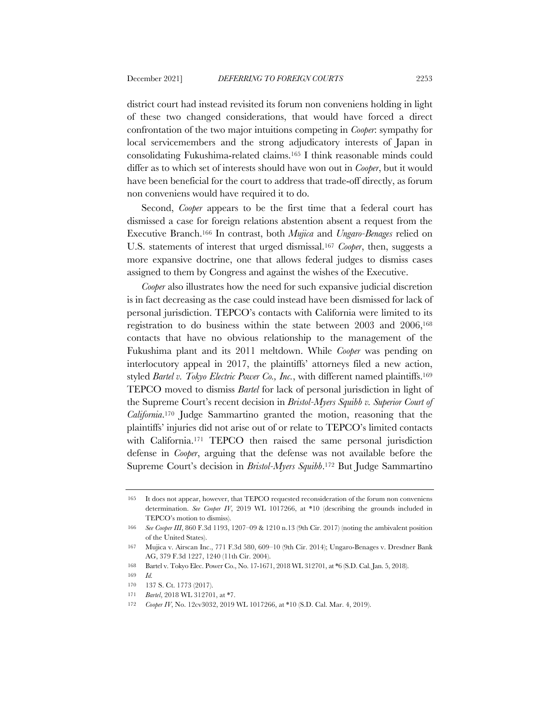district court had instead revisited its forum non conveniens holding in light of these two changed considerations, that would have forced a direct confrontation of the two major intuitions competing in *Cooper*: sympathy for local servicemembers and the strong adjudicatory interests of Japan in consolidating Fukushima-related claims.165 I think reasonable minds could differ as to which set of interests should have won out in *Cooper*, but it would have been beneficial for the court to address that trade-off directly, as forum non conveniens would have required it to do.

Second, *Cooper* appears to be the first time that a federal court has dismissed a case for foreign relations abstention absent a request from the Executive Branch.166 In contrast, both *Mujica* and *Ungaro-Benages* relied on U.S. statements of interest that urged dismissal.167 *Cooper*, then, suggests a more expansive doctrine, one that allows federal judges to dismiss cases assigned to them by Congress and against the wishes of the Executive.

*Cooper* also illustrates how the need for such expansive judicial discretion is in fact decreasing as the case could instead have been dismissed for lack of personal jurisdiction. TEPCO's contacts with California were limited to its registration to do business within the state between 2003 and 2006,168 contacts that have no obvious relationship to the management of the Fukushima plant and its 2011 meltdown. While *Cooper* was pending on interlocutory appeal in 2017, the plaintiffs' attorneys filed a new action, styled *Bartel v. Tokyo Electric Power Co., Inc.*, with different named plaintiffs.169 TEPCO moved to dismiss *Bartel* for lack of personal jurisdiction in light of the Supreme Court's recent decision in *Bristol-Myers Squibb v. Superior Court of California*.170 Judge Sammartino granted the motion, reasoning that the plaintiffs' injuries did not arise out of or relate to TEPCO's limited contacts with California.<sup>171</sup> TEPCO then raised the same personal jurisdiction defense in *Cooper*, arguing that the defense was not available before the Supreme Court's decision in *Bristol-Myers Squibb*.172 But Judge Sammartino

<sup>165</sup> It does not appear, however, that TEPCO requested reconsideration of the forum non conveniens determination. *See Cooper IV*, 2019 WL 1017266, at \*10 (describing the grounds included in TEPCO's motion to dismiss).

<sup>166</sup> *See Cooper III*, 860 F.3d 1193, 1207–09 & 1210 n.13 (9th Cir. 2017) (noting the ambivalent position of the United States).

<sup>167</sup> Mujica v. Airscan Inc., 771 F.3d 580, 609–10 (9th Cir. 2014); Ungaro-Benages v. Dresdner Bank AG, 379 F.3d 1227, 1240 (11th Cir. 2004).

<sup>168</sup> Bartel v. Tokyo Elec. Power Co., No. 17-1671, 2018 WL 312701, at \*6 (S.D. Cal. Jan. 5, 2018).

<sup>169</sup> *Id.*

<sup>170</sup> 137 S. Ct. 1773 (2017).

<sup>171</sup> *Bartel*, 2018 WL 312701, at \*7.

<sup>172</sup> *Cooper IV*, No. 12cv3032, 2019 WL 1017266, at \*10 (S.D. Cal. Mar. 4, 2019).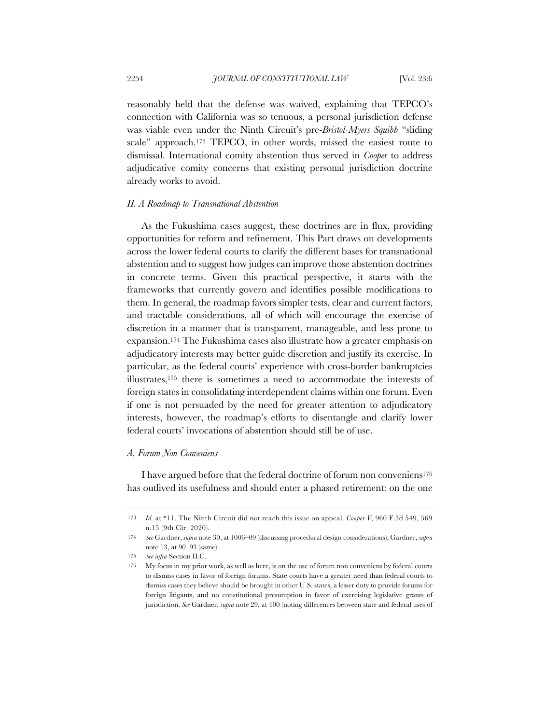reasonably held that the defense was waived, explaining that TEPCO's connection with California was so tenuous, a personal jurisdiction defense was viable even under the Ninth Circuit's pre-*Bristol-Myers Squibb* "sliding scale" approach.<sup>173</sup> TEPCO, in other words, missed the easiest route to dismissal. International comity abstention thus served in *Cooper* to address adjudicative comity concerns that existing personal jurisdiction doctrine already works to avoid.

#### *II. A Roadmap to Transnational Abstention*

As the Fukushima cases suggest, these doctrines are in flux, providing opportunities for reform and refinement. This Part draws on developments across the lower federal courts to clarify the different bases for transnational abstention and to suggest how judges can improve those abstention doctrines in concrete terms. Given this practical perspective, it starts with the frameworks that currently govern and identifies possible modifications to them. In general, the roadmap favors simpler tests, clear and current factors, and tractable considerations, all of which will encourage the exercise of discretion in a manner that is transparent, manageable, and less prone to expansion.174 The Fukushima cases also illustrate how a greater emphasis on adjudicatory interests may better guide discretion and justify its exercise. In particular, as the federal courts' experience with cross-border bankruptcies illustrates,175 there is sometimes a need to accommodate the interests of foreign states in consolidating interdependent claims within one forum. Even if one is not persuaded by the need for greater attention to adjudicatory interests, however, the roadmap's efforts to disentangle and clarify lower federal courts' invocations of abstention should still be of use.

## *A. Forum Non Conveniens*

I have argued before that the federal doctrine of forum non conveniens176 has outlived its usefulness and should enter a phased retirement: on the one

<sup>173</sup> *Id.* at \*11. The Ninth Circuit did not reach this issue on appeal. *Cooper V*, 960 F.3d 549, 569 n.15 (9th Cir. 2020).

<sup>174</sup> *See* Gardner, *supra* note 30, at 1006–09 (discussing procedural design considerations); Gardner, *supra* note 13, at 90–93 (same).

<sup>175</sup> *See infra* Section II.C.

<sup>176</sup> My focus in my prior work, as well as here, is on the use of forum non conveniens by federal courts to dismiss cases in favor of foreign forums. State courts have a greater need than federal courts to dismiss cases they believe should be brought in other U.S. states, a lesser duty to provide forums for foreign litigants, and no constitutional presumption in favor of exercising legislative grants of jurisdiction. *See* Gardner, *supra* note 29, at 400 (noting differences between state and federal uses of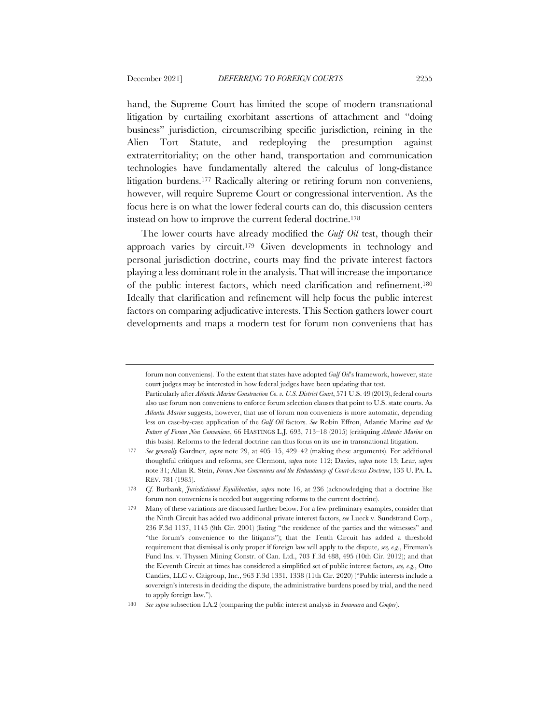hand, the Supreme Court has limited the scope of modern transnational litigation by curtailing exorbitant assertions of attachment and "doing business" jurisdiction, circumscribing specific jurisdiction, reining in the Alien Tort Statute, and redeploying the presumption against extraterritoriality; on the other hand, transportation and communication technologies have fundamentally altered the calculus of long-distance litigation burdens.177 Radically altering or retiring forum non conveniens, however, will require Supreme Court or congressional intervention. As the focus here is on what the lower federal courts can do, this discussion centers instead on how to improve the current federal doctrine.178

The lower courts have already modified the *Gulf Oil* test, though their approach varies by circuit.179 Given developments in technology and personal jurisdiction doctrine, courts may find the private interest factors playing a less dominant role in the analysis. That will increase the importance of the public interest factors, which need clarification and refinement.180 Ideally that clarification and refinement will help focus the public interest factors on comparing adjudicative interests. This Section gathers lower court developments and maps a modern test for forum non conveniens that has

forum non conveniens). To the extent that states have adopted *Gulf Oil*'s framework, however, state court judges may be interested in how federal judges have been updating that test.

Particularly after *Atlantic Marine Construction Co. v. U.S. District Court*, 571 U.S. 49 (2013), federal courts also use forum non conveniens to enforce forum selection clauses that point to U.S. state courts. As *Atlantic Marine* suggests, however, that use of forum non conveniens is more automatic, depending less on case-by-case application of the *Gulf Oil* factors. *See* Robin Effron, Atlantic Marine *and the Future of Forum Non Conveniens*, 66 HASTINGS L.J. 693, 713–18 (2015) (critiquing *Atlantic Marine* on this basis). Reforms to the federal doctrine can thus focus on its use in transnational litigation.

<sup>177</sup> *See generally* Gardner, *supra* note 29, at 405–15, 429–42 (making these arguments). For additional thoughtful critiques and reforms, see Clermont, *supra* note 112; Davies, *supra* note 13; Lear, *supra* note 31; Allan R. Stein, *Forum Non Conveniens and the Redundancy of Court-Access Doctrine*, 133 U. PA. L. REV. 781 (1985).

<sup>178</sup> *Cf.* Burbank, *Jurisdictional Equilibration*, *supra* note 16, at 236 (acknowledging that a doctrine like forum non conveniens is needed but suggesting reforms to the current doctrine).

<sup>179</sup> Many of these variations are discussed further below. For a few preliminary examples, consider that the Ninth Circuit has added two additional private interest factors, *see* Lueck v. Sundstrand Corp., 236 F.3d 1137, 1145 (9th Cir. 2001) (listing "the residence of the parties and the witnesses" and "the forum's convenience to the litigants"); that the Tenth Circuit has added a threshold requirement that dismissal is only proper if foreign law will apply to the dispute, *see, e.g.*, Fireman's Fund Ins. v. Thyssen Mining Constr. of Can. Ltd., 703 F.3d 488, 495 (10th Cir. 2012); and that the Eleventh Circuit at times has considered a simplified set of public interest factors, *see, e.g.*, Otto Candies, LLC v. Citigroup, Inc., 963 F.3d 1331, 1338 (11th Cir. 2020) ("Public interests include a sovereign's interests in deciding the dispute, the administrative burdens posed by trial, and the need to apply foreign law.").

<sup>180</sup> *See supra* subsection I.A.2 (comparing the public interest analysis in *Imamura* and *Cooper*).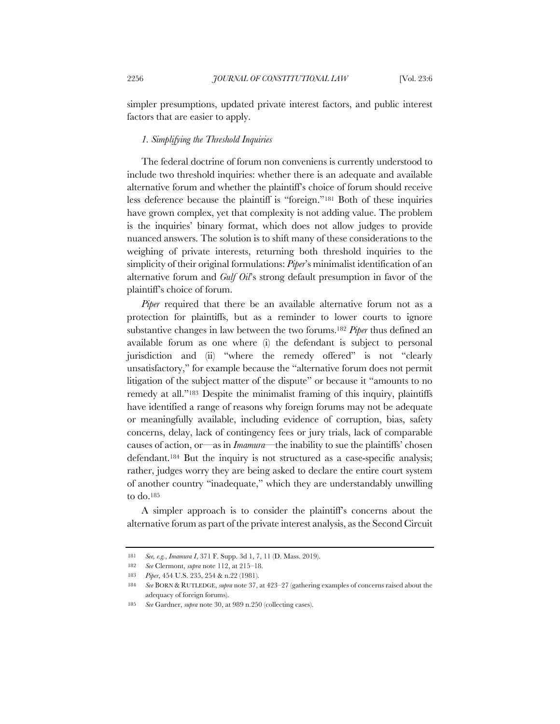simpler presumptions, updated private interest factors, and public interest factors that are easier to apply.

### *1. Simplifying the Threshold Inquiries*

The federal doctrine of forum non conveniens is currently understood to include two threshold inquiries: whether there is an adequate and available alternative forum and whether the plaintiff's choice of forum should receive less deference because the plaintiff is "foreign."181 Both of these inquiries have grown complex, yet that complexity is not adding value. The problem is the inquiries' binary format, which does not allow judges to provide nuanced answers. The solution is to shift many of these considerations to the weighing of private interests, returning both threshold inquiries to the simplicity of their original formulations: *Piper*'s minimalist identification of an alternative forum and *Gulf Oil*'s strong default presumption in favor of the plaintiff's choice of forum.

*Piper* required that there be an available alternative forum not as a protection for plaintiffs, but as a reminder to lower courts to ignore substantive changes in law between the two forums.182 *Piper* thus defined an available forum as one where (i) the defendant is subject to personal jurisdiction and (ii) "where the remedy offered" is not "clearly unsatisfactory," for example because the "alternative forum does not permit litigation of the subject matter of the dispute" or because it "amounts to no remedy at all."183 Despite the minimalist framing of this inquiry, plaintiffs have identified a range of reasons why foreign forums may not be adequate or meaningfully available, including evidence of corruption, bias, safety concerns, delay, lack of contingency fees or jury trials, lack of comparable causes of action, or—as in *Imamura*—the inability to sue the plaintiffs' chosen defendant.184 But the inquiry is not structured as a case-specific analysis; rather, judges worry they are being asked to declare the entire court system of another country "inadequate," which they are understandably unwilling to do.185

A simpler approach is to consider the plaintiff's concerns about the alternative forum as part of the private interest analysis, as the Second Circuit

<sup>181</sup> *See, e.g.*, *Imamura I*, 371 F. Supp. 3d 1, 7, 11 (D. Mass. 2019).

<sup>182</sup> *See* Clermont, *supra* note 112, at 215–18.

<sup>183</sup> *Piper*, 454 U.S. 235, 254 & n.22 (1981).

<sup>184</sup> *See* BORN & RUTLEDGE, *supra* note 37, at 423–27 (gathering examples of concerns raised about the adequacy of foreign forums).

<sup>185</sup> *See* Gardner, *supra* note 30, at 989 n.250 (collecting cases).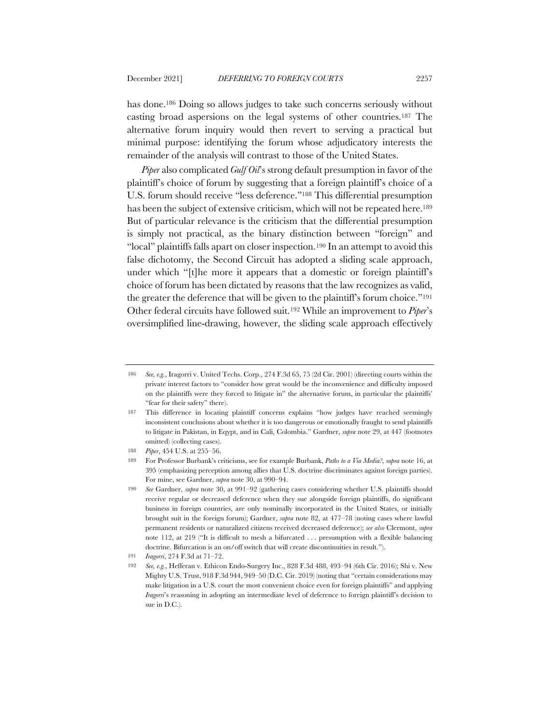has done.186 Doing so allows judges to take such concerns seriously without casting broad aspersions on the legal systems of other countries.187 The alternative forum inquiry would then revert to serving a practical but minimal purpose: identifying the forum whose adjudicatory interests the remainder of the analysis will contrast to those of the United States.

*Piper* also complicated *Gulf Oil*'s strong default presumption in favor of the plaintiff's choice of forum by suggesting that a foreign plaintiff's choice of a U.S. forum should receive "less deference."188 This differential presumption has been the subject of extensive criticism, which will not be repeated here.<sup>189</sup> But of particular relevance is the criticism that the differential presumption is simply not practical, as the binary distinction between "foreign" and "local" plaintiffs falls apart on closer inspection.190 In an attempt to avoid this false dichotomy, the Second Circuit has adopted a sliding scale approach, under which "[t]he more it appears that a domestic or foreign plaintiff's choice of forum has been dictated by reasons that the law recognizes as valid, the greater the deference that will be given to the plaintiff's forum choice."191 Other federal circuits have followed suit.192 While an improvement to *Piper*'s oversimplified line-drawing, however, the sliding scale approach effectively

<sup>186</sup> *See, e.g.*, Iragorri v. United Techs. Corp., 274 F.3d 65, 75 (2d Cir. 2001) (directing courts within the private interest factors to "consider how great would be the inconvenience and difficulty imposed on the plaintiffs were they forced to litigate in" the alternative forum, in particular the plaintiffs' "fear for their safety" there).

<sup>187</sup> This difference in locating plaintiff concerns explains "how judges have reached seemingly inconsistent conclusions about whether it is too dangerous or emotionally fraught to send plaintiffs to litigate in Pakistan, in Eqypt, and in Cali, Colombia." Gardner, *supra* note 29, at 447 (footnotes omitted) (collecting cases).

<sup>188</sup> *Piper*, 454 U.S. at 255–56.

<sup>189</sup> For Professor Burbank's criticisms, see for example Burbank, *Paths to a Via Media?*, *supra* note 16, at 395 (emphasizing perception among allies that U.S. doctrine discriminates against foreign parties). For mine, see Gardner, *supra* note 30, at 990–94.

<sup>190</sup> *See* Gardner, *supra* note 30, at 991–92 (gathering cases considering whether U.S. plaintiffs should receive regular or decreased deference when they sue alongside foreign plaintiffs, do significant business in foreign countries, are only nominally incorporated in the United States, or initially brought suit in the foreign forum); Gardner, *supra* note 82, at 477–78 (noting cases where lawful permanent residents or naturalized citizens received decreased deference); *see also* Clermont, *supra* note 112, at 219 ("It is difficult to mesh a bifurcated . . . presumption with a flexible balancing doctrine. Bifurcation is an on/off switch that will create discontinuities in result.").

<sup>191</sup> *Iragorri*, 274 F.3d at 71–72.

<sup>192</sup> *See, e.g.*, Hefferan v. Ethicon Endo-Surgery Inc., 828 F.3d 488, 493–94 (6th Cir. 2016); Shi v. New Mighty U.S. Trust, 918 F.3d 944, 949–50 (D.C. Cir. 2019) (noting that "certain considerations may make litigation in a U.S. court the most convenient choice even for foreign plaintiffs" and applying *Iragorri*'s reasoning in adopting an intermediate level of deference to foreign plaintiff's decision to sue in D.C.).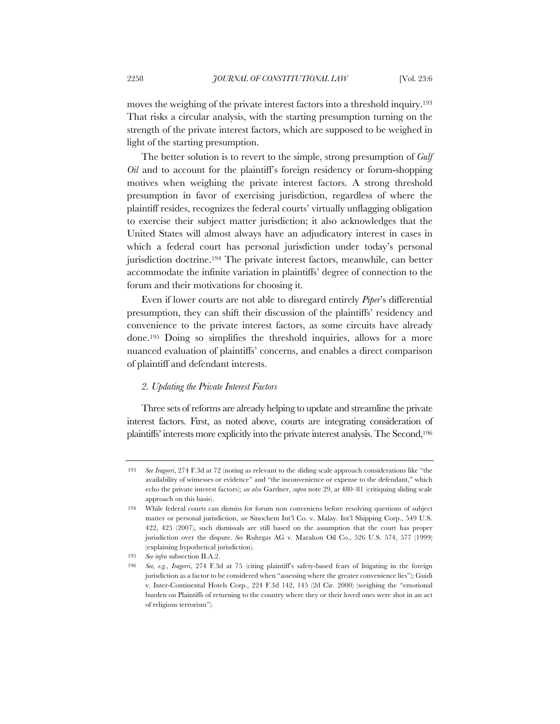moves the weighing of the private interest factors into a threshold inquiry.193 That risks a circular analysis, with the starting presumption turning on the strength of the private interest factors, which are supposed to be weighed in light of the starting presumption.

The better solution is to revert to the simple, strong presumption of *Gulf Oil* and to account for the plaintiff's foreign residency or forum-shopping motives when weighing the private interest factors. A strong threshold presumption in favor of exercising jurisdiction, regardless of where the plaintiff resides, recognizes the federal courts' virtually unflagging obligation to exercise their subject matter jurisdiction; it also acknowledges that the United States will almost always have an adjudicatory interest in cases in which a federal court has personal jurisdiction under today's personal jurisdiction doctrine.194 The private interest factors, meanwhile, can better accommodate the infinite variation in plaintiffs' degree of connection to the forum and their motivations for choosing it.

Even if lower courts are not able to disregard entirely *Piper*'s differential presumption, they can shift their discussion of the plaintiffs' residency and convenience to the private interest factors, as some circuits have already done.195 Doing so simplifies the threshold inquiries, allows for a more nuanced evaluation of plaintiffs' concerns, and enables a direct comparison of plaintiff and defendant interests.

## *2. Updating the Private Interest Factors*

Three sets of reforms are already helping to update and streamline the private interest factors. First, as noted above, courts are integrating consideration of plaintiffs' interests more explicitly into the private interest analysis. The Second,196

<sup>193</sup> *See Iragorri*, 274 F.3d at 72 (noting as relevant to the sliding scale approach considerations like "the availability of witnesses or evidence" and "the inconvenience or expense to the defendant," which echo the private interest factors); *see also* Gardner, *supra* note 29, at 480–81 (critiquing sliding scale approach on this basis).

<sup>194</sup> While federal courts can dismiss for forum non conveniens before resolving questions of subject matter or personal jurisdiction, *see* Sinochem Int'l Co. v. Malay. Int'l Shipping Corp., 549 U.S. 422, 425 (2007), such dismissals are still based on the assumption that the court has proper jurisdiction over the dispute. *See* Ruhrgas AG v. Marahon Oil Co., 526 U.S. 574, 577 (1999) (explaining hypothetical jurisdiction).

<sup>195</sup> *See infra* subsection II.A.2.

<sup>196</sup> *See, e.g.*, *Iragorri*, 274 F.3d at 75 (citing plaintiff's safety-based fears of litigating in the foreign jurisdiction as a factor to be considered when "assessing where the greater convenience lies"); Guidi v. Inter-Continental Hotels Corp., 224 F.3d 142, 145 (2d Cir. 2000) (weighing the "emotional burden on Plaintiffs of returning to the country where they or their loved ones were shot in an act of religious terrorism").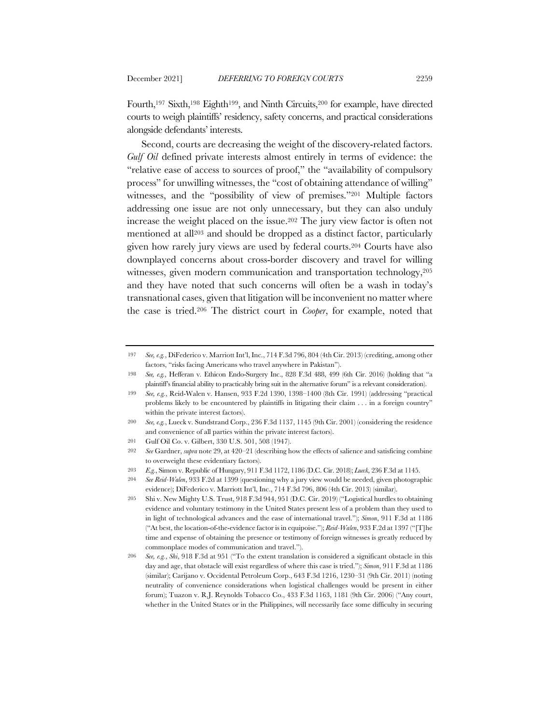Fourth,197 Sixth,198 Eighth199, and Ninth Circuits,200 for example, have directed courts to weigh plaintiffs' residency, safety concerns, and practical considerations alongside defendants' interests.

Second, courts are decreasing the weight of the discovery-related factors. *Gulf Oil* defined private interests almost entirely in terms of evidence: the "relative ease of access to sources of proof," the "availability of compulsory process" for unwilling witnesses, the "cost of obtaining attendance of willing" witnesses, and the "possibility of view of premises."<sup>201</sup> Multiple factors addressing one issue are not only unnecessary, but they can also unduly increase the weight placed on the issue.202 The jury view factor is often not mentioned at all203 and should be dropped as a distinct factor, particularly given how rarely jury views are used by federal courts.204 Courts have also downplayed concerns about cross-border discovery and travel for willing witnesses, given modern communication and transportation technology,  $205$ and they have noted that such concerns will often be a wash in today's transnational cases, given that litigation will be inconvenient no matter where the case is tried.206 The district court in *Cooper*, for example, noted that

<sup>197</sup> *See, e.g.*, DiFederico v. Marriott Int'l, Inc., 714 F.3d 796, 804 (4th Cir. 2013) (crediting, among other factors, "risks facing Americans who travel anywhere in Pakistan").

<sup>198</sup> *See, e.g.*, Hefferan v. Ethicon Endo-Surgery Inc., 828 F.3d 488, 499 (6th Cir. 2016) (holding that "a plaintiff's financial ability to practicably bring suit in the alternative forum" is a relevant consideration).

<sup>199</sup> *See, e.g.*, Reid-Walen v. Hansen, 933 F.2d 1390, 1398–1400 (8th Cir. 1991) (addressing "practical problems likely to be encountered by plaintiffs in litigating their claim . . . in a foreign country" within the private interest factors).

<sup>200</sup> *See, e.g.*, Lueck v. Sundstrand Corp., 236 F.3d 1137, 1145 (9th Cir. 2001) (considering the residence and convenience of all parties within the private interest factors).

<sup>201</sup> Gulf Oil Co. v. Gilbert, 330 U.S. 501, 508 (1947).

<sup>202</sup> *See* Gardner, *supra* note 29, at 420–21 (describing how the effects of salience and satisficing combine to overweight these evidentiary factors).

<sup>203</sup> *E.g.*, Simon v. Republic of Hungary, 911 F.3d 1172, 1186 (D.C. Cir. 2018); *Lueck*, 236 F.3d at 1145.

<sup>204</sup> *See Reid-Walen*, 933 F.2d at 1399 (questioning why a jury view would be needed, given photographic evidence); DiFederico v. Marriott Int'l, Inc., 714 F.3d 796, 806 (4th Cir. 2013) (similar).

<sup>205</sup> Shi v. New Mighty U.S. Trust, 918 F.3d 944, 951 (D.C. Cir. 2019) ("Logistical hurdles to obtaining evidence and voluntary testimony in the United States present less of a problem than they used to in light of technological advances and the ease of international travel."); *Simon*, 911 F.3d at 1186 ("At best, the location-of-the-evidence factor is in equipoise."); *Reid-Walen*, 933 F.2d at 1397 ("[T]he time and expense of obtaining the presence or testimony of foreign witnesses is greatly reduced by commonplace modes of communication and travel.").

<sup>206</sup> *See, e.g.*, *Shi*, 918 F.3d at 951 ("To the extent translation is considered a significant obstacle in this day and age, that obstacle will exist regardless of where this case is tried."); *Simon*, 911 F.3d at 1186 (similar); Carijano v. Occidental Petroleum Corp., 643 F.3d 1216, 1230–31 (9th Cir. 2011) (noting neutrality of convenience considerations when logistical challenges would be present in either forum); Tuazon v. R.J. Reynolds Tobacco Co., 433 F.3d 1163, 1181 (9th Cir. 2006) ("Any court, whether in the United States or in the Philippines, will necessarily face some difficulty in securing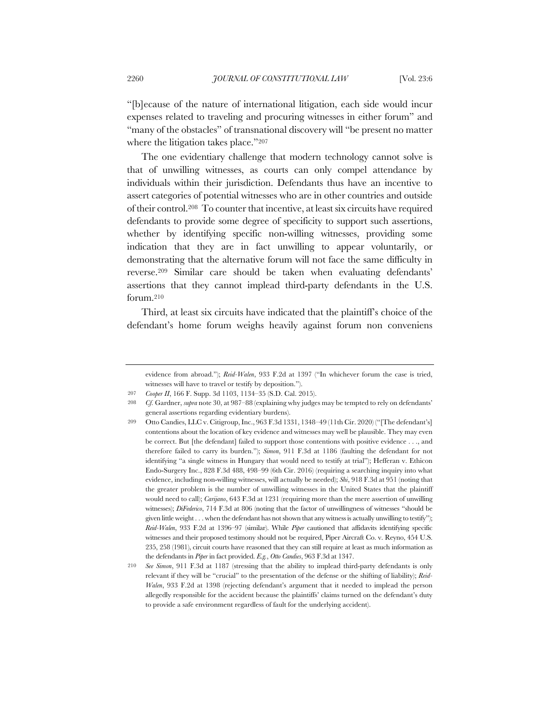"[b]ecause of the nature of international litigation, each side would incur expenses related to traveling and procuring witnesses in either forum" and "many of the obstacles" of transnational discovery will "be present no matter where the litigation takes place."207

The one evidentiary challenge that modern technology cannot solve is that of unwilling witnesses, as courts can only compel attendance by individuals within their jurisdiction. Defendants thus have an incentive to assert categories of potential witnesses who are in other countries and outside of their control.208 To counter that incentive, at least six circuits have required defendants to provide some degree of specificity to support such assertions, whether by identifying specific non-willing witnesses, providing some indication that they are in fact unwilling to appear voluntarily, or demonstrating that the alternative forum will not face the same difficulty in reverse.209 Similar care should be taken when evaluating defendants' assertions that they cannot implead third-party defendants in the U.S. forum.210

Third, at least six circuits have indicated that the plaintiff's choice of the defendant's home forum weighs heavily against forum non conveniens

evidence from abroad."); *Reid-Walen*, 933 F.2d at 1397 ("In whichever forum the case is tried, witnesses will have to travel or testify by deposition.").

<sup>207</sup> *Cooper II*, 166 F. Supp. 3d 1103, 1134–35 (S.D. Cal. 2015).

<sup>208</sup> *Cf.* Gardner, *supra* note 30, at 987–88 (explaining why judges may be tempted to rely on defendants' general assertions regarding evidentiary burdens).

<sup>209</sup> Otto Candies, LLC v. Citigroup, Inc., 963 F.3d 1331, 1348–49 (11th Cir. 2020) ("[The defendant's] contentions about the location of key evidence and witnesses may well be plausible. They may even be correct. But [the defendant] failed to support those contentions with positive evidence . . ., and therefore failed to carry its burden."); *Simon*, 911 F.3d at 1186 (faulting the defendant for not identifying "a single witness in Hungary that would need to testify at trial"); Hefferan v. Ethicon Endo-Surgery Inc., 828 F.3d 488, 498–99 (6th Cir. 2016) (requiring a searching inquiry into what evidence, including non-willing witnesses, will actually be needed); *Shi*, 918 F.3d at 951 (noting that the greater problem is the number of unwilling witnesses in the United States that the plaintiff would need to call); *Carijano*, 643 F.3d at 1231 (requiring more than the mere assertion of unwilling witnesses); *DiFederico*, 714 F.3d at 806 (noting that the factor of unwillingness of witnesses "should be given little weight . . . when the defendant has not shown that any witness is actually unwilling to testify"); *Reid-Walen*, 933 F.2d at 1396–97 (similar). While *Piper* cautioned that affidavits identifying specific witnesses and their proposed testimony should not be required, Piper Aircraft Co. v. Reyno, 454 U.S. 235, 258 (1981), circuit courts have reasoned that they can still require at least as much information as the defendants in *Piper* in fact provided. *E.g.*, *Otto Candies*, 963 F.3d at 1347.

<sup>210</sup> *See Simon*, 911 F.3d at 1187 (stressing that the ability to implead third-party defendants is only relevant if they will be "crucial" to the presentation of the defense or the shifting of liability); *Reid-Walen*, 933 F.2d at 1398 (rejecting defendant's argument that it needed to implead the person allegedly responsible for the accident because the plaintiffs' claims turned on the defendant's duty to provide a safe environment regardless of fault for the underlying accident).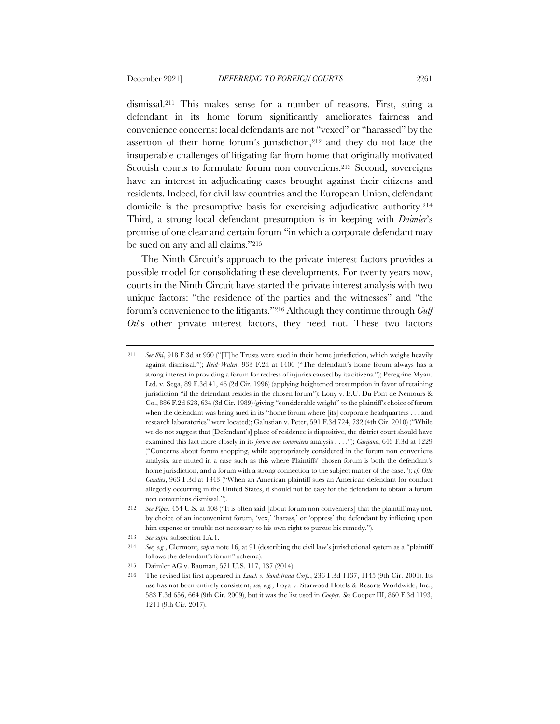dismissal.211 This makes sense for a number of reasons. First, suing a defendant in its home forum significantly ameliorates fairness and convenience concerns: local defendants are not "vexed" or "harassed" by the assertion of their home forum's jurisdiction,212 and they do not face the insuperable challenges of litigating far from home that originally motivated Scottish courts to formulate forum non conveniens.<sup>213</sup> Second, sovereigns have an interest in adjudicating cases brought against their citizens and residents. Indeed, for civil law countries and the European Union, defendant domicile is the presumptive basis for exercising adjudicative authority.214 Third, a strong local defendant presumption is in keeping with *Daimler*'s promise of one clear and certain forum "in which a corporate defendant may be sued on any and all claims."215

The Ninth Circuit's approach to the private interest factors provides a possible model for consolidating these developments. For twenty years now, courts in the Ninth Circuit have started the private interest analysis with two unique factors: "the residence of the parties and the witnesses" and "the forum's convenience to the litigants."216 Although they continue through *Gulf Oil*'s other private interest factors, they need not. These two factors

<sup>211</sup> *See Shi*, 918 F.3d at 950 ("[T]he Trusts were sued in their home jurisdiction, which weighs heavily against dismissal."); *Reid-Walen*, 933 F.2d at 1400 ("The defendant's home forum always has a strong interest in providing a forum for redress of injuries caused by its citizens."); Peregrine Myan. Ltd. v. Sega, 89 F.3d 41, 46 (2d Cir. 1996) (applying heightened presumption in favor of retaining jurisdiction "if the defendant resides in the chosen forum"); Lony v. E.U. Du Pont de Nemours & Co., 886 F.2d 628, 634 (3d Cir. 1989) (giving "considerable weight" to the plaintiff's choice of forum when the defendant was being sued in its "home forum where [its] corporate headquarters . . . and research laboratories" were located); Galustian v. Peter, 591 F.3d 724, 732 (4th Cir. 2010) ("While we do not suggest that [Defendant's] place of residence is dispositive, the district court should have examined this fact more closely in its *forum non conveniens* analysis . . . ."); *Carijano*, 643 F.3d at 1229 ("Concerns about forum shopping, while appropriately considered in the forum non conveniens analysis, are muted in a case such as this where Plaintiffs' chosen forum is both the defendant's home jurisdiction, and a forum with a strong connection to the subject matter of the case."); *cf. Otto Candies*, 963 F.3d at 1343 ("When an American plaintiff sues an American defendant for conduct allegedly occurring in the United States, it should not be easy for the defendant to obtain a forum non conveniens dismissal.").

<sup>212</sup> *See Piper*, 454 U.S. at 508 ("It is often said [about forum non conveniens] that the plaintiff may not, by choice of an inconvenient forum, 'vex,' 'harass,' or 'oppress' the defendant by inflicting upon him expense or trouble not necessary to his own right to pursue his remedy.").

<sup>213</sup> *See supra* subsection I.A.1.

<sup>214</sup> *See, e.g.*, Clermont, *supra* note 16, at 91 (describing the civil law's jurisdictional system as a "plaintiff follows the defendant's forum" schema).

<sup>215</sup> Daimler AG v. Bauman, 571 U.S. 117, 137 (2014).

<sup>216</sup> The revised list first appeared in *Lueck v. Sundstrand Corp.*, 236 F.3d 1137, 1145 (9th Cir. 2001). Its use has not been entirely consistent, *see, e.g.*, Loya v. Starwood Hotels & Resorts Worldwide, Inc., 583 F.3d 656, 664 (9th Cir. 2009), but it was the list used in *Cooper*. *See* Cooper III, 860 F.3d 1193, 1211 (9th Cir. 2017).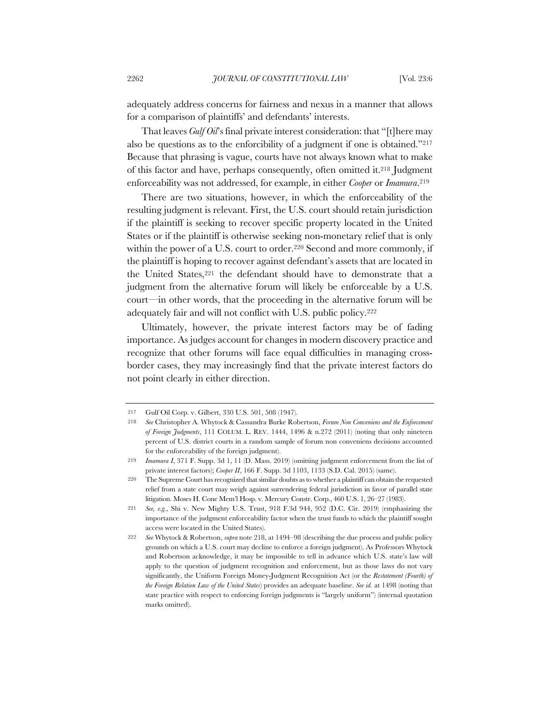adequately address concerns for fairness and nexus in a manner that allows for a comparison of plaintiffs' and defendants' interests.

That leaves *Gulf Oil*'s final private interest consideration: that "[t]here may also be questions as to the enforcibility of a judgment if one is obtained."217 Because that phrasing is vague, courts have not always known what to make of this factor and have, perhaps consequently, often omitted it.218 Judgment enforceability was not addressed, for example, in either *Cooper* or *Imamura*.219

There are two situations, however, in which the enforceability of the resulting judgment is relevant. First, the U.S. court should retain jurisdiction if the plaintiff is seeking to recover specific property located in the United States or if the plaintiff is otherwise seeking non-monetary relief that is only within the power of a U.S. court to order.<sup>220</sup> Second and more commonly, if the plaintiff is hoping to recover against defendant's assets that are located in the United States,221 the defendant should have to demonstrate that a judgment from the alternative forum will likely be enforceable by a U.S. court—in other words, that the proceeding in the alternative forum will be adequately fair and will not conflict with U.S. public policy.222

Ultimately, however, the private interest factors may be of fading importance. As judges account for changes in modern discovery practice and recognize that other forums will face equal difficulties in managing crossborder cases, they may increasingly find that the private interest factors do not point clearly in either direction.

<sup>217</sup> Gulf Oil Corp. v. Gilbert, 330 U.S. 501, 508 (1947).

<sup>218</sup> *See* Christopher A. Whytock & Cassandra Burke Robertson, *Forum Non Conveniens and the Enforcement of Foreign Judgments*, 111 COLUM. L. REV. 1444, 1496 & n.272 (2011) (noting that only nineteen percent of U.S. district courts in a random sample of forum non conveniens decisions accounted for the enforceability of the foreign judgment).

<sup>219</sup> *Imamura I*, 371 F. Supp. 3d 1, 11 (D. Mass. 2019) (omitting judgment enforcement from the list of private interest factors); *Cooper II*, 166 F. Supp. 3d 1103, 1133 (S.D. Cal. 2015) (same).

<sup>220</sup> The Supreme Court has recognized that similar doubts as to whether a plaintiff can obtain the requested relief from a state court may weigh against surrendering federal jurisdiction in favor of parallel state litigation. Moses H. Cone Mem'l Hosp. v. Mercury Constr. Corp., 460 U.S. 1, 26–27 (1983).

<sup>221</sup> *See, e.g.*, Shi v. New Mighty U.S. Trust, 918 F.3d 944, 952 (D.C. Cir. 2019) (emphasizing the importance of the judgment enforceability factor when the trust funds to which the plaintiff sought access were located in the United States).

<sup>222</sup> *See* Whytock & Robertson, *supra* note 218, at 1494–98 (describing the due process and public policy grounds on which a U.S. court may decline to enforce a foreign judgment). As Professors Whytock and Robertson acknowledge, it may be impossible to tell in advance which U.S. state's law will apply to the question of judgment recognition and enforcement, but as those laws do not vary significantly, the Uniform Foreign Money-Judgment Recognition Act (or the *Restatement (Fourth) of the Foreign Relation Law of the United States*) provides an adequate baseline. *See id.* at 1498 (noting that state practice with respect to enforcing foreign judgments is "largely uniform") (internal quotation marks omitted).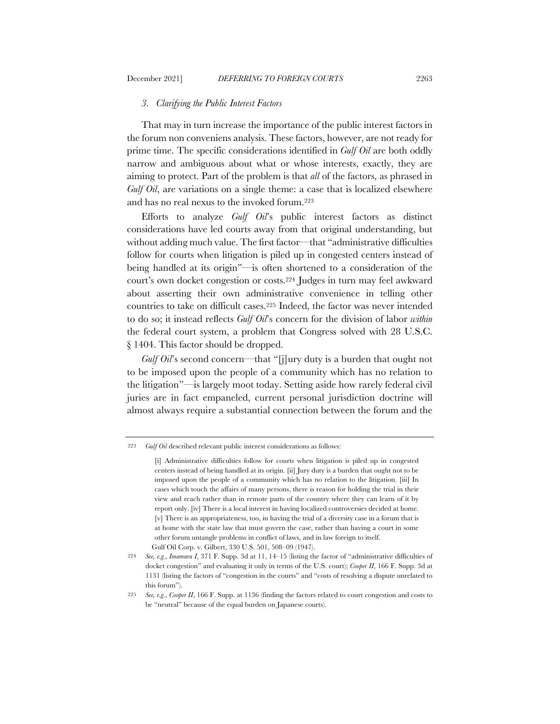### *3. Clarifying the Public Interest Factors*

That may in turn increase the importance of the public interest factors in the forum non conveniens analysis. These factors, however, are not ready for prime time. The specific considerations identified in *Gulf Oil* are both oddly narrow and ambiguous about what or whose interests, exactly, they are aiming to protect. Part of the problem is that *all* of the factors, as phrased in *Gulf Oil*, are variations on a single theme: a case that is localized elsewhere and has no real nexus to the invoked forum.223

Efforts to analyze *Gulf Oil*'s public interest factors as distinct considerations have led courts away from that original understanding, but without adding much value. The first factor—that "administrative difficulties follow for courts when litigation is piled up in congested centers instead of being handled at its origin"—is often shortened to a consideration of the court's own docket congestion or costs.224 Judges in turn may feel awkward about asserting their own administrative convenience in telling other countries to take on difficult cases.225 Indeed, the factor was never intended to do so; it instead reflects *Gulf Oil*'s concern for the division of labor *within* the federal court system, a problem that Congress solved with 28 U.S.C. § 1404. This factor should be dropped.

*Gulf Oil*'s second concern—that "[j]ury duty is a burden that ought not to be imposed upon the people of a community which has no relation to the litigation"—is largely moot today. Setting aside how rarely federal civil juries are in fact empaneled, current personal jurisdiction doctrine will almost always require a substantial connection between the forum and the

<sup>223</sup> *Gulf Oil* described relevant public interest considerations as follows:

<sup>[</sup>i] Administrative difficulties follow for courts when litigation is piled up in congested centers instead of being handled at its origin. [ii] Jury duty is a burden that ought not to be imposed upon the people of a community which has no relation to the litigation. [iii] In cases which touch the affairs of many persons, there is reason for holding the trial in their view and reach rather than in remote parts of the country where they can learn of it by report only. [iv] There is a local interest in having localized controversies decided at home. [v] There is an appropriateness, too, in having the trial of a diversity case in a forum that is at home with the state law that must govern the case, rather than having a court in some other forum untangle problems in conflict of laws, and in law foreign to itself. Gulf Oil Corp. v. Gilbert, 330 U.S. 501, 508–09 (1947).

<sup>224</sup> *See, e.g.*, *Imamura I*, 371 F. Supp. 3d at 11, 14–15 (listing the factor of "administrative difficulties of docket congestion" and evaluating it only in terms of the U.S. court); *Cooper II*, 166 F. Supp. 3d at 1131 (listing the factors of "congestion in the courts" and "costs of resolving a dispute unrelated to this forum").

<sup>225</sup> *See, e.g.*, *Cooper II*, 166 F. Supp. at 1136 (finding the factors related to court congestion and costs to be "neutral" because of the equal burden on Japanese courts).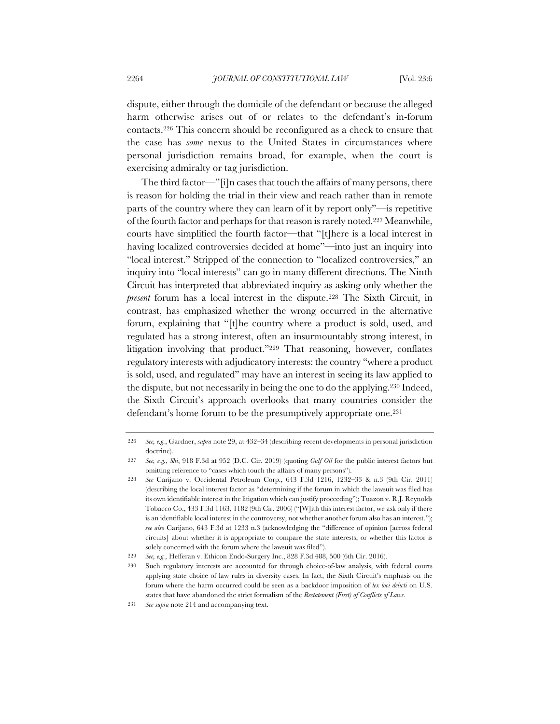dispute, either through the domicile of the defendant or because the alleged harm otherwise arises out of or relates to the defendant's in-forum contacts.226 This concern should be reconfigured as a check to ensure that the case has *some* nexus to the United States in circumstances where personal jurisdiction remains broad, for example, when the court is exercising admiralty or tag jurisdiction.

The third factor—"[i]n cases that touch the affairs of many persons, there is reason for holding the trial in their view and reach rather than in remote parts of the country where they can learn of it by report only"—is repetitive of the fourth factor and perhaps for that reason is rarely noted.227 Meanwhile, courts have simplified the fourth factor—that "[t]here is a local interest in having localized controversies decided at home"—into just an inquiry into "local interest." Stripped of the connection to "localized controversies," an inquiry into "local interests" can go in many different directions. The Ninth Circuit has interpreted that abbreviated inquiry as asking only whether the *present* forum has a local interest in the dispute.<sup>228</sup> The Sixth Circuit, in contrast, has emphasized whether the wrong occurred in the alternative forum, explaining that "[t]he country where a product is sold, used, and regulated has a strong interest, often an insurmountably strong interest, in litigation involving that product."229 That reasoning, however, conflates regulatory interests with adjudicatory interests: the country "where a product is sold, used, and regulated" may have an interest in seeing its law applied to the dispute, but not necessarily in being the one to do the applying.230 Indeed, the Sixth Circuit's approach overlooks that many countries consider the defendant's home forum to be the presumptively appropriate one.231

<sup>226</sup> *See, e.g.*, Gardner, *supra* note 29, at 432–34 (describing recent developments in personal jurisdiction doctrine).

<sup>227</sup> *See, e.g.*, *Shi*, 918 F.3d at 952 (D.C. Cir. 2019) (quoting *Gulf Oil* for the public interest factors but omitting reference to "cases which touch the affairs of many persons").

<sup>228</sup> *See* Carijano v. Occidental Petroleum Corp., 643 F.3d 1216, 1232–33 & n.3 (9th Cir. 2011) (describing the local interest factor as "determining if the forum in which the lawsuit was filed has its own identifiable interest in the litigation which can justify proceeding"); Tuazon v. R.J. Reynolds Tobacco Co., 433 F.3d 1163, 1182 (9th Cir. 2006) ("[W]ith this interest factor, we ask only if there is an identifiable local interest in the controversy, not whether another forum also has an interest."); *see also* Carijano, 643 F.3d at 1233 n.3 (acknowledging the "difference of opinion [across federal circuits] about whether it is appropriate to compare the state interests, or whether this factor is solely concerned with the forum where the lawsuit was filed").

<sup>229</sup> *See, e.g.*, Hefferan v. Ethicon Endo-Surgery Inc., 828 F.3d 488, 500 (6th Cir. 2016).

<sup>230</sup> Such regulatory interests are accounted for through choice-of-law analysis, with federal courts applying state choice of law rules in diversity cases. In fact, the Sixth Circuit's emphasis on the forum where the harm occurred could be seen as a backdoor imposition of *lex loci delicti* on U.S. states that have abandoned the strict formalism of the *Restatement (First) of Conflicts of Laws*.

<sup>231</sup> *See supra* note 214 and accompanying text.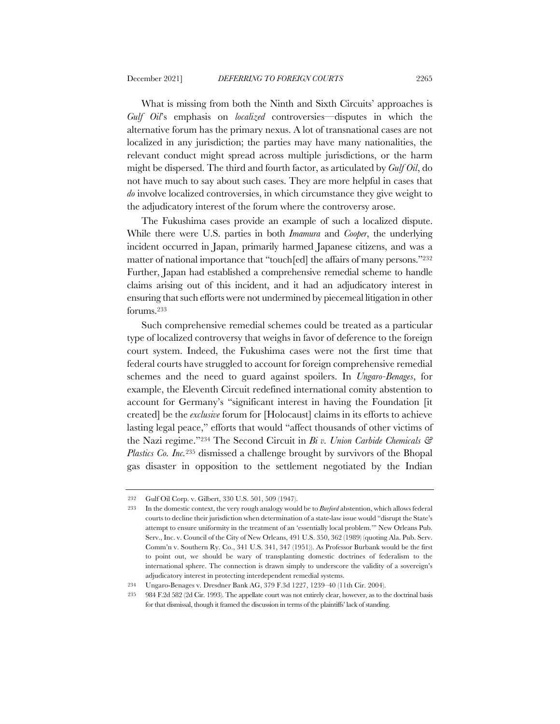What is missing from both the Ninth and Sixth Circuits' approaches is *Gulf Oil*'s emphasis on *localized* controversies—disputes in which the alternative forum has the primary nexus. A lot of transnational cases are not localized in any jurisdiction; the parties may have many nationalities, the relevant conduct might spread across multiple jurisdictions, or the harm might be dispersed. The third and fourth factor, as articulated by *Gulf Oil*, do not have much to say about such cases. They are more helpful in cases that *do* involve localized controversies, in which circumstance they give weight to the adjudicatory interest of the forum where the controversy arose.

The Fukushima cases provide an example of such a localized dispute. While there were U.S. parties in both *Imamura* and *Cooper*, the underlying incident occurred in Japan, primarily harmed Japanese citizens, and was a matter of national importance that "touch[ed] the affairs of many persons."232 Further, Japan had established a comprehensive remedial scheme to handle claims arising out of this incident, and it had an adjudicatory interest in ensuring that such efforts were not undermined by piecemeal litigation in other forums.233

Such comprehensive remedial schemes could be treated as a particular type of localized controversy that weighs in favor of deference to the foreign court system. Indeed, the Fukushima cases were not the first time that federal courts have struggled to account for foreign comprehensive remedial schemes and the need to guard against spoilers. In *Ungaro-Benages*, for example, the Eleventh Circuit redefined international comity abstention to account for Germany's "significant interest in having the Foundation [it created] be the *exclusive* forum for [Holocaust] claims in its efforts to achieve lasting legal peace," efforts that would "affect thousands of other victims of the Nazi regime."234 The Second Circuit in *Bi v. Union Carbide Chemicals & Plastics Co. Inc.*<sup>235</sup> dismissed a challenge brought by survivors of the Bhopal gas disaster in opposition to the settlement negotiated by the Indian

235 984 F.2d 582 (2d Cir. 1993). The appellate court was not entirely clear, however, as to the doctrinal basis for that dismissal, though it framed the discussion in terms of the plaintiffs' lack of standing.

<sup>232</sup> Gulf Oil Corp. v. Gilbert, 330 U.S. 501, 509 (1947).

<sup>233</sup> In the domestic context, the very rough analogy would be to *Burford* abstention, which allows federal courts to decline their jurisdiction when determination of a state-law issue would "disrupt the State's attempt to ensure uniformity in the treatment of an 'essentially local problem.'" New Orleans Pub. Serv., Inc. v. Council of the City of New Orleans, 491 U.S. 350, 362 (1989) (quoting Ala. Pub. Serv. Comm'n v. Southern Ry. Co., 341 U.S. 341, 347 (1951)). As Professor Burbank would be the first to point out, we should be wary of transplanting domestic doctrines of federalism to the international sphere. The connection is drawn simply to underscore the validity of a sovereign's adjudicatory interest in protecting interdependent remedial systems.

<sup>234</sup> Ungaro-Benages v. Dresdner Bank AG, 379 F.3d 1227, 1239–40 (11th Cir. 2004).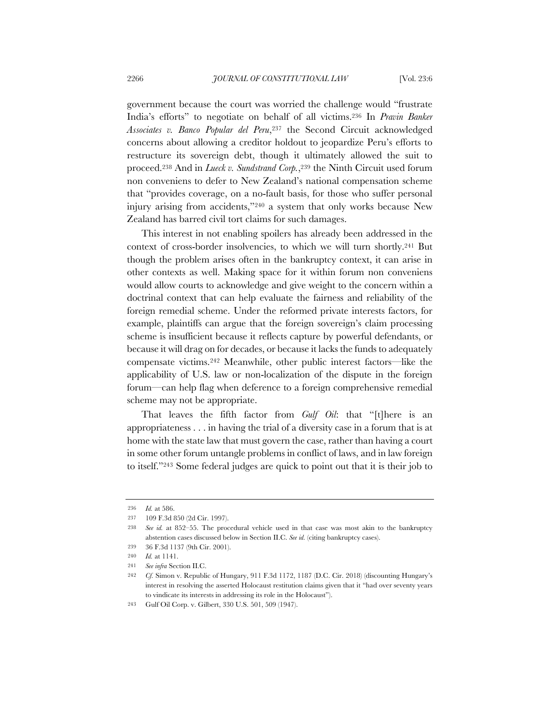government because the court was worried the challenge would "frustrate India's efforts" to negotiate on behalf of all victims.236 In *Pravin Banker Associates v. Banco Popular del Peru*,237 the Second Circuit acknowledged concerns about allowing a creditor holdout to jeopardize Peru's efforts to restructure its sovereign debt, though it ultimately allowed the suit to proceed.238 And in *Lueck v. Sundstrand Corp.*,239 the Ninth Circuit used forum non conveniens to defer to New Zealand's national compensation scheme that "provides coverage, on a no-fault basis, for those who suffer personal injury arising from accidents,"240 a system that only works because New Zealand has barred civil tort claims for such damages.

This interest in not enabling spoilers has already been addressed in the context of cross-border insolvencies, to which we will turn shortly.241 But though the problem arises often in the bankruptcy context, it can arise in other contexts as well. Making space for it within forum non conveniens would allow courts to acknowledge and give weight to the concern within a doctrinal context that can help evaluate the fairness and reliability of the foreign remedial scheme. Under the reformed private interests factors, for example, plaintiffs can argue that the foreign sovereign's claim processing scheme is insufficient because it reflects capture by powerful defendants, or because it will drag on for decades, or because it lacks the funds to adequately compensate victims.242 Meanwhile, other public interest factors—like the applicability of U.S. law or non-localization of the dispute in the foreign forum—can help flag when deference to a foreign comprehensive remedial scheme may not be appropriate.

That leaves the fifth factor from *Gulf Oil*: that "[t]here is an appropriateness . . . in having the trial of a diversity case in a forum that is at home with the state law that must govern the case, rather than having a court in some other forum untangle problems in conflict of laws, and in law foreign to itself."243 Some federal judges are quick to point out that it is their job to

<sup>236</sup> *Id.* at 586.

<sup>237</sup> 109 F.3d 850 (2d Cir. 1997).

<sup>238</sup> *See id.* at 852–55. The procedural vehicle used in that case was most akin to the bankruptcy abstention cases discussed below in Section II.C. *See id.* (citing bankruptcy cases).

<sup>239</sup> 36 F.3d 1137 (9th Cir. 2001).

<sup>240</sup> *Id.* at 1141.

<sup>241</sup> *See infra* Section II.C.

<sup>242</sup> *Cf.* Simon v. Republic of Hungary, 911 F.3d 1172, 1187 (D.C. Cir. 2018) (discounting Hungary's interest in resolving the asserted Holocaust restitution claims given that it "had over seventy years to vindicate its interests in addressing its role in the Holocaust").

<sup>243</sup> Gulf Oil Corp. v. Gilbert, 330 U.S. 501, 509 (1947).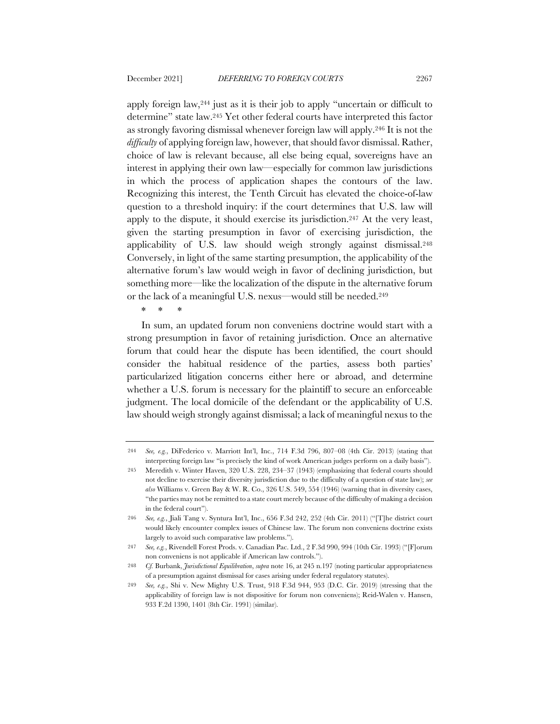apply foreign law,244 just as it is their job to apply "uncertain or difficult to determine" state law.245 Yet other federal courts have interpreted this factor as strongly favoring dismissal whenever foreign law will apply.246 It is not the *difficulty* of applying foreign law, however, that should favor dismissal. Rather, choice of law is relevant because, all else being equal, sovereigns have an interest in applying their own law—especially for common law jurisdictions in which the process of application shapes the contours of the law. Recognizing this interest, the Tenth Circuit has elevated the choice-of-law question to a threshold inquiry: if the court determines that U.S. law will apply to the dispute, it should exercise its jurisdiction.247 At the very least, given the starting presumption in favor of exercising jurisdiction, the applicability of U.S. law should weigh strongly against dismissal.248 Conversely, in light of the same starting presumption, the applicability of the alternative forum's law would weigh in favor of declining jurisdiction, but something more—like the localization of the dispute in the alternative forum or the lack of a meaningful U.S. nexus—would still be needed.249

\* \* \*

In sum, an updated forum non conveniens doctrine would start with a strong presumption in favor of retaining jurisdiction. Once an alternative forum that could hear the dispute has been identified, the court should consider the habitual residence of the parties, assess both parties' particularized litigation concerns either here or abroad, and determine whether a U.S. forum is necessary for the plaintiff to secure an enforceable judgment. The local domicile of the defendant or the applicability of U.S. law should weigh strongly against dismissal; a lack of meaningful nexus to the

<sup>244</sup> *See, e.g.*, DiFederico v. Marriott Int'l, Inc., 714 F.3d 796, 807–08 (4th Cir. 2013) (stating that interpreting foreign law "is precisely the kind of work American judges perform on a daily basis").

<sup>245</sup> Meredith v. Winter Haven, 320 U.S. 228, 234–37 (1943) (emphasizing that federal courts should not decline to exercise their diversity jurisdiction due to the difficulty of a question of state law); *see also* Williams v. Green Bay & W. R. Co., 326 U.S. 549, 554 (1946) (warning that in diversity cases, "the parties may not be remitted to a state court merely because of the difficulty of making a decision in the federal court").

<sup>246</sup> *See, e.g.*, Jiali Tang v. Syntura Int'l, Inc., 656 F.3d 242, 252 (4th Cir. 2011) ("[T]he district court would likely encounter complex issues of Chinese law. The forum non conveniens doctrine exists largely to avoid such comparative law problems.").

<sup>247</sup> *See, e.g.*, Rivendell Forest Prods. v. Canadian Pac. Ltd., 2 F.3d 990, 994 (10th Cir. 1993) ("[F]orum non conveniens is not applicable if American law controls.").

<sup>248</sup> *Cf.* Burbank, *Jurisdictional Equilibration*, *supra* note 16, at 245 n.197 (noting particular appropriateness of a presumption against dismissal for cases arising under federal regulatory statutes).

<sup>249</sup> *See, e.g.*, Shi v. New Mighty U.S. Trust, 918 F.3d 944, 953 (D.C. Cir. 2019) (stressing that the applicability of foreign law is not dispositive for forum non conveniens); Reid-Walen v. Hansen, 933 F.2d 1390, 1401 (8th Cir. 1991) (similar).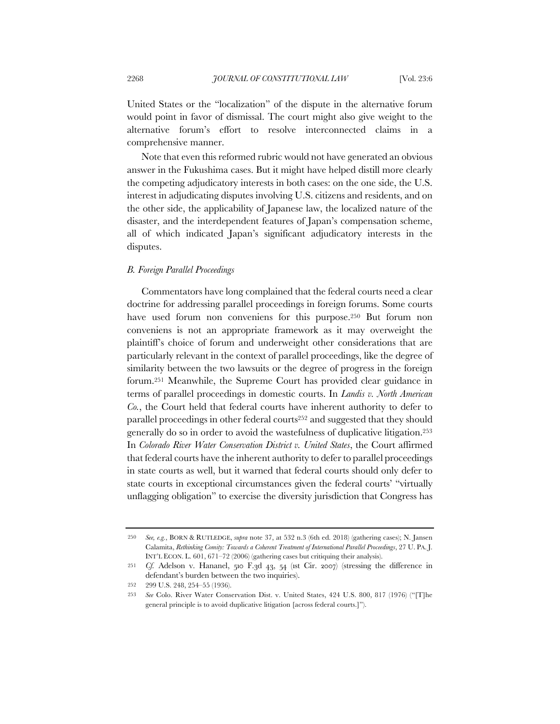United States or the "localization" of the dispute in the alternative forum would point in favor of dismissal. The court might also give weight to the alternative forum's effort to resolve interconnected claims in a comprehensive manner.

Note that even this reformed rubric would not have generated an obvious answer in the Fukushima cases. But it might have helped distill more clearly the competing adjudicatory interests in both cases: on the one side, the U.S. interest in adjudicating disputes involving U.S. citizens and residents, and on the other side, the applicability of Japanese law, the localized nature of the disaster, and the interdependent features of Japan's compensation scheme, all of which indicated Japan's significant adjudicatory interests in the disputes.

### *B. Foreign Parallel Proceedings*

Commentators have long complained that the federal courts need a clear doctrine for addressing parallel proceedings in foreign forums. Some courts have used forum non conveniens for this purpose.<sup>250</sup> But forum non conveniens is not an appropriate framework as it may overweight the plaintiff's choice of forum and underweight other considerations that are particularly relevant in the context of parallel proceedings, like the degree of similarity between the two lawsuits or the degree of progress in the foreign forum.251 Meanwhile, the Supreme Court has provided clear guidance in terms of parallel proceedings in domestic courts. In *Landis v. North American Co.*, the Court held that federal courts have inherent authority to defer to parallel proceedings in other federal courts<sup>252</sup> and suggested that they should generally do so in order to avoid the wastefulness of duplicative litigation.253 In *Colorado River Water Conservation District v. United States*, the Court affirmed that federal courts have the inherent authority to defer to parallel proceedings in state courts as well, but it warned that federal courts should only defer to state courts in exceptional circumstances given the federal courts' "virtually unflagging obligation" to exercise the diversity jurisdiction that Congress has

<sup>250</sup> *See, e.g.*, BORN & RUTLEDGE, *supra* note 37, at 532 n.3 (6th ed. 2018) (gathering cases); N. Jansen Calamita, *Rethinking Comity: Towards a Coherent Treatment of International Parallel Proceedings*, 27 U. PA. J. INT'L ECON. L. 601, 671–72 (2006) (gathering cases but critiquing their analysis).

<sup>251</sup> *Cf.* Adelson v. Hananel, 510 F.3d 43, 54 (1st Cir. 2007) (stressing the difference in defendant's burden between the two inquiries).

<sup>252</sup> 299 U.S. 248, 254–55 (1936).

<sup>253</sup> *See* Colo. River Water Conservation Dist. v. United States, 424 U.S. 800, 817 (1976) ("[T]he general principle is to avoid duplicative litigation [across federal courts.]").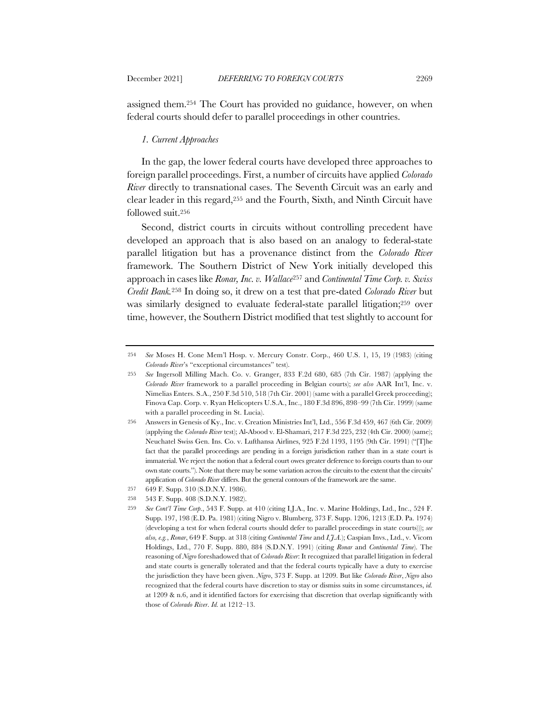assigned them.254 The Court has provided no guidance, however, on when federal courts should defer to parallel proceedings in other countries.

### *1. Current Approaches*

In the gap, the lower federal courts have developed three approaches to foreign parallel proceedings. First, a number of circuits have applied *Colorado River* directly to transnational cases. The Seventh Circuit was an early and clear leader in this regard,255 and the Fourth, Sixth, and Ninth Circuit have followed suit.256

Second, district courts in circuits without controlling precedent have developed an approach that is also based on an analogy to federal-state parallel litigation but has a provenance distinct from the *Colorado River* framework. The Southern District of New York initially developed this approach in cases like *Ronar, Inc. v. Wallace*<sup>257</sup> and *Continental Time Corp. v. Swiss Credit Bank.*<sup>258</sup> In doing so, it drew on a test that pre-dated *Colorado River* but was similarly designed to evaluate federal-state parallel litigation;<sup>259</sup> over time, however, the Southern District modified that test slightly to account for

<sup>254</sup> *See* Moses H. Cone Mem'l Hosp. v. Mercury Constr. Corp., 460 U.S. 1, 15, 19 (1983) (citing *Colorado River*'s "exceptional circumstances" test).

<sup>255</sup> *See* Ingersoll Milling Mach. Co. v. Granger, 833 F.2d 680, 685 (7th Cir. 1987) (applying the *Colorado River* framework to a parallel proceeding in Belgian courts); *see also* AAR Int'l, Inc. v. Nimelias Enters. S.A., 250 F.3d 510, 518 (7th Cir. 2001) (same with a parallel Greek proceeding); Finova Cap. Corp. v. Ryan Helicopters U.S.A., Inc., 180 F.3d 896, 898–99 (7th Cir. 1999) (same with a parallel proceeding in St. Lucia).

<sup>256</sup> Answers in Genesis of Ky., Inc. v. Creation Ministries Int'l, Ltd., 556 F.3d 459, 467 (6th Cir. 2009) (applying the *Colorado River* test); Al-Abood v. El-Shamari, 217 F.3d 225, 232 (4th Cir. 2000) (same); Neuchatel Swiss Gen. Ins. Co. v. Lufthansa Airlines, 925 F.2d 1193, 1195 (9th Cir. 1991) ("[T]he fact that the parallel proceedings are pending in a foreign jurisdiction rather than in a state court is immaterial. We reject the notion that a federal court owes greater deference to foreign courts than to our own state courts."). Note that there may be some variation across the circuits to the extent that the circuits' application of *Colorado River* differs. But the general contours of the framework are the same.

<sup>257</sup> 649 F. Supp. 310 (S.D.N.Y. 1986).

<sup>258</sup> 543 F. Supp. 408 (S.D.N.Y. 1982).

<sup>259</sup> *See Cont'l Time Corp.*, 543 F. Supp. at 410 (citing I.J.A., Inc. v. Marine Holdings, Ltd., Inc., 524 F. Supp. 197, 198 (E.D. Pa. 1981) (citing Nigro v. Blumberg, 373 F. Supp. 1206, 1213 (E.D. Pa. 1974) (developing a test for when federal courts should defer to parallel proceedings in state courts))); *see also, e.g.*, *Ronar*, 649 F. Supp. at 318 (citing *Continental Time* and *I.J.A.*); Caspian Invs., Ltd., v. Vicom Holdings, Ltd., 770 F. Supp. 880, 884 (S.D.N.Y. 1991) (citing *Ronar* and *Continental Time*). The reasoning of *Nigro* foreshadowed that of *Colorado River*: It recognized that parallel litigation in federal and state courts is generally tolerated and that the federal courts typically have a duty to exercise the jurisdiction they have been given. *Nigro*, 373 F. Supp. at 1209. But like *Colorado River*, *Nigro* also recognized that the federal courts have discretion to stay or dismiss suits in some circumstances, *id.*  at 1209 & n.6, and it identified factors for exercising that discretion that overlap significantly with those of *Colorado River*. *Id.* at 1212–13.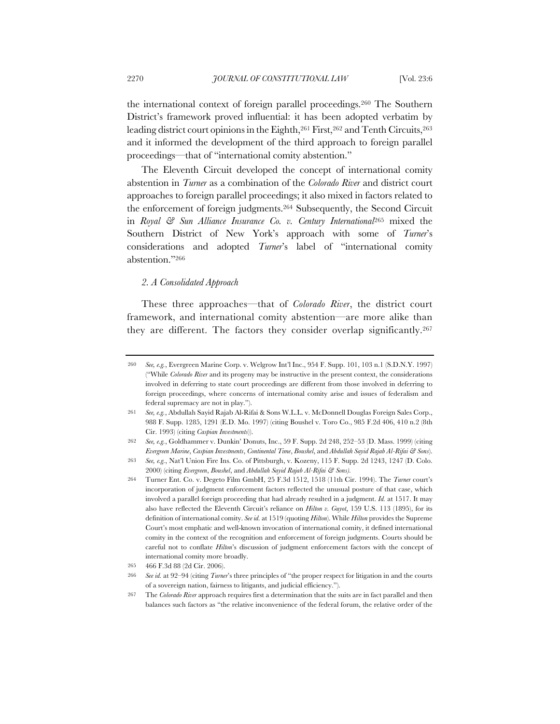the international context of foreign parallel proceedings.260 The Southern District's framework proved influential: it has been adopted verbatim by leading district court opinions in the Eighth,<sup>261</sup> First,<sup>262</sup> and Tenth Circuits,<sup>263</sup> and it informed the development of the third approach to foreign parallel proceedings—that of "international comity abstention."

The Eleventh Circuit developed the concept of international comity abstention in *Turner* as a combination of the *Colorado River* and district court approaches to foreign parallel proceedings; it also mixed in factors related to the enforcement of foreign judgments.264 Subsequently, the Second Circuit in *Royal & Sun Alliance Insurance Co. v. Century International*<sup>265</sup> mixed the Southern District of New York's approach with some of *Turner*'s considerations and adopted *Turner*'s label of "international comity abstention."266

### *2. A Consolidated Approach*

These three approaches—that of *Colorado River*, the district court framework, and international comity abstention—are more alike than they are different. The factors they consider overlap significantly.267

<sup>260</sup> *See, e.g.*, Evergreen Marine Corp. v. Welgrow Int'l Inc., 954 F. Supp. 101, 103 n.1 (S.D.N.Y. 1997) ("While *Colorado River* and its progeny may be instructive in the present context, the considerations involved in deferring to state court proceedings are different from those involved in deferring to foreign proceedings, where concerns of international comity arise and issues of federalism and federal supremacy are not in play.").

<sup>261</sup> *See, e.g.*, Abdullah Sayid Rajab Al-Rifai & Sons W.L.L. v. McDonnell Douglas Foreign Sales Corp., 988 F. Supp. 1285, 1291 (E.D. Mo. 1997) (citing Boushel v. Toro Co., 985 F.2d 406, 410 n.2 (8th Cir. 1993) (citing *Caspian Investments*)).

<sup>262</sup> *See, e.g.*, Goldhammer v. Dunkin' Donuts, Inc., 59 F. Supp. 2d 248, 252–53 (D. Mass. 1999) (citing *Evergreen Marine*, *Caspian Investments*, *Continental Time*, *Boushel*, and *Abdullah Sayid Rajab Al-Rifai & Sons*).

<sup>263</sup> *See, e.g.*, Nat'l Union Fire Ins. Co. of Pittsburgh, v. Kozeny, 115 F. Supp. 2d 1243, 1247 (D. Colo. 2000) (citing *Evergreen*, *Boushel*, and *Abdullah Sayid Rajab Al-Rifai & Sons).*

<sup>264</sup> Turner Ent. Co. v. Degeto Film GmbH, 25 F.3d 1512, 1518 (11th Cir. 1994). The *Turner* court's incorporation of judgment enforcement factors reflected the unusual posture of that case, which involved a parallel foreign proceeding that had already resulted in a judgment. *Id.* at 1517. It may also have reflected the Eleventh Circuit's reliance on *Hilton v. Guyot*, 159 U.S. 113 (1895), for its definition of international comity. *See id.* at 1519 (quoting *Hilton*). While *Hilton* provides the Supreme Court's most emphatic and well-known invocation of international comity, it defined international comity in the context of the recognition and enforcement of foreign judgments. Courts should be careful not to conflate *Hilton*'s discussion of judgment enforcement factors with the concept of international comity more broadly.

<sup>265</sup> 466 F.3d 88 (2d Cir. 2006).

<sup>266</sup> *See id.* at 92–94 (citing *Turner*'s three principles of "the proper respect for litigation in and the courts of a sovereign nation, fairness to litigants, and judicial efficiency.").

<sup>267</sup> The *Colorado River* approach requires first a determination that the suits are in fact parallel and then balances such factors as "the relative inconvenience of the federal forum, the relative order of the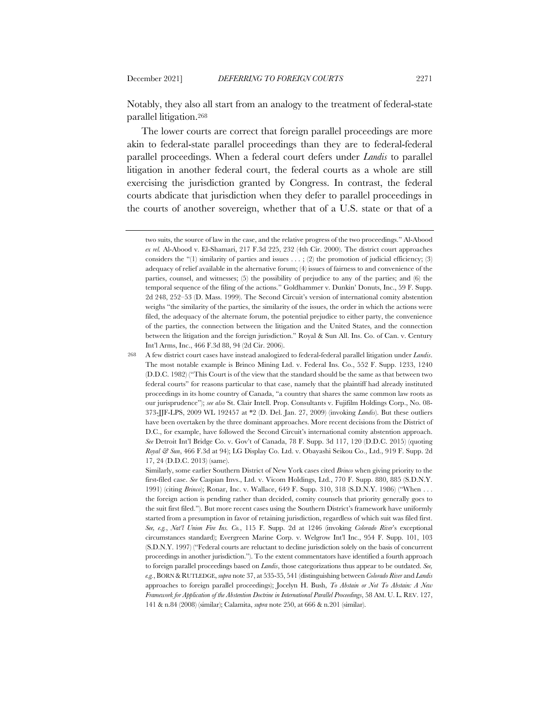Notably, they also all start from an analogy to the treatment of federal-state parallel litigation.268

The lower courts are correct that foreign parallel proceedings are more akin to federal-state parallel proceedings than they are to federal-federal parallel proceedings. When a federal court defers under *Landis* to parallel litigation in another federal court, the federal courts as a whole are still exercising the jurisdiction granted by Congress. In contrast, the federal courts abdicate that jurisdiction when they defer to parallel proceedings in the courts of another sovereign, whether that of a U.S. state or that of a

two suits, the source of law in the case, and the relative progress of the two proceedings." Al-Abood *ex rel.* Al-Abood v. El-Shamari, 217 F.3d 225, 232 (4th Cir. 2000). The district court approaches considers the "(1) similarity of parties and issues  $\dots$ ; (2) the promotion of judicial efficiency; (3) adequacy of relief available in the alternative forum; (4) issues of fairness to and convenience of the parties, counsel, and witnesses; (5) the possibility of prejudice to any of the parties; and (6) the temporal sequence of the filing of the actions." Goldhammer v. Dunkin' Donuts, Inc., 59 F. Supp. 2d 248, 252–53 (D. Mass. 1999). The Second Circuit's version of international comity abstention weighs "the similarity of the parties, the similarity of the issues, the order in which the actions were filed, the adequacy of the alternate forum, the potential prejudice to either party, the convenience of the parties, the connection between the litigation and the United States, and the connection between the litigation and the foreign jurisdiction." Royal & Sun All. Ins. Co. of Can. v. Century Int'l Arms, Inc., 466 F.3d 88, 94 (2d Cir. 2006).

<sup>268</sup> A few district court cases have instead analogized to federal-federal parallel litigation under *Landis*. The most notable example is Brinco Mining Ltd. v. Federal Ins. Co., 552 F. Supp. 1233, 1240 (D.D.C. 1982) ("This Court is of the view that the standard should be the same as that between two federal courts" for reasons particular to that case, namely that the plaintiff had already instituted proceedings in its home country of Canada, "a country that shares the same common law roots as our jurisprudence"); *see also* St. Clair Intell. Prop. Consultants v. Fujifilm Holdings Corp., No. 08- 373-JJF-LPS, 2009 WL 192457 at \*2 (D. Del. Jan. 27, 2009) (invoking *Landis*). But these outliers have been overtaken by the three dominant approaches. More recent decisions from the District of D.C., for example, have followed the Second Circuit's international comity abstention approach. *See* Detroit Int'l Bridge Co. v. Gov't of Canada, 78 F. Supp. 3d 117, 120 (D.D.C. 2015) (quoting *Royal & Sun*, 466 F.3d at 94); LG Display Co. Ltd. v. Obayashi Seikou Co., Ltd., 919 F. Supp. 2d 17, 24 (D.D.C. 2013) (same).

Similarly, some earlier Southern District of New York cases cited *Brinco* when giving priority to the first-filed case. *See* Caspian Invs., Ltd. v. Vicom Holdings, Ltd., 770 F. Supp. 880, 885 (S.D.N.Y. 1991) (citing *Brinco*); Ronar, Inc. v. Wallace, 649 F. Supp. 310, 318 (S.D.N.Y. 1986) ("When . . . the foreign action is pending rather than decided, comity counsels that priority generally goes to the suit first filed."). But more recent cases using the Southern District's framework have uniformly started from a presumption in favor of retaining jurisdiction, regardless of which suit was filed first. *See, e.g.*, *Nat'l Union Fire Ins. Co.*, 115 F. Supp. 2d at 1246 (invoking *Colorado River*'s exceptional circumstances standard); Evergreen Marine Corp. v. Welgrow Int'l Inc., 954 F. Supp. 101, 103 (S.D.N.Y. 1997) ("Federal courts are reluctant to decline jurisdiction solely on the basis of concurrent proceedings in another jurisdiction."). To the extent commentators have identified a fourth approach to foreign parallel proceedings based on *Landis*, those categorizations thus appear to be outdated. *See, e.g.*, BORN & RUTLEDGE,*supra* note 37, at 535-35, 541 (distinguishing between *Colorado River* and *Landis* approaches to foreign parallel proceedings); Jocelyn H. Bush, *To Abstain or Not To Abstain: A New Framework for Application of the Abstention Doctrine in International Parallel Proceedings*, 58 AM. U. L. REV. 127, 141 & n.84 (2008) (similar); Calamita, *supra* note 250, at 666 & n.201 (similar).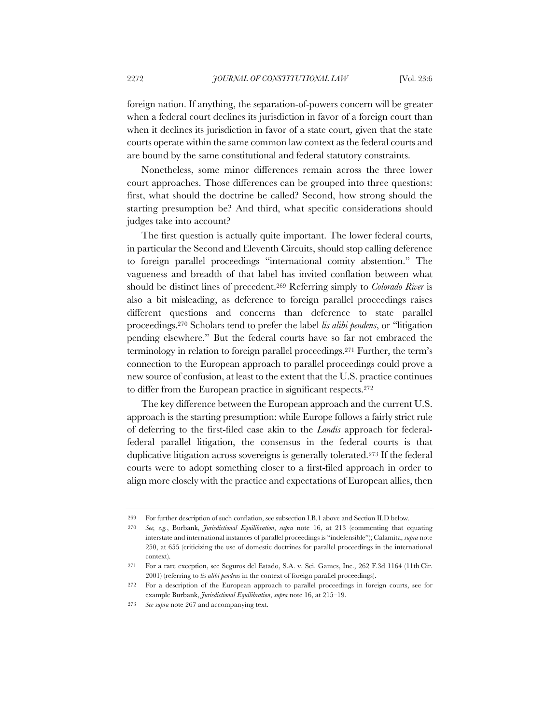foreign nation. If anything, the separation-of-powers concern will be greater when a federal court declines its jurisdiction in favor of a foreign court than when it declines its jurisdiction in favor of a state court, given that the state courts operate within the same common law context as the federal courts and are bound by the same constitutional and federal statutory constraints.

Nonetheless, some minor differences remain across the three lower court approaches. Those differences can be grouped into three questions: first, what should the doctrine be called? Second, how strong should the starting presumption be? And third, what specific considerations should judges take into account?

The first question is actually quite important. The lower federal courts, in particular the Second and Eleventh Circuits, should stop calling deference to foreign parallel proceedings "international comity abstention." The vagueness and breadth of that label has invited conflation between what should be distinct lines of precedent.269 Referring simply to *Colorado River* is also a bit misleading, as deference to foreign parallel proceedings raises different questions and concerns than deference to state parallel proceedings.270 Scholars tend to prefer the label *lis alibi pendens*, or "litigation pending elsewhere." But the federal courts have so far not embraced the terminology in relation to foreign parallel proceedings.271 Further, the term's connection to the European approach to parallel proceedings could prove a new source of confusion, at least to the extent that the U.S. practice continues to differ from the European practice in significant respects.272

The key difference between the European approach and the current U.S. approach is the starting presumption: while Europe follows a fairly strict rule of deferring to the first-filed case akin to the *Landis* approach for federalfederal parallel litigation, the consensus in the federal courts is that duplicative litigation across sovereigns is generally tolerated.273 If the federal courts were to adopt something closer to a first-filed approach in order to align more closely with the practice and expectations of European allies, then

<sup>269</sup> For further description of such conflation, see subsection I.B.1 above and Section II.D below.

<sup>270</sup> *See, e.g.*, Burbank, *Jurisdictional Equilibration*, *supra* note 16, at 213 (commenting that equating interstate and international instances of parallel proceedings is "indefensible"); Calamita, *supra* note 250, at 655 (criticizing the use of domestic doctrines for parallel proceedings in the international context).

<sup>271</sup> For a rare exception, see Seguros del Estado, S.A. v. Sci. Games, Inc., 262 F.3d 1164 (11th Cir. 2001) (referring to *lis alibi pendens* in the context of foreign parallel proceedings).

<sup>272</sup> For a description of the European approach to parallel proceedings in foreign courts, see for example Burbank, *Jurisdictional Equilibration*, *supra* note 16, at 215–19.

<sup>273</sup> *See supra* note 267 and accompanying text.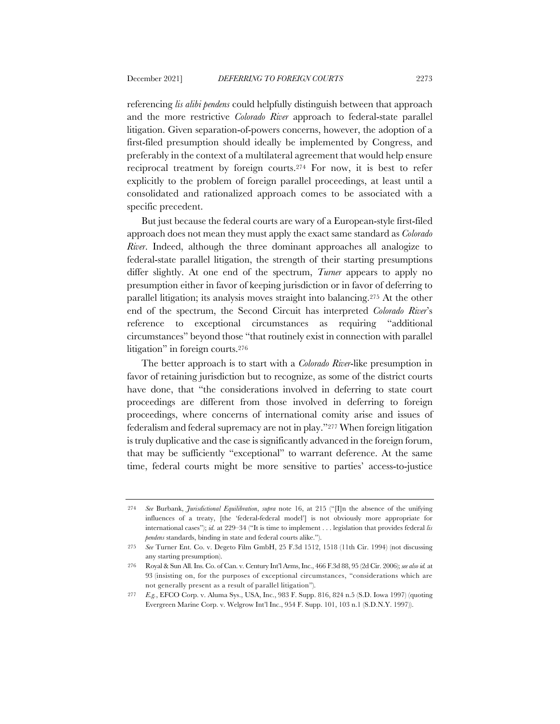referencing *lis alibi pendens* could helpfully distinguish between that approach and the more restrictive *Colorado River* approach to federal-state parallel litigation. Given separation-of-powers concerns, however, the adoption of a first-filed presumption should ideally be implemented by Congress, and preferably in the context of a multilateral agreement that would help ensure reciprocal treatment by foreign courts.274 For now, it is best to refer explicitly to the problem of foreign parallel proceedings, at least until a consolidated and rationalized approach comes to be associated with a specific precedent.

But just because the federal courts are wary of a European-style first-filed approach does not mean they must apply the exact same standard as *Colorado River*. Indeed, although the three dominant approaches all analogize to federal-state parallel litigation, the strength of their starting presumptions differ slightly. At one end of the spectrum, *Turner* appears to apply no presumption either in favor of keeping jurisdiction or in favor of deferring to parallel litigation; its analysis moves straight into balancing.275 At the other end of the spectrum, the Second Circuit has interpreted *Colorado River*'s reference to exceptional circumstances as requiring "additional circumstances" beyond those "that routinely exist in connection with parallel litigation" in foreign courts.276

The better approach is to start with a *Colorado River*-like presumption in favor of retaining jurisdiction but to recognize, as some of the district courts have done, that "the considerations involved in deferring to state court proceedings are different from those involved in deferring to foreign proceedings, where concerns of international comity arise and issues of federalism and federal supremacy are not in play."277 When foreign litigation is truly duplicative and the case is significantly advanced in the foreign forum, that may be sufficiently "exceptional" to warrant deference. At the same time, federal courts might be more sensitive to parties' access-to-justice

<sup>274</sup> *See* Burbank, *Jurisdictional Equilibration*, *supra* note 16, at 215 ("[I]n the absence of the unifying influences of a treaty, [the 'federal-federal model'] is not obviously more appropriate for international cases"); *id.* at 229–34 ("It is time to implement . . . legislation that provides federal *lis pendens* standards, binding in state and federal courts alike.").

<sup>275</sup> *See* Turner Ent. Co. v. Degeto Film GmbH, 25 F.3d 1512, 1518 (11th Cir. 1994) (not discussing any starting presumption).

<sup>276</sup> Royal & Sun All. Ins. Co. of Can. v. Century Int'l Arms, Inc., 466 F.3d 88, 95 (2d Cir. 2006); *see also id.* at 93 (insisting on, for the purposes of exceptional circumstances, "considerations which are not generally present as a result of parallel litigation").

<sup>277</sup> *E.g.*, EFCO Corp. v. Aluma Sys., USA, Inc., 983 F. Supp. 816, 824 n.5 (S.D. Iowa 1997) (quoting Evergreen Marine Corp. v. Welgrow Int'l Inc., 954 F. Supp. 101, 103 n.1 (S.D.N.Y. 1997)).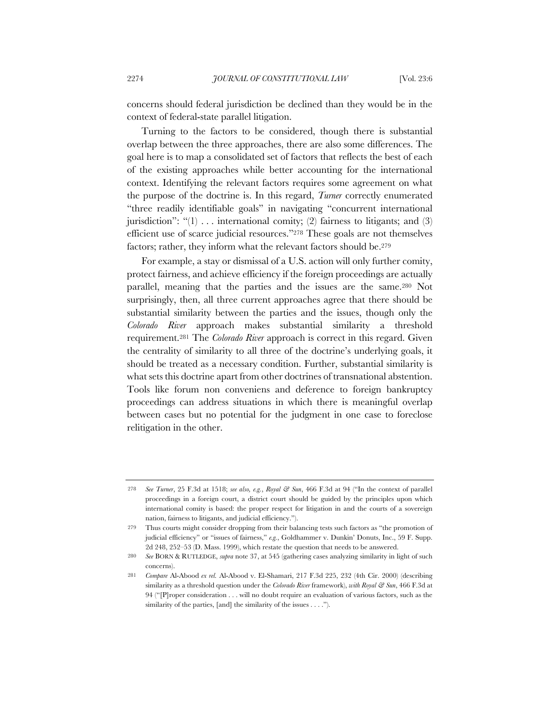concerns should federal jurisdiction be declined than they would be in the context of federal-state parallel litigation.

Turning to the factors to be considered, though there is substantial overlap between the three approaches, there are also some differences. The goal here is to map a consolidated set of factors that reflects the best of each of the existing approaches while better accounting for the international context. Identifying the relevant factors requires some agreement on what the purpose of the doctrine is. In this regard, *Turner* correctly enumerated "three readily identifiable goals" in navigating "concurrent international jurisdiction": " $(1)$ ... international comity;  $(2)$  fairness to litigants; and  $(3)$ efficient use of scarce judicial resources."278 These goals are not themselves factors; rather, they inform what the relevant factors should be.<sup>279</sup>

For example, a stay or dismissal of a U.S. action will only further comity, protect fairness, and achieve efficiency if the foreign proceedings are actually parallel, meaning that the parties and the issues are the same.280 Not surprisingly, then, all three current approaches agree that there should be substantial similarity between the parties and the issues, though only the *Colorado River* approach makes substantial similarity a threshold requirement.281 The *Colorado River* approach is correct in this regard. Given the centrality of similarity to all three of the doctrine's underlying goals, it should be treated as a necessary condition. Further, substantial similarity is what sets this doctrine apart from other doctrines of transnational abstention. Tools like forum non conveniens and deference to foreign bankruptcy proceedings can address situations in which there is meaningful overlap between cases but no potential for the judgment in one case to foreclose relitigation in the other.

<sup>278</sup> *See Turner*, 25 F.3d at 1518; *see also, e.g.*, *Royal & Sun*, 466 F.3d at 94 ("In the context of parallel proceedings in a foreign court, a district court should be guided by the principles upon which international comity is based: the proper respect for litigation in and the courts of a sovereign nation, fairness to litigants, and judicial efficiency.").

<sup>279</sup> Thus courts might consider dropping from their balancing tests such factors as "the promotion of judicial efficiency" or "issues of fairness," *e.g.*, Goldhammer v. Dunkin' Donuts, Inc., 59 F. Supp. 2d 248, 252–53 (D. Mass. 1999), which restate the question that needs to be answered.

<sup>280</sup> *See* BORN & RUTLEDGE, *supra* note 37, at 545 (gathering cases analyzing similarity in light of such concerns).

<sup>281</sup> *Compare* Al-Abood *ex rel.* Al-Abood v. El-Shamari, 217 F.3d 225, 232 (4th Cir. 2000) (describing similarity as a threshold question under the *Colorado River* framework), *with Royal & Sun*, 466 F.3d at 94 ("[P]roper consideration . . . will no doubt require an evaluation of various factors, such as the similarity of the parties, [and] the similarity of the issues . . . .").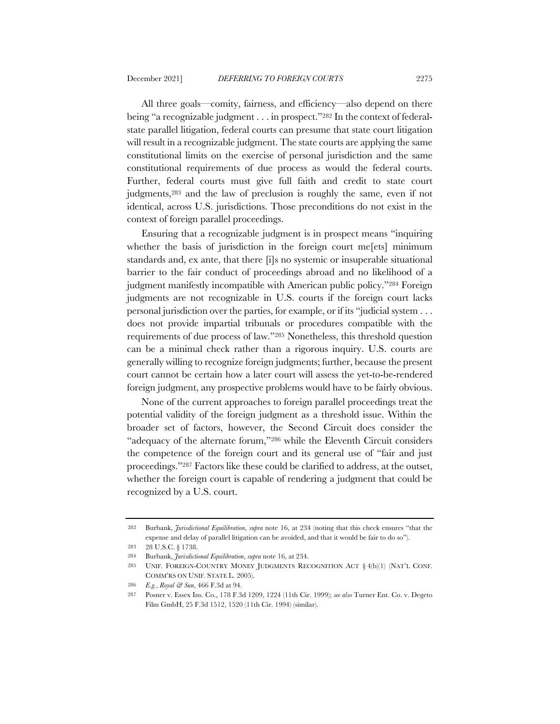All three goals—comity, fairness, and efficiency—also depend on there being "a recognizable judgment . . . in prospect."282 In the context of federalstate parallel litigation, federal courts can presume that state court litigation will result in a recognizable judgment. The state courts are applying the same constitutional limits on the exercise of personal jurisdiction and the same constitutional requirements of due process as would the federal courts. Further, federal courts must give full faith and credit to state court judgments,283 and the law of preclusion is roughly the same, even if not identical, across U.S. jurisdictions. Those preconditions do not exist in the context of foreign parallel proceedings.

Ensuring that a recognizable judgment is in prospect means "inquiring whether the basis of jurisdiction in the foreign court me[ets] minimum standards and, ex ante, that there [i]s no systemic or insuperable situational barrier to the fair conduct of proceedings abroad and no likelihood of a judgment manifestly incompatible with American public policy."284 Foreign judgments are not recognizable in U.S. courts if the foreign court lacks personal jurisdiction over the parties, for example, or if its "judicial system . . . does not provide impartial tribunals or procedures compatible with the requirements of due process of law."285 Nonetheless, this threshold question can be a minimal check rather than a rigorous inquiry. U.S. courts are generally willing to recognize foreign judgments; further, because the present court cannot be certain how a later court will assess the yet-to-be-rendered foreign judgment, any prospective problems would have to be fairly obvious.

None of the current approaches to foreign parallel proceedings treat the potential validity of the foreign judgment as a threshold issue. Within the broader set of factors, however, the Second Circuit does consider the "adequacy of the alternate forum,"286 while the Eleventh Circuit considers the competence of the foreign court and its general use of "fair and just proceedings."287 Factors like these could be clarified to address, at the outset, whether the foreign court is capable of rendering a judgment that could be recognized by a U.S. court.

<sup>282</sup> Burbank, *Jurisdictional Equilibration*, *supra* note 16, at 234 (noting that this check ensures "that the expense and delay of parallel litigation can be avoided, and that it would be fair to do so").

<sup>283</sup> 28 U.S.C. § 1738.

<sup>284</sup> Burbank, *Jurisdictional Equilibration*, *supra* note 16, at 234.

<sup>285</sup> UNIF. FOREIGN-COUNTRY MONEY JUDGMENTS RECOGNITION ACT § 4(b)(1) (NAT'L CONF. COMM'RS ON UNIF. STATE L. 2005).

<sup>286</sup> *E.g.*, *Royal & Sun*, 466 F.3d at 94.

<sup>287</sup> Posner v. Essex Ins. Co., 178 F.3d 1209, 1224 (11th Cir. 1999); *see also* Turner Ent. Co. v. Degeto Film GmbH, 25 F.3d 1512, 1520 (11th Cir. 1994) (similar).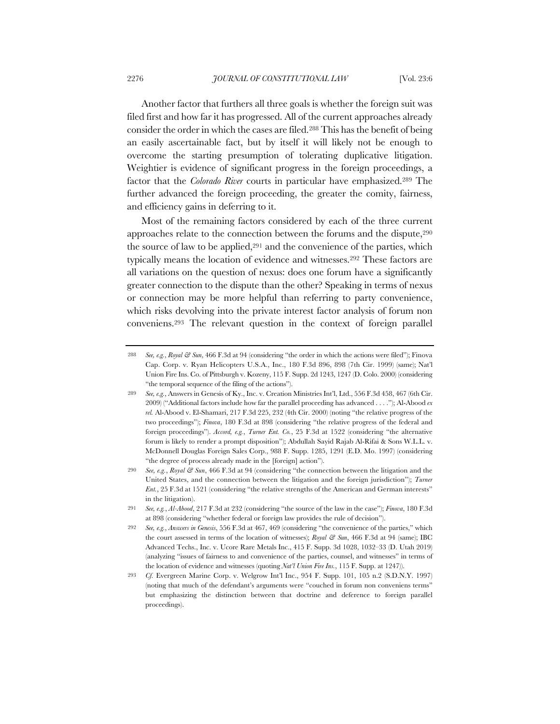Another factor that furthers all three goals is whether the foreign suit was filed first and how far it has progressed. All of the current approaches already consider the order in which the cases are filed.288 This has the benefit of being an easily ascertainable fact, but by itself it will likely not be enough to overcome the starting presumption of tolerating duplicative litigation. Weightier is evidence of significant progress in the foreign proceedings, a factor that the *Colorado River* courts in particular have emphasized.289 The further advanced the foreign proceeding, the greater the comity, fairness, and efficiency gains in deferring to it.

Most of the remaining factors considered by each of the three current approaches relate to the connection between the forums and the dispute,290 the source of law to be applied,291 and the convenience of the parties, which typically means the location of evidence and witnesses.292 These factors are all variations on the question of nexus: does one forum have a significantly greater connection to the dispute than the other? Speaking in terms of nexus or connection may be more helpful than referring to party convenience, which risks devolving into the private interest factor analysis of forum non conveniens.293 The relevant question in the context of foreign parallel

<sup>288</sup> *See, e.g.*, *Royal & Sun*, 466 F.3d at 94 (considering "the order in which the actions were filed"); Finova Cap. Corp. v. Ryan Helicopters U.S.A., Inc., 180 F.3d 896, 898 (7th Cir. 1999) (same); Nat'l Union Fire Ins. Co. of Pittsburgh v. Kozeny, 115 F. Supp. 2d 1243, 1247 (D. Colo. 2000) (considering "the temporal sequence of the filing of the actions").

<sup>289</sup> *See, e.g.*, Answers in Genesis of Ky., Inc. v. Creation Ministries Int'l, Ltd., 556 F.3d 458, 467 (6th Cir. 2009) ("Additional factors include how far the parallel proceeding has advanced . . . ."); Al-Abood *ex rel.* Al-Abood v. El-Shamari, 217 F.3d 225, 232 (4th Cir. 2000) (noting "the relative progress of the two proceedings"); *Finova*, 180 F.3d at 898 (considering "the relative progress of the federal and foreign proceedings"). *Accord, e.g.*, *Turner Ent. Co.*, 25 F.3d at 1522 (considering "the alternative forum is likely to render a prompt disposition"); Abdullah Sayid Rajab Al-Rifai & Sons W.L.L. v. McDonnell Douglas Foreign Sales Corp., 988 F. Supp. 1285, 1291 (E.D. Mo. 1997) (considering "the degree of process already made in the [foreign] action").

<sup>290</sup> *See, e.g.*, *Royal & Sun*, 466 F.3d at 94 (considering "the connection between the litigation and the United States, and the connection between the litigation and the foreign jurisdiction"); *Turner Ent.*, 25 F.3d at 1521 (considering "the relative strengths of the American and German interests" in the litigation).

<sup>291</sup> *See, e.g.*, *Al-Abood*, 217 F.3d at 232 (considering "the source of the law in the case"); *Finova*, 180 F.3d at 898 (considering "whether federal or foreign law provides the rule of decision").

<sup>292</sup> *See, e.g.*, *Answers in Genesis*, 556 F.3d at 467, 469 (considering "the convenience of the parties," which the court assessed in terms of the location of witnesses); *Royal & Sun*, 466 F.3d at 94 (same); IBC Advanced Techs., Inc. v. Ucore Rare Metals Inc., 415 F. Supp. 3d 1028, 1032–33 (D. Utah 2019) (analyzing "issues of fairness to and convenience of the parties, counsel, and witnesses" in terms of the location of evidence and witnesses (quoting *Nat'l Union Fire Ins.*, 115 F. Supp. at 1247)).

<sup>293</sup> *Cf.* Evergreen Marine Corp. v. Welgrow Int'l Inc., 954 F. Supp. 101, 105 n.2 (S.D.N.Y. 1997) (noting that much of the defendant's arguments were "couched in forum non conveniens terms" but emphasizing the distinction between that doctrine and deference to foreign parallel proceedings).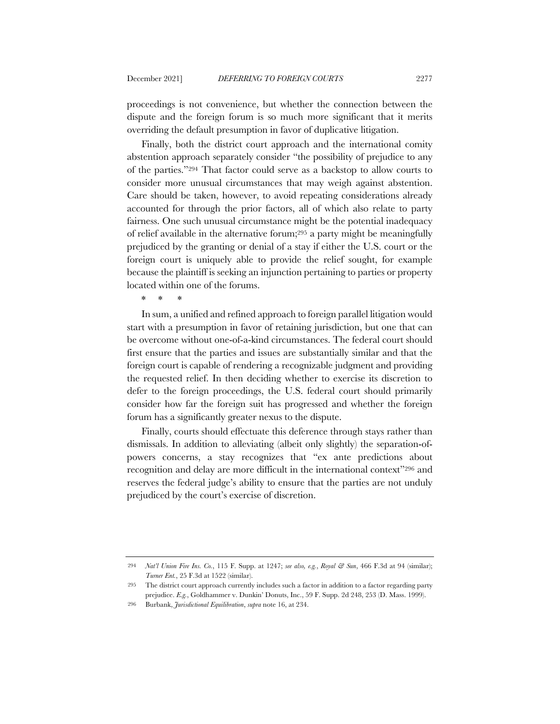proceedings is not convenience, but whether the connection between the dispute and the foreign forum is so much more significant that it merits overriding the default presumption in favor of duplicative litigation.

Finally, both the district court approach and the international comity abstention approach separately consider "the possibility of prejudice to any of the parties."294 That factor could serve as a backstop to allow courts to consider more unusual circumstances that may weigh against abstention. Care should be taken, however, to avoid repeating considerations already accounted for through the prior factors, all of which also relate to party fairness. One such unusual circumstance might be the potential inadequacy of relief available in the alternative forum;295 a party might be meaningfully prejudiced by the granting or denial of a stay if either the U.S. court or the foreign court is uniquely able to provide the relief sought, for example because the plaintiff is seeking an injunction pertaining to parties or property located within one of the forums.

\* \* \*

In sum, a unified and refined approach to foreign parallel litigation would start with a presumption in favor of retaining jurisdiction, but one that can be overcome without one-of-a-kind circumstances. The federal court should first ensure that the parties and issues are substantially similar and that the foreign court is capable of rendering a recognizable judgment and providing the requested relief. In then deciding whether to exercise its discretion to defer to the foreign proceedings, the U.S. federal court should primarily consider how far the foreign suit has progressed and whether the foreign forum has a significantly greater nexus to the dispute.

Finally, courts should effectuate this deference through stays rather than dismissals. In addition to alleviating (albeit only slightly) the separation-ofpowers concerns, a stay recognizes that "ex ante predictions about recognition and delay are more difficult in the international context"296 and reserves the federal judge's ability to ensure that the parties are not unduly prejudiced by the court's exercise of discretion.

<sup>294</sup> *Nat'l Union Fire Ins. Co.*, 115 F. Supp. at 1247; *see also, e.g.*, *Royal & Sun*, 466 F.3d at 94 (similar); *Turner Ent.*, 25 F.3d at 1522 (similar).

<sup>295</sup> The district court approach currently includes such a factor in addition to a factor regarding party prejudice. *E.g.*, Goldhammer v. Dunkin' Donuts, Inc., 59 F. Supp. 2d 248, 253 (D. Mass. 1999).

<sup>296</sup> Burbank, *Jurisdictional Equilibration*, *supra* note 16, at 234.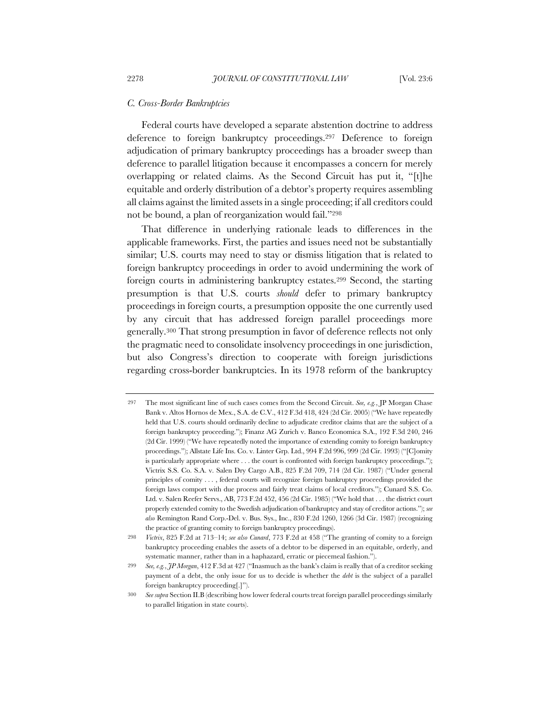#### *C. Cross-Border Bankruptcies*

Federal courts have developed a separate abstention doctrine to address deference to foreign bankruptcy proceedings.297 Deference to foreign adjudication of primary bankruptcy proceedings has a broader sweep than deference to parallel litigation because it encompasses a concern for merely overlapping or related claims. As the Second Circuit has put it, "[t]he equitable and orderly distribution of a debtor's property requires assembling all claims against the limited assets in a single proceeding; if all creditors could not be bound, a plan of reorganization would fail."298

That difference in underlying rationale leads to differences in the applicable frameworks. First, the parties and issues need not be substantially similar; U.S. courts may need to stay or dismiss litigation that is related to foreign bankruptcy proceedings in order to avoid undermining the work of foreign courts in administering bankruptcy estates.299 Second, the starting presumption is that U.S. courts *should* defer to primary bankruptcy proceedings in foreign courts, a presumption opposite the one currently used by any circuit that has addressed foreign parallel proceedings more generally.300 That strong presumption in favor of deference reflects not only the pragmatic need to consolidate insolvency proceedings in one jurisdiction, but also Congress's direction to cooperate with foreign jurisdictions regarding cross-border bankruptcies. In its 1978 reform of the bankruptcy

<sup>297</sup> The most significant line of such cases comes from the Second Circuit. *See, e.g.*, JP Morgan Chase Bank v. Altos Hornos de Mex., S.A. de C.V., 412 F.3d 418, 424 (2d Cir. 2005) ("We have repeatedly held that U.S. courts should ordinarily decline to adjudicate creditor claims that are the subject of a foreign bankruptcy proceeding."); Finanz AG Zurich v. Banco Economica S.A., 192 F.3d 240, 246 (2d Cir. 1999) ("We have repeatedly noted the importance of extending comity to foreign bankruptcy proceedings."); Allstate Life Ins. Co. v. Linter Grp. Ltd., 994 F.2d 996, 999 (2d Cir. 1993) ("[C]omity is particularly appropriate where . . . the court is confronted with foreign bankruptcy proceedings."); Victrix S.S. Co. S.A. v. Salen Dry Cargo A.B., 825 F.2d 709, 714 (2d Cir. 1987) ("Under general principles of comity . . . , federal courts will recognize foreign bankruptcy proceedings provided the foreign laws comport with due process and fairly treat claims of local creditors."); Cunard S.S. Co. Ltd. v. Salen Reefer Servs., AB, 773 F.2d 452, 456 (2d Cir. 1985) ("We hold that . . . the district court properly extended comity to the Swedish adjudication of bankruptcy and stay of creditor actions."); *see also* Remington Rand Corp.-Del. v. Bus. Sys., Inc., 830 F.2d 1260, 1266 (3d Cir. 1987) (recognizing the practice of granting comity to foreign bankruptcy proceedings).

<sup>298</sup> *Victrix*, 825 F.2d at 713–14; *see also Cunard*, 773 F.2d at 458 ("The granting of comity to a foreign bankruptcy proceeding enables the assets of a debtor to be dispersed in an equitable, orderly, and systematic manner, rather than in a haphazard, erratic or piecemeal fashion.").

<sup>299</sup> *See, e.g.*, *JP Morgan*, 412 F.3d at 427 ("Inasmuch as the bank's claim is really that of a creditor seeking payment of a debt, the only issue for us to decide is whether the *debt* is the subject of a parallel foreign bankruptcy proceeding[.]").

<sup>300</sup> *See supra* Section II.B (describing how lower federal courts treat foreign parallel proceedings similarly to parallel litigation in state courts).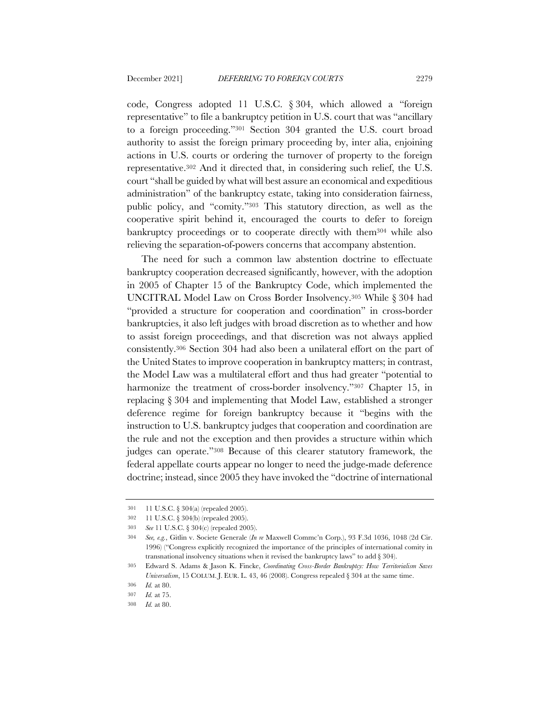code, Congress adopted 11 U.S.C. § 304, which allowed a "foreign representative" to file a bankruptcy petition in U.S. court that was "ancillary to a foreign proceeding."301 Section 304 granted the U.S. court broad authority to assist the foreign primary proceeding by, inter alia, enjoining actions in U.S. courts or ordering the turnover of property to the foreign representative.302 And it directed that, in considering such relief, the U.S. court "shall be guided by what will best assure an economical and expeditious administration" of the bankruptcy estate, taking into consideration fairness, public policy, and "comity."303 This statutory direction, as well as the cooperative spirit behind it, encouraged the courts to defer to foreign bankruptcy proceedings or to cooperate directly with them304 while also relieving the separation-of-powers concerns that accompany abstention.

The need for such a common law abstention doctrine to effectuate bankruptcy cooperation decreased significantly, however, with the adoption in 2005 of Chapter 15 of the Bankruptcy Code, which implemented the UNCITRAL Model Law on Cross Border Insolvency.305 While § 304 had "provided a structure for cooperation and coordination" in cross-border bankruptcies, it also left judges with broad discretion as to whether and how to assist foreign proceedings, and that discretion was not always applied consistently.306 Section 304 had also been a unilateral effort on the part of the United States to improve cooperation in bankruptcy matters; in contrast, the Model Law was a multilateral effort and thus had greater "potential to harmonize the treatment of cross-border insolvency."307 Chapter 15, in replacing § 304 and implementing that Model Law, established a stronger deference regime for foreign bankruptcy because it "begins with the instruction to U.S. bankruptcy judges that cooperation and coordination are the rule and not the exception and then provides a structure within which judges can operate."308 Because of this clearer statutory framework, the federal appellate courts appear no longer to need the judge-made deference doctrine; instead, since 2005 they have invoked the "doctrine of international

<sup>301</sup> 11 U.S.C. § 304(a) (repealed 2005).

<sup>302</sup> 11 U.S.C. § 304(b) (repealed 2005).

<sup>303</sup> *See* 11 U.S.C. § 304(c) (repealed 2005).

<sup>304</sup> *See, e.g.*, Gitlin v. Societe Generale (*In re* Maxwell Commc'n Corp.), 93 F.3d 1036, 1048 (2d Cir. 1996) ("Congress explicitly recognized the importance of the principles of international comity in transnational insolvency situations when it revised the bankruptcy laws" to add § 304).

<sup>305</sup> Edward S. Adams & Jason K. Fincke, *Coordinating Cross-Border Bankruptcy: How Territorialism Saves Universalism*, 15 COLUM. J. EUR. L. 43, 46 (2008). Congress repealed § 304 at the same time.

<sup>306</sup> *Id.* at 80.

<sup>307</sup> *Id.* at 75.

<sup>308</sup> *Id.* at 80.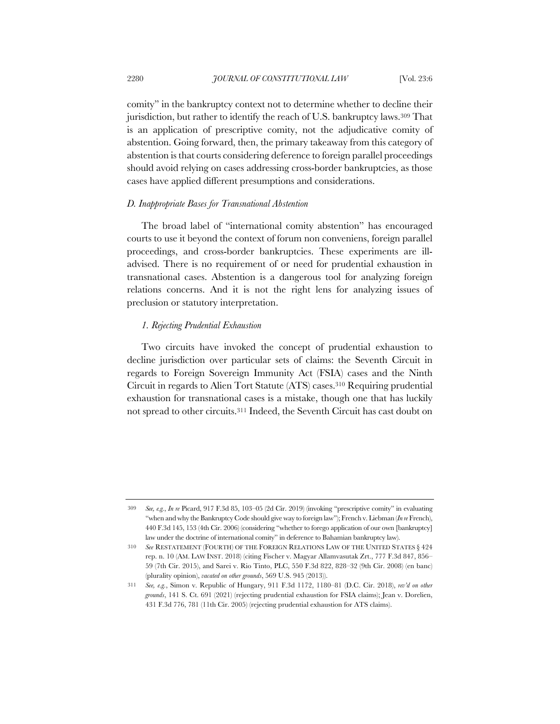comity" in the bankruptcy context not to determine whether to decline their jurisdiction, but rather to identify the reach of U.S. bankruptcy laws.309 That is an application of prescriptive comity, not the adjudicative comity of abstention. Going forward, then, the primary takeaway from this category of abstention is that courts considering deference to foreign parallel proceedings should avoid relying on cases addressing cross-border bankruptcies, as those cases have applied different presumptions and considerations.

#### *D. Inappropriate Bases for Transnational Abstention*

The broad label of "international comity abstention" has encouraged courts to use it beyond the context of forum non conveniens, foreign parallel proceedings, and cross-border bankruptcies. These experiments are illadvised. There is no requirement of or need for prudential exhaustion in transnational cases. Abstention is a dangerous tool for analyzing foreign relations concerns. And it is not the right lens for analyzing issues of preclusion or statutory interpretation.

## *1. Rejecting Prudential Exhaustion*

Two circuits have invoked the concept of prudential exhaustion to decline jurisdiction over particular sets of claims: the Seventh Circuit in regards to Foreign Sovereign Immunity Act (FSIA) cases and the Ninth Circuit in regards to Alien Tort Statute (ATS) cases.310 Requiring prudential exhaustion for transnational cases is a mistake, though one that has luckily not spread to other circuits.311 Indeed, the Seventh Circuit has cast doubt on

<sup>309</sup> *See, e.g.*, *In re* Picard, 917 F.3d 85, 103–05 (2d Cir. 2019) (invoking "prescriptive comity" in evaluating "when and why the Bankruptcy Code should give way to foreign law"); French v. Liebman (*In re* French), 440 F.3d 145, 153 (4th Cir. 2006) (considering "whether to forego application of our own [bankruptcy] law under the doctrine of international comity" in deference to Bahamian bankruptcy law).

<sup>310</sup> *See* RESTATEMENT (FOURTH) OF THE FOREIGN RELATIONS LAW OF THE UNITED STATES § 424 rep. n. 10 (AM. LAW INST. 2018) (citing Fischer v. Magyar Allamvasutak Zrt., 777 F.3d 847, 856– 59 (7th Cir. 2015), and Sarei v. Rio Tinto, PLC, 550 F.3d 822, 828–32 (9th Cir. 2008) (en banc) (plurality opinion), *vacated on other grounds*, 569 U.S. 945 (2013)).

<sup>311</sup> *See, e.g.*, Simon v. Republic of Hungary, 911 F.3d 1172, 1180–81 (D.C. Cir. 2018), *rev'd on other grounds*, 141 S. Ct. 691 (2021) (rejecting prudential exhaustion for FSIA claims); Jean v. Dorelien, 431 F.3d 776, 781 (11th Cir. 2005) (rejecting prudential exhaustion for ATS claims).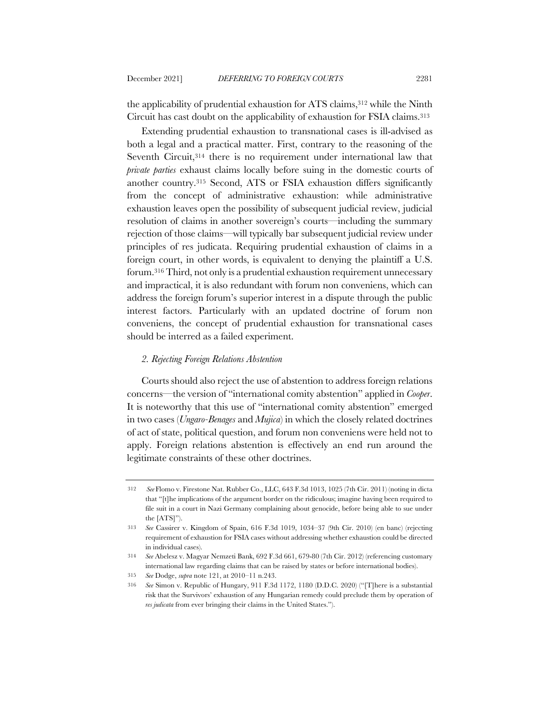the applicability of prudential exhaustion for ATS claims,312 while the Ninth Circuit has cast doubt on the applicability of exhaustion for FSIA claims.313

Extending prudential exhaustion to transnational cases is ill-advised as both a legal and a practical matter. First, contrary to the reasoning of the Seventh Circuit, 314 there is no requirement under international law that *private parties* exhaust claims locally before suing in the domestic courts of another country.315 Second, ATS or FSIA exhaustion differs significantly from the concept of administrative exhaustion: while administrative exhaustion leaves open the possibility of subsequent judicial review, judicial resolution of claims in another sovereign's courts—including the summary rejection of those claims—will typically bar subsequent judicial review under principles of res judicata. Requiring prudential exhaustion of claims in a foreign court, in other words, is equivalent to denying the plaintiff a U.S. forum.316 Third, not only is a prudential exhaustion requirement unnecessary and impractical, it is also redundant with forum non conveniens, which can address the foreign forum's superior interest in a dispute through the public interest factors. Particularly with an updated doctrine of forum non conveniens, the concept of prudential exhaustion for transnational cases should be interred as a failed experiment.

### *2. Rejecting Foreign Relations Abstention*

Courts should also reject the use of abstention to address foreign relations concerns—the version of "international comity abstention" applied in *Cooper*. It is noteworthy that this use of "international comity abstention" emerged in two cases (*Ungaro-Benages* and *Mujica*) in which the closely related doctrines of act of state, political question, and forum non conveniens were held not to apply. Foreign relations abstention is effectively an end run around the legitimate constraints of these other doctrines.

<sup>312</sup> *See* Flomo v. Firestone Nat. Rubber Co., LLC, 643 F.3d 1013, 1025 (7th Cir. 2011) (noting in dicta that "[t]he implications of the argument border on the ridiculous; imagine having been required to file suit in a court in Nazi Germany complaining about genocide, before being able to sue under the [ATS]").

<sup>313</sup> *See* Cassirer v. Kingdom of Spain, 616 F.3d 1019, 1034–37 (9th Cir. 2010) (en banc) (rejecting requirement of exhaustion for FSIA cases without addressing whether exhaustion could be directed in individual cases).

<sup>314</sup> *See* Abelesz v. Magyar Nemzeti Bank, 692 F.3d 661, 679-80 (7th Cir. 2012) (referencing customary international law regarding claims that can be raised by states or before international bodies).

<sup>315</sup> *See* Dodge, *supra* note 121, at 2010–11 n.243.

<sup>316</sup> *See* Simon v. Republic of Hungary, 911 F.3d 1172, 1180 (D.D.C. 2020) ("[T]here is a substantial risk that the Survivors' exhaustion of any Hungarian remedy could preclude them by operation of *res judicata* from ever bringing their claims in the United States.").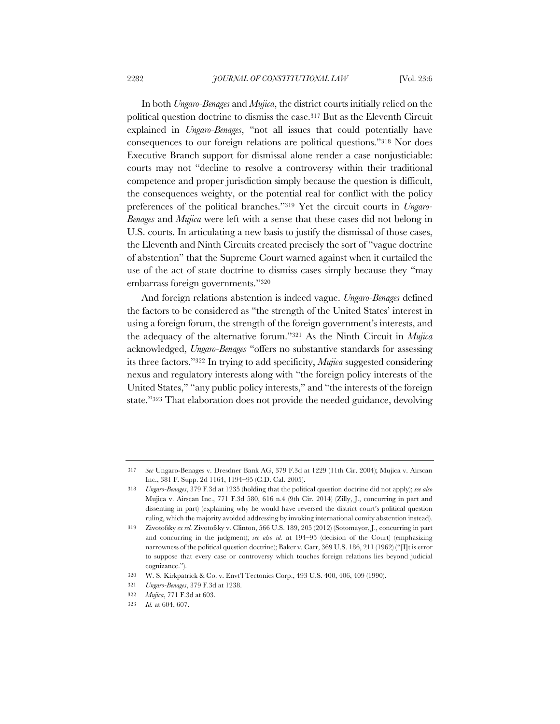In both *Ungaro-Benages* and *Mujica*, the district courts initially relied on the political question doctrine to dismiss the case.317 But as the Eleventh Circuit explained in *Ungaro-Benages*, "not all issues that could potentially have consequences to our foreign relations are political questions."318 Nor does Executive Branch support for dismissal alone render a case nonjusticiable: courts may not "decline to resolve a controversy within their traditional competence and proper jurisdiction simply because the question is difficult, the consequences weighty, or the potential real for conflict with the policy preferences of the political branches."319 Yet the circuit courts in *Ungaro-Benages* and *Mujica* were left with a sense that these cases did not belong in U.S. courts. In articulating a new basis to justify the dismissal of those cases, the Eleventh and Ninth Circuits created precisely the sort of "vague doctrine of abstention" that the Supreme Court warned against when it curtailed the use of the act of state doctrine to dismiss cases simply because they "may embarrass foreign governments."320

And foreign relations abstention is indeed vague. *Ungaro-Benages* defined the factors to be considered as "the strength of the United States' interest in using a foreign forum, the strength of the foreign government's interests, and the adequacy of the alternative forum."321 As the Ninth Circuit in *Mujica*  acknowledged, *Ungaro-Benages* "offers no substantive standards for assessing its three factors."322 In trying to add specificity, *Mujica* suggested considering nexus and regulatory interests along with "the foreign policy interests of the United States," "any public policy interests," and "the interests of the foreign state."323 That elaboration does not provide the needed guidance, devolving

<sup>317</sup> *See* Ungaro-Benages v. Dresdner Bank AG, 379 F.3d at 1229 (11th Cir. 2004); Mujica v. Airscan Inc., 381 F. Supp. 2d 1164, 1194–95 (C.D. Cal. 2005).

<sup>318</sup> *Ungaro-Benages*, 379 F.3d at 1235 (holding that the political question doctrine did not apply); *see also* Mujica v. Airscan Inc., 771 F.3d 580, 616 n.4 (9th Cir. 2014) (Zilly, J., concurring in part and dissenting in part) (explaining why he would have reversed the district court's political question ruling, which the majority avoided addressing by invoking international comity abstention instead).

<sup>319</sup> Zivotofsky *ex rel.* Zivotofsky v. Clinton, 566 U.S. 189, 205 (2012) (Sotomayor, J., concurring in part and concurring in the judgment); *see also id.* at 194–95 (decision of the Court) (emphasizing narrowness of the political question doctrine); Baker v. Carr, 369 U.S. 186, 211 (1962) ("[I]t is error to suppose that every case or controversy which touches foreign relations lies beyond judicial cognizance.").

<sup>320</sup> W. S. Kirkpatrick & Co. v. Envt'l Tectonics Corp., 493 U.S. 400, 406, 409 (1990).

<sup>321</sup> *Ungaro-Benages*, 379 F.3d at 1238.

<sup>322</sup> *Mujica*, 771 F.3d at 603.

<sup>323</sup> *Id.* at 604, 607.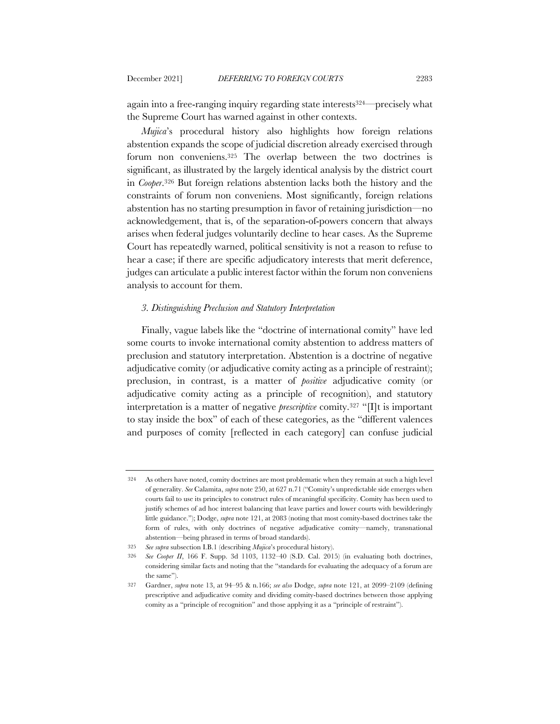again into a free-ranging inquiry regarding state interests324—precisely what the Supreme Court has warned against in other contexts.

*Mujica*'s procedural history also highlights how foreign relations abstention expands the scope of judicial discretion already exercised through forum non conveniens.325 The overlap between the two doctrines is significant, as illustrated by the largely identical analysis by the district court in *Cooper*.326 But foreign relations abstention lacks both the history and the constraints of forum non conveniens. Most significantly, foreign relations abstention has no starting presumption in favor of retaining jurisdiction—no acknowledgement, that is, of the separation-of-powers concern that always arises when federal judges voluntarily decline to hear cases. As the Supreme Court has repeatedly warned, political sensitivity is not a reason to refuse to hear a case; if there are specific adjudicatory interests that merit deference, judges can articulate a public interest factor within the forum non conveniens analysis to account for them.

### *3. Distinguishing Preclusion and Statutory Interpretation*

Finally, vague labels like the "doctrine of international comity" have led some courts to invoke international comity abstention to address matters of preclusion and statutory interpretation. Abstention is a doctrine of negative adjudicative comity (or adjudicative comity acting as a principle of restraint); preclusion, in contrast, is a matter of *positive* adjudicative comity (or adjudicative comity acting as a principle of recognition), and statutory interpretation is a matter of negative *prescriptive* comity.327 "[I]t is important to stay inside the box" of each of these categories, as the "different valences and purposes of comity [reflected in each category] can confuse judicial

<sup>324</sup> As others have noted, comity doctrines are most problematic when they remain at such a high level of generality. *See* Calamita, *supra* note 250, at 627 n.71 ("Comity's unpredictable side emerges when courts fail to use its principles to construct rules of meaningful specificity. Comity has been used to justify schemes of ad hoc interest balancing that leave parties and lower courts with bewilderingly little guidance."); Dodge, *supra* note 121, at 2083 (noting that most comity-based doctrines take the form of rules, with only doctrines of negative adjudicative comity—namely, transnational abstention—being phrased in terms of broad standards).

<sup>325</sup> *See supra* subsection I.B.1 (describing *Mujica*'s procedural history).

<sup>326</sup> *See Cooper II*, 166 F. Supp. 3d 1103, 1132–40 (S.D. Cal. 2015) (in evaluating both doctrines, considering similar facts and noting that the "standards for evaluating the adequacy of a forum are the same").

<sup>327</sup> Gardner, *supra* note 13, at 94–95 & n.166; *see also* Dodge, *supra* note 121, at 2099–2109 (defining prescriptive and adjudicative comity and dividing comity-based doctrines between those applying comity as a "principle of recognition" and those applying it as a "principle of restraint").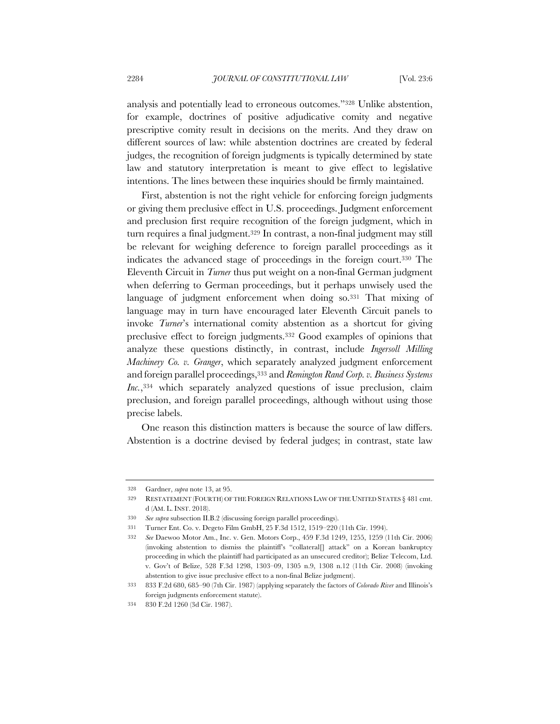analysis and potentially lead to erroneous outcomes."328 Unlike abstention, for example, doctrines of positive adjudicative comity and negative prescriptive comity result in decisions on the merits. And they draw on different sources of law: while abstention doctrines are created by federal judges, the recognition of foreign judgments is typically determined by state law and statutory interpretation is meant to give effect to legislative intentions. The lines between these inquiries should be firmly maintained.

First, abstention is not the right vehicle for enforcing foreign judgments or giving them preclusive effect in U.S. proceedings. Judgment enforcement and preclusion first require recognition of the foreign judgment, which in turn requires a final judgment.329 In contrast, a non-final judgment may still be relevant for weighing deference to foreign parallel proceedings as it indicates the advanced stage of proceedings in the foreign court.330 The Eleventh Circuit in *Turner* thus put weight on a non-final German judgment when deferring to German proceedings, but it perhaps unwisely used the language of judgment enforcement when doing so.<sup>331</sup> That mixing of language may in turn have encouraged later Eleventh Circuit panels to invoke *Turner*'s international comity abstention as a shortcut for giving preclusive effect to foreign judgments.332 Good examples of opinions that analyze these questions distinctly, in contrast, include *Ingersoll Milling Machinery Co. v. Granger*, which separately analyzed judgment enforcement and foreign parallel proceedings,333 and *Remington Rand Corp. v. Business Systems Inc.*,334 which separately analyzed questions of issue preclusion, claim preclusion, and foreign parallel proceedings, although without using those precise labels.

One reason this distinction matters is because the source of law differs. Abstention is a doctrine devised by federal judges; in contrast, state law

<sup>328</sup> Gardner, *supra* note 13, at 95.

<sup>329</sup> RESTATEMENT (FOURTH) OF THE FOREIGN RELATIONS LAW OF THE UNITED STATES § 481 cmt. d (AM. L. INST. 2018).

<sup>330</sup> *See supra* subsection II.B.2 (discussing foreign parallel proceedings).

<sup>331</sup> Turner Ent. Co. v. Degeto Film GmbH, 25 F.3d 1512, 1519–220 (11th Cir. 1994).

<sup>332</sup> *See* Daewoo Motor Am., Inc. v. Gen. Motors Corp., 459 F.3d 1249, 1255, 1259 (11th Cir. 2006) (invoking abstention to dismiss the plaintiff's "collateral[] attack" on a Korean bankruptcy proceeding in which the plaintiff had participated as an unsecured creditor); Belize Telecom, Ltd. v. Gov't of Belize, 528 F.3d 1298, 1303–09, 1305 n.9, 1308 n.12 (11th Cir. 2008) (invoking abstention to give issue preclusive effect to a non-final Belize judgment).

<sup>333</sup> 833 F.2d 680, 685–90 (7th Cir. 1987) (applying separately the factors of *Colorado River* and Illinois's foreign judgments enforcement statute).

<sup>334</sup> 830 F.2d 1260 (3d Cir. 1987).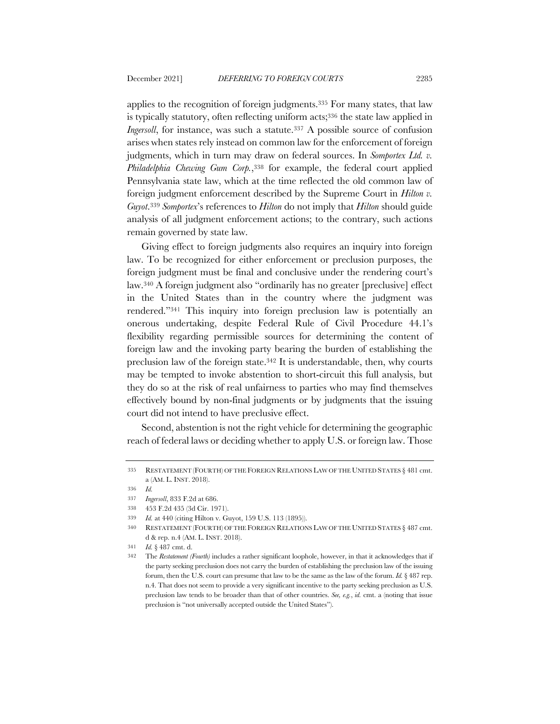applies to the recognition of foreign judgments.335 For many states, that law is typically statutory, often reflecting uniform acts;336 the state law applied in *Ingersoll*, for instance, was such a statute.<sup>337</sup> A possible source of confusion arises when states rely instead on common law for the enforcement of foreign judgments, which in turn may draw on federal sources. In *Somportex Ltd. v. Philadelphia Chewing Gum Corp.*,338 for example, the federal court applied Pennsylvania state law, which at the time reflected the old common law of foreign judgment enforcement described by the Supreme Court in *Hilton v. Guyot*.339 *Somportex*'s references to *Hilton* do not imply that *Hilton* should guide analysis of all judgment enforcement actions; to the contrary, such actions remain governed by state law.

Giving effect to foreign judgments also requires an inquiry into foreign law. To be recognized for either enforcement or preclusion purposes, the foreign judgment must be final and conclusive under the rendering court's law.340 A foreign judgment also "ordinarily has no greater [preclusive] effect in the United States than in the country where the judgment was rendered."341 This inquiry into foreign preclusion law is potentially an onerous undertaking, despite Federal Rule of Civil Procedure 44.1's flexibility regarding permissible sources for determining the content of foreign law and the invoking party bearing the burden of establishing the preclusion law of the foreign state.342 It is understandable, then, why courts may be tempted to invoke abstention to short-circuit this full analysis, but they do so at the risk of real unfairness to parties who may find themselves effectively bound by non-final judgments or by judgments that the issuing court did not intend to have preclusive effect.

Second, abstention is not the right vehicle for determining the geographic reach of federal laws or deciding whether to apply U.S. or foreign law. Those

<sup>335</sup> RESTATEMENT (FOURTH) OF THE FOREIGN RELATIONS LAW OF THE UNITED STATES § 481 cmt. a (AM. L. INST. 2018).

<sup>336</sup> *Id.*

<sup>337</sup> *Ingersoll*, 833 F.2d at 686.

<sup>338</sup> 453 F.2d 435 (3d Cir. 1971).

<sup>339</sup> *Id.* at 440 (citing Hilton v. Guyot, 159 U.S. 113 (1895)).

<sup>340</sup> RESTATEMENT (FOURTH) OF THE FOREIGN RELATIONS LAW OF THE UNITED STATES § 487 cmt. d & rep. n.4 (AM. L. INST. 2018).

<sup>341</sup> *Id.* § 487 cmt. d.

<sup>342</sup> The *Restatement (Fourth)* includes a rather significant loophole, however, in that it acknowledges that if the party seeking preclusion does not carry the burden of establishing the preclusion law of the issuing forum, then the U.S. court can presume that law to be the same as the law of the forum. *Id.* § 487 rep. n.4. That does not seem to provide a very significant incentive to the party seeking preclusion as U.S. preclusion law tends to be broader than that of other countries. *See, e.g.*, *id.* cmt. a (noting that issue preclusion is "not universally accepted outside the United States").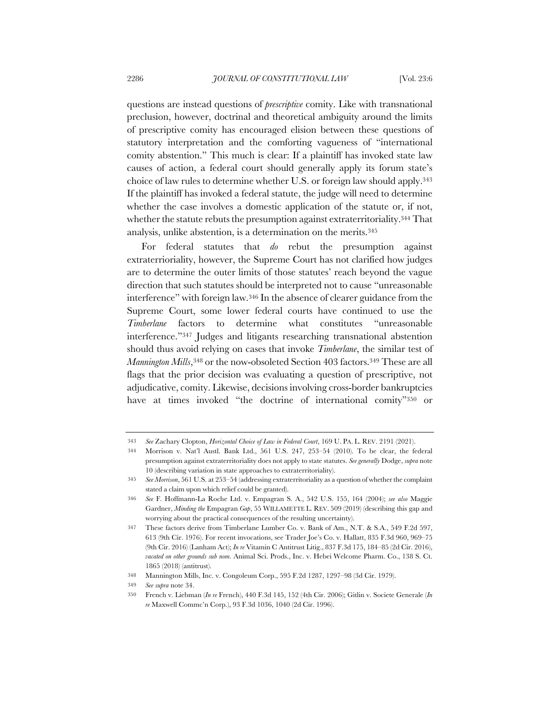questions are instead questions of *prescriptive* comity. Like with transnational preclusion, however, doctrinal and theoretical ambiguity around the limits of prescriptive comity has encouraged elision between these questions of statutory interpretation and the comforting vagueness of "international comity abstention." This much is clear: If a plaintiff has invoked state law causes of action, a federal court should generally apply its forum state's choice of law rules to determine whether U.S. or foreign law should apply.343 If the plaintiff has invoked a federal statute, the judge will need to determine whether the case involves a domestic application of the statute or, if not, whether the statute rebuts the presumption against extraterritoriality.344 That analysis, unlike abstention, is a determination on the merits.345

For federal statutes that *do* rebut the presumption against extraterrioriality, however, the Supreme Court has not clarified how judges are to determine the outer limits of those statutes' reach beyond the vague direction that such statutes should be interpreted not to cause "unreasonable interference" with foreign law.346 In the absence of clearer guidance from the Supreme Court, some lower federal courts have continued to use the *Timberlane* factors to determine what constitutes "unreasonable interference."347 Judges and litigants researching transnational abstention should thus avoid relying on cases that invoke *Timberlane*, the similar test of *Mannington Mills*,<sup>348</sup> or the now-obsoleted Section 403 factors.<sup>349</sup> These are all flags that the prior decision was evaluating a question of prescriptive, not adjudicative, comity. Likewise, decisions involving cross-border bankruptcies have at times invoked "the doctrine of international comity"350 or

<sup>343</sup> *See* Zachary Clopton, *Horizontal Choice of Law in Federal Court*, 169 U. PA. L. REV. 2191 (2021).

<sup>344</sup> Morrison v. Nat'l Austl. Bank Ltd., 561 U.S. 247, 253–54 (2010). To be clear, the federal presumption against extraterritoriality does not apply to state statutes. *See generally* Dodge, *supra* note 10 (describing variation in state approaches to extraterritoriality).

<sup>345</sup> *See Morrison*, 561 U.S. at 253–54 (addressing extraterritoriality as a question of whether the complaint stated a claim upon which relief could be granted).

<sup>346</sup> *See* F. Hoffmann-La Roche Ltd. v. Empagran S. A., 542 U.S. 155, 164 (2004); *see also* Maggie Gardner, *Minding the* Empagran *Gap*, 55 WILLAMETTE L. REV. 509 (2019) (describing this gap and worrying about the practical consequences of the resulting uncertainty).

<sup>347</sup> These factors derive from Timberlane Lumber Co. v. Bank of Am., N.T. & S.A., 549 F.2d 597, 613 (9th Cir. 1976). For recent invocations, see Trader Joe's Co. v. Hallatt, 835 F.3d 960, 969–75 (9th Cir. 2016) (Lanham Act); *In re* Vitamin C Antitrust Litig., 837 F.3d 175, 184–85 (2d Cir. 2016), *vacated on other grounds sub nom.* Animal Sci. Prods., Inc. v. Hebei Welcome Pharm. Co., 138 S. Ct. 1865 (2018) (antitrust).

<sup>348</sup> Mannington Mills, Inc. v. Congoleum Corp., 595 F.2d 1287, 1297–98 (3d Cir. 1979).

<sup>349</sup> *See supra* note 34.

<sup>350</sup> French v. Liebman (*In re* French), 440 F.3d 145, 152 (4th Cir. 2006); Gitlin v. Societe Generale (*In re* Maxwell Commc'n Corp.), 93 F.3d 1036, 1040 (2d Cir. 1996).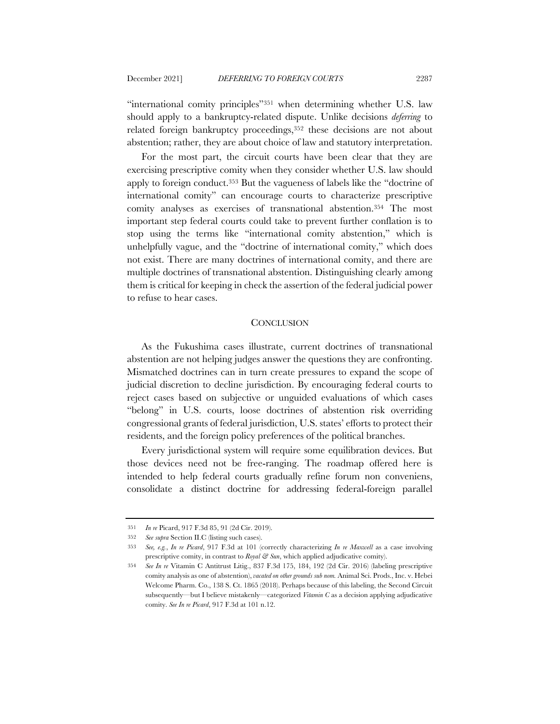"international comity principles"351 when determining whether U.S. law should apply to a bankruptcy-related dispute. Unlike decisions *deferring* to related foreign bankruptcy proceedings,352 these decisions are not about abstention; rather, they are about choice of law and statutory interpretation.

For the most part, the circuit courts have been clear that they are exercising prescriptive comity when they consider whether U.S. law should apply to foreign conduct.353 But the vagueness of labels like the "doctrine of international comity" can encourage courts to characterize prescriptive comity analyses as exercises of transnational abstention.354 The most important step federal courts could take to prevent further conflation is to stop using the terms like "international comity abstention," which is unhelpfully vague, and the "doctrine of international comity," which does not exist. There are many doctrines of international comity, and there are multiple doctrines of transnational abstention. Distinguishing clearly among them is critical for keeping in check the assertion of the federal judicial power to refuse to hear cases.

### **CONCLUSION**

As the Fukushima cases illustrate, current doctrines of transnational abstention are not helping judges answer the questions they are confronting. Mismatched doctrines can in turn create pressures to expand the scope of judicial discretion to decline jurisdiction. By encouraging federal courts to reject cases based on subjective or unguided evaluations of which cases "belong" in U.S. courts, loose doctrines of abstention risk overriding congressional grants of federal jurisdiction, U.S. states' efforts to protect their residents, and the foreign policy preferences of the political branches.

Every jurisdictional system will require some equilibration devices. But those devices need not be free-ranging. The roadmap offered here is intended to help federal courts gradually refine forum non conveniens, consolidate a distinct doctrine for addressing federal-foreign parallel

<sup>351</sup> *In re* Picard, 917 F.3d 85, 91 (2d Cir. 2019).

<sup>352</sup> *See supra* Section II.C (listing such cases).

<sup>353</sup> *See, e.g.*, *In re Picard*, 917 F.3d at 101 (correctly characterizing *In re Maxwell* as a case involving prescriptive comity, in contrast to *Royal & Sun*, which applied adjudicative comity).

<sup>354</sup> *See In re* Vitamin C Antitrust Litig., 837 F.3d 175, 184, 192 (2d Cir. 2016) (labeling prescriptive comity analysis as one of abstention), *vacated on other grounds sub nom.* Animal Sci. Prods., Inc. v. Hebei Welcome Pharm. Co., 138 S. Ct. 1865 (2018). Perhaps because of this labeling, the Second Circuit subsequently—but I believe mistakenly—categorized *Vitamin C* as a decision applying adjudicative comity. *See In re Picard*, 917 F.3d at 101 n.12.